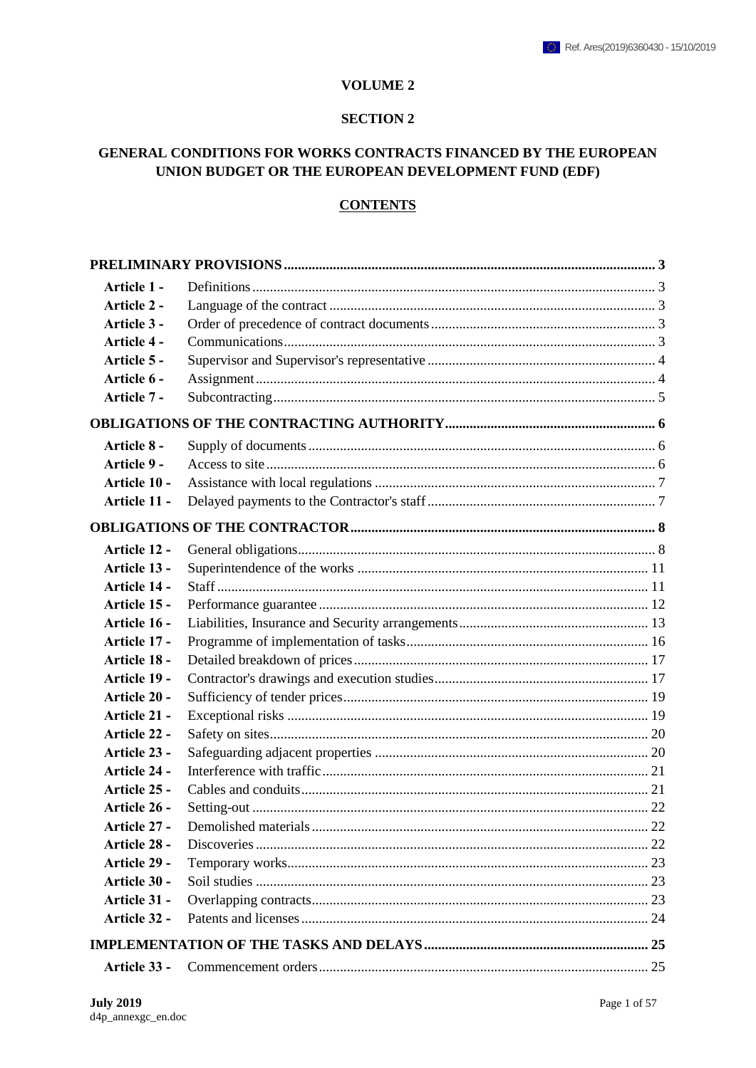#### **VOLUME 2**

### **SECTION 2**

## GENERAL CONDITIONS FOR WORKS CONTRACTS FINANCED BY THE EUROPEAN UNION BUDGET OR THE EUROPEAN DEVELOPMENT FUND (EDF)

#### **CONTENTS**

| Article 1 -         |  |
|---------------------|--|
| Article 2 -         |  |
| Article 3 -         |  |
| Article 4 -         |  |
| Article 5 -         |  |
| Article 6 -         |  |
| Article 7 -         |  |
|                     |  |
| Article 8 -         |  |
| Article 9 -         |  |
| Article 10 -        |  |
| Article 11 -        |  |
|                     |  |
| Article 12 -        |  |
| Article 13 -        |  |
| Article 14 -        |  |
| Article 15 -        |  |
| Article 16 -        |  |
| Article 17 -        |  |
| Article 18 -        |  |
| Article 19 -        |  |
| Article 20 -        |  |
| Article 21 -        |  |
| Article 22 -        |  |
| Article 23 -        |  |
| Article 24 -        |  |
| Article 25 -        |  |
| Article 26 -        |  |
| Article 27 -        |  |
| <b>Article 28 -</b> |  |
| Article 29 -        |  |
| Article 30 -        |  |
| Article 31 -        |  |
| Article 32 -        |  |
|                     |  |
|                     |  |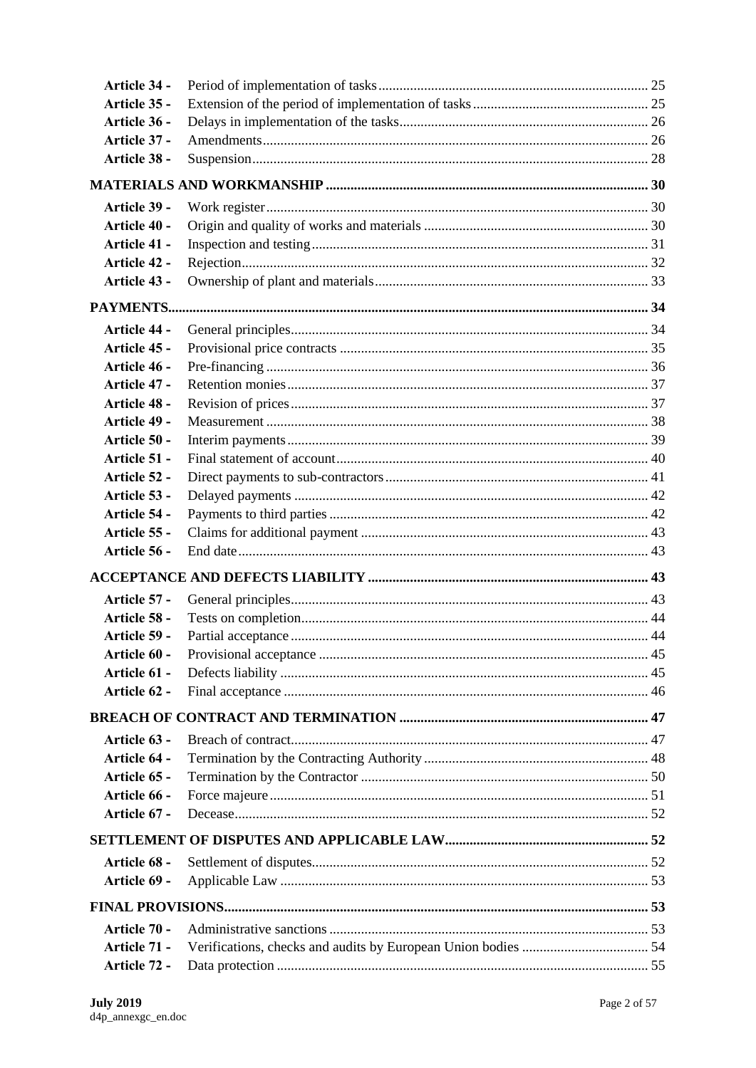| Article 34 -        |  |
|---------------------|--|
| Article 35 -        |  |
| Article 36 -        |  |
| Article 37 -        |  |
| Article 38 -        |  |
|                     |  |
|                     |  |
| Article 39 -        |  |
| Article 40 -        |  |
| Article 41 -        |  |
| Article 42 -        |  |
| Article 43 -        |  |
|                     |  |
| <b>Article 44 -</b> |  |
| Article 45 -        |  |
| Article 46 -        |  |
| Article 47 -        |  |
| <b>Article 48 -</b> |  |
| <b>Article 49 -</b> |  |
| Article 50 -        |  |
| Article 51 -        |  |
| Article 52 -        |  |
| Article 53 -        |  |
| Article 54 -        |  |
| Article 55 -        |  |
| Article 56 -        |  |
|                     |  |
| Article 57 -        |  |
| <b>Article 58 -</b> |  |
| Article 59 -        |  |
| Article 60 -        |  |
| Article 61 -        |  |
| Article 62 -        |  |
|                     |  |
| Article 63 -        |  |
| Article 64 -        |  |
| Article 65 -        |  |
| Article 66 -        |  |
| Article 67 -        |  |
|                     |  |
| Article 68 -        |  |
| Article 69 -        |  |
|                     |  |
|                     |  |
| Article 70 -        |  |
| Article 71 -        |  |
| Article 72 -        |  |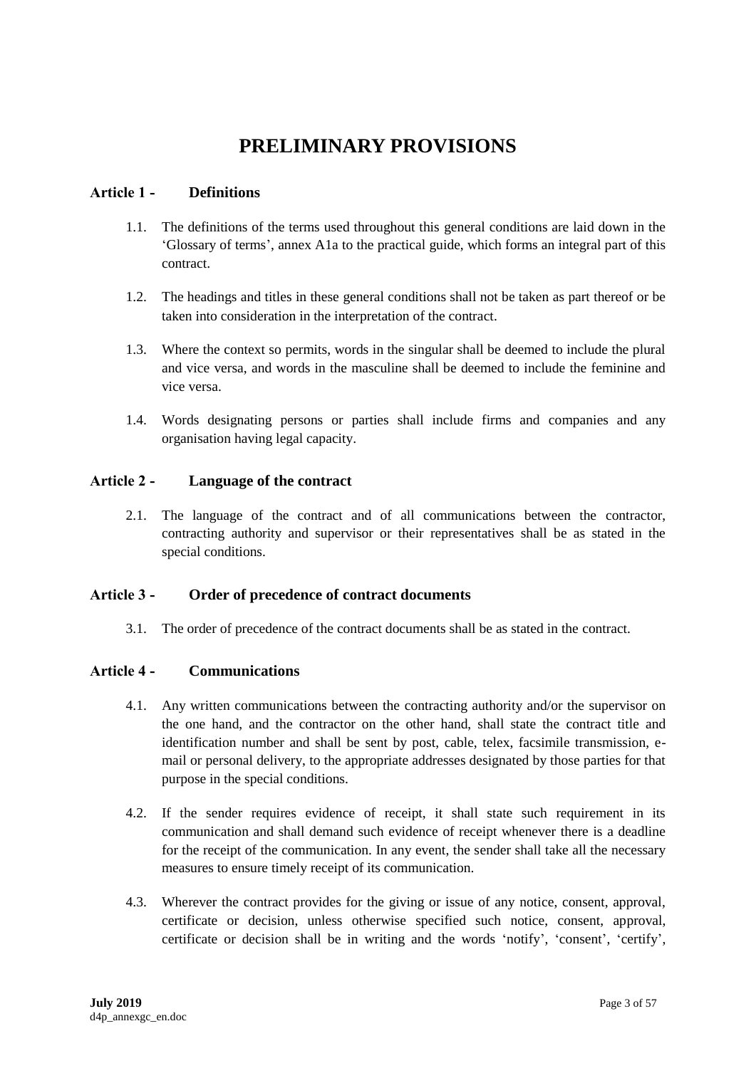# **PRELIMINARY PROVISIONS**

### <span id="page-2-1"></span><span id="page-2-0"></span>**Article 1 - Definitions**

- 1.1. The definitions of the terms used throughout this general conditions are laid down in the 'Glossary of terms', annex A1a to the practical guide, which forms an integral part of this contract.
- 1.2. The headings and titles in these general conditions shall not be taken as part thereof or be taken into consideration in the interpretation of the contract.
- 1.3. Where the context so permits, words in the singular shall be deemed to include the plural and vice versa, and words in the masculine shall be deemed to include the feminine and vice versa.
- 1.4. Words designating persons or parties shall include firms and companies and any organisation having legal capacity.

## <span id="page-2-2"></span>**Article 2 - Language of the contract**

2.1. The language of the contract and of all communications between the contractor, contracting authority and supervisor or their representatives shall be as stated in the special conditions.

### <span id="page-2-3"></span>**Article 3 - Order of precedence of contract documents**

3.1. The order of precedence of the contract documents shall be as stated in the contract.

### <span id="page-2-4"></span>**Article 4 - Communications**

- 4.1. Any written communications between the contracting authority and/or the supervisor on the one hand, and the contractor on the other hand, shall state the contract title and identification number and shall be sent by post, cable, telex, facsimile transmission, email or personal delivery, to the appropriate addresses designated by those parties for that purpose in the special conditions.
- 4.2. If the sender requires evidence of receipt, it shall state such requirement in its communication and shall demand such evidence of receipt whenever there is a deadline for the receipt of the communication. In any event, the sender shall take all the necessary measures to ensure timely receipt of its communication.
- 4.3. Wherever the contract provides for the giving or issue of any notice, consent, approval, certificate or decision, unless otherwise specified such notice, consent, approval, certificate or decision shall be in writing and the words 'notify', 'consent', 'certify',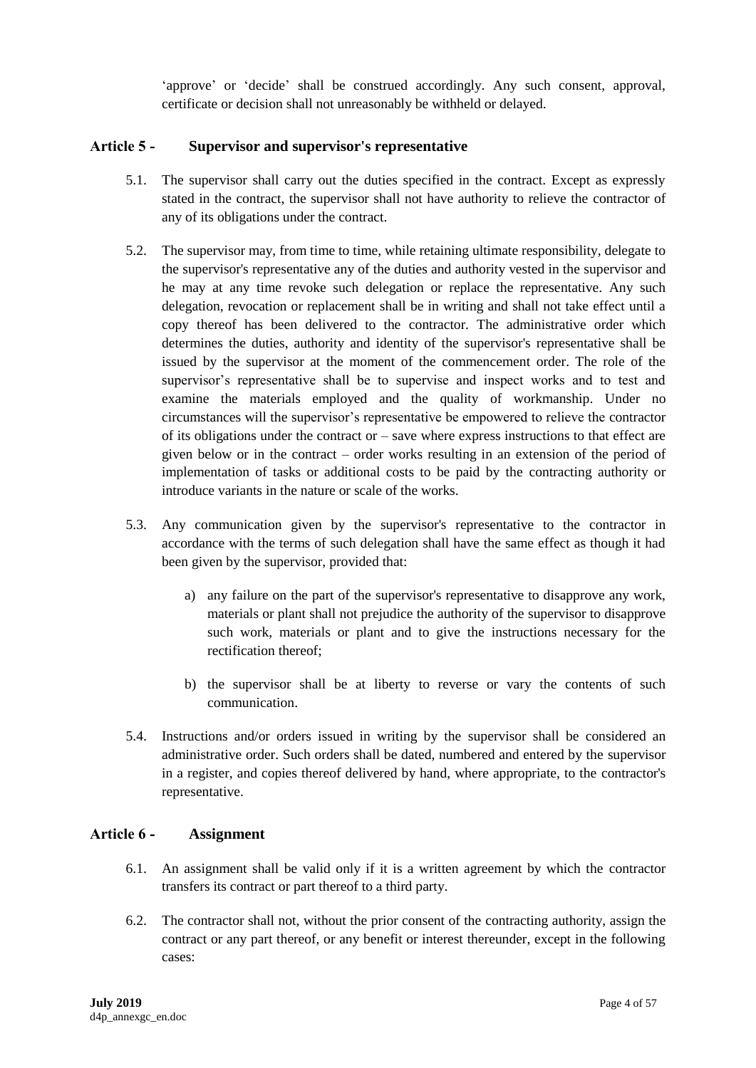'approve' or 'decide' shall be construed accordingly. Any such consent, approval, certificate or decision shall not unreasonably be withheld or delayed.

## <span id="page-3-0"></span>**Article 5 - Supervisor and supervisor's representative**

- 5.1. The supervisor shall carry out the duties specified in the contract. Except as expressly stated in the contract, the supervisor shall not have authority to relieve the contractor of any of its obligations under the contract.
- 5.2. The supervisor may, from time to time, while retaining ultimate responsibility, delegate to the supervisor's representative any of the duties and authority vested in the supervisor and he may at any time revoke such delegation or replace the representative. Any such delegation, revocation or replacement shall be in writing and shall not take effect until a copy thereof has been delivered to the contractor. The administrative order which determines the duties, authority and identity of the supervisor's representative shall be issued by the supervisor at the moment of the commencement order. The role of the supervisor's representative shall be to supervise and inspect works and to test and examine the materials employed and the quality of workmanship. Under no circumstances will the supervisor's representative be empowered to relieve the contractor of its obligations under the contract or – save where express instructions to that effect are given below or in the contract – order works resulting in an extension of the period of implementation of tasks or additional costs to be paid by the contracting authority or introduce variants in the nature or scale of the works.
- 5.3. Any communication given by the supervisor's representative to the contractor in accordance with the terms of such delegation shall have the same effect as though it had been given by the supervisor, provided that:
	- a) any failure on the part of the supervisor's representative to disapprove any work, materials or plant shall not prejudice the authority of the supervisor to disapprove such work, materials or plant and to give the instructions necessary for the rectification thereof;
	- b) the supervisor shall be at liberty to reverse or vary the contents of such communication.
- 5.4. Instructions and/or orders issued in writing by the supervisor shall be considered an administrative order. Such orders shall be dated, numbered and entered by the supervisor in a register, and copies thereof delivered by hand, where appropriate, to the contractor's representative.

### <span id="page-3-1"></span>**Article 6 - Assignment**

- 6.1. An assignment shall be valid only if it is a written agreement by which the contractor transfers its contract or part thereof to a third party.
- 6.2. The contractor shall not, without the prior consent of the contracting authority, assign the contract or any part thereof, or any benefit or interest thereunder, except in the following cases: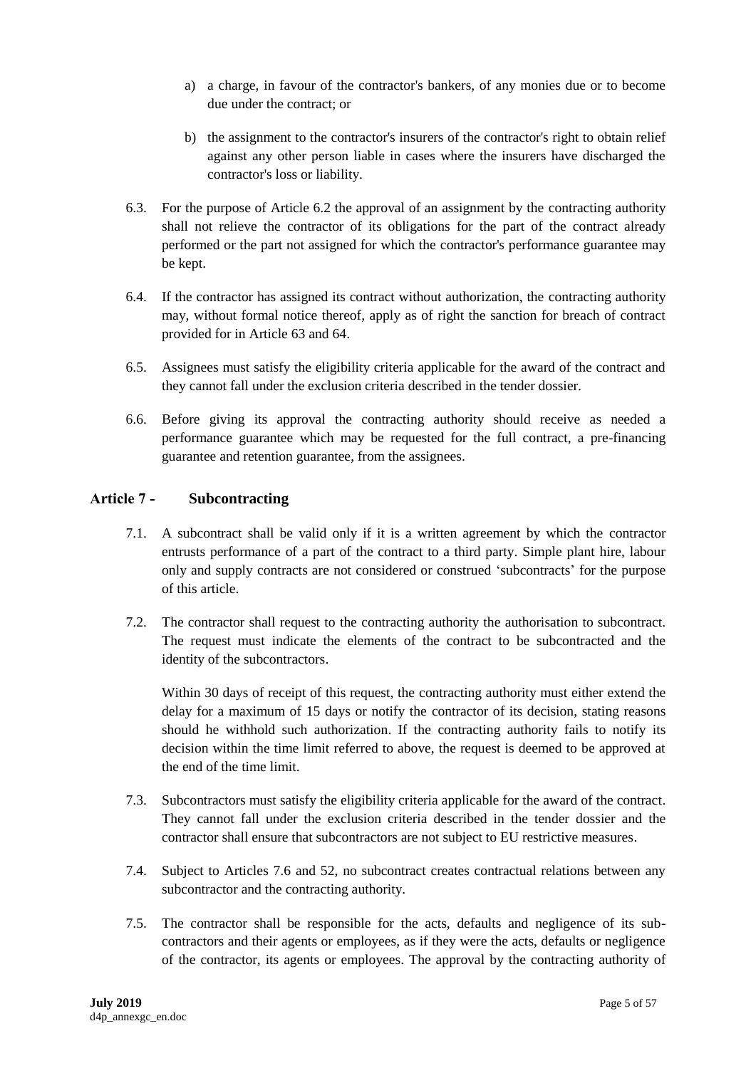- a) a charge, in favour of the contractor's bankers, of any monies due or to become due under the contract; or
- b) the assignment to the contractor's insurers of the contractor's right to obtain relief against any other person liable in cases where the insurers have discharged the contractor's loss or liability.
- 6.3. For the purpose of Article 6.2 the approval of an assignment by the contracting authority shall not relieve the contractor of its obligations for the part of the contract already performed or the part not assigned for which the contractor's performance guarantee may be kept.
- 6.4. If the contractor has assigned its contract without authorization, the contracting authority may, without formal notice thereof, apply as of right the sanction for breach of contract provided for in Article 63 and 64.
- 6.5. Assignees must satisfy the eligibility criteria applicable for the award of the contract and they cannot fall under the exclusion criteria described in the tender dossier.
- 6.6. Before giving its approval the contracting authority should receive as needed a performance guarantee which may be requested for the full contract, a pre-financing guarantee and retention guarantee, from the assignees.

## <span id="page-4-0"></span>**Article 7 - Subcontracting**

- 7.1. A subcontract shall be valid only if it is a written agreement by which the contractor entrusts performance of a part of the contract to a third party. Simple plant hire, labour only and supply contracts are not considered or construed 'subcontracts' for the purpose of this article.
- 7.2. The contractor shall request to the contracting authority the authorisation to subcontract. The request must indicate the elements of the contract to be subcontracted and the identity of the subcontractors.

Within 30 days of receipt of this request, the contracting authority must either extend the delay for a maximum of 15 days or notify the contractor of its decision, stating reasons should he withhold such authorization. If the contracting authority fails to notify its decision within the time limit referred to above, the request is deemed to be approved at the end of the time limit.

- 7.3. Subcontractors must satisfy the eligibility criteria applicable for the award of the contract. They cannot fall under the exclusion criteria described in the tender dossier and the contractor shall ensure that subcontractors are not subject to EU restrictive measures.
- 7.4. Subject to Articles 7.6 and 52, no subcontract creates contractual relations between any subcontractor and the contracting authority.
- 7.5. The contractor shall be responsible for the acts, defaults and negligence of its subcontractors and their agents or employees, as if they were the acts, defaults or negligence of the contractor, its agents or employees. The approval by the contracting authority of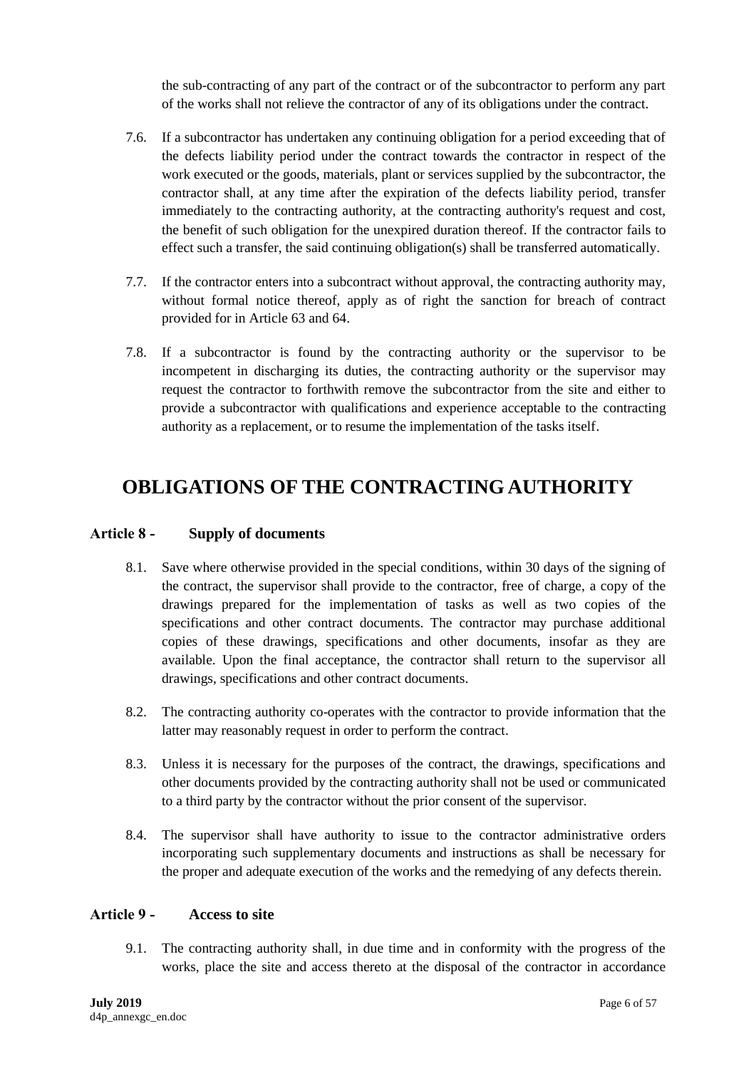the sub-contracting of any part of the contract or of the subcontractor to perform any part of the works shall not relieve the contractor of any of its obligations under the contract.

- 7.6. If a subcontractor has undertaken any continuing obligation for a period exceeding that of the defects liability period under the contract towards the contractor in respect of the work executed or the goods, materials, plant or services supplied by the subcontractor, the contractor shall, at any time after the expiration of the defects liability period, transfer immediately to the contracting authority, at the contracting authority's request and cost, the benefit of such obligation for the unexpired duration thereof. If the contractor fails to effect such a transfer, the said continuing obligation(s) shall be transferred automatically.
- 7.7. If the contractor enters into a subcontract without approval, the contracting authority may, without formal notice thereof, apply as of right the sanction for breach of contract provided for in Article 63 and 64.
- 7.8. If a subcontractor is found by the contracting authority or the supervisor to be incompetent in discharging its duties, the contracting authority or the supervisor may request the contractor to forthwith remove the subcontractor from the site and either to provide a subcontractor with qualifications and experience acceptable to the contracting authority as a replacement, or to resume the implementation of the tasks itself.

# <span id="page-5-0"></span>**OBLIGATIONS OF THE CONTRACTING AUTHORITY**

## <span id="page-5-1"></span>**Article 8 - Supply of documents**

- 8.1. Save where otherwise provided in the special conditions, within 30 days of the signing of the contract, the supervisor shall provide to the contractor, free of charge, a copy of the drawings prepared for the implementation of tasks as well as two copies of the specifications and other contract documents. The contractor may purchase additional copies of these drawings, specifications and other documents, insofar as they are available. Upon the final acceptance, the contractor shall return to the supervisor all drawings, specifications and other contract documents.
- 8.2. The contracting authority co-operates with the contractor to provide information that the latter may reasonably request in order to perform the contract.
- 8.3. Unless it is necessary for the purposes of the contract, the drawings, specifications and other documents provided by the contracting authority shall not be used or communicated to a third party by the contractor without the prior consent of the supervisor.
- 8.4. The supervisor shall have authority to issue to the contractor administrative orders incorporating such supplementary documents and instructions as shall be necessary for the proper and adequate execution of the works and the remedying of any defects therein.

### <span id="page-5-2"></span>**Article 9 - Access to site**

9.1. The contracting authority shall, in due time and in conformity with the progress of the works, place the site and access thereto at the disposal of the contractor in accordance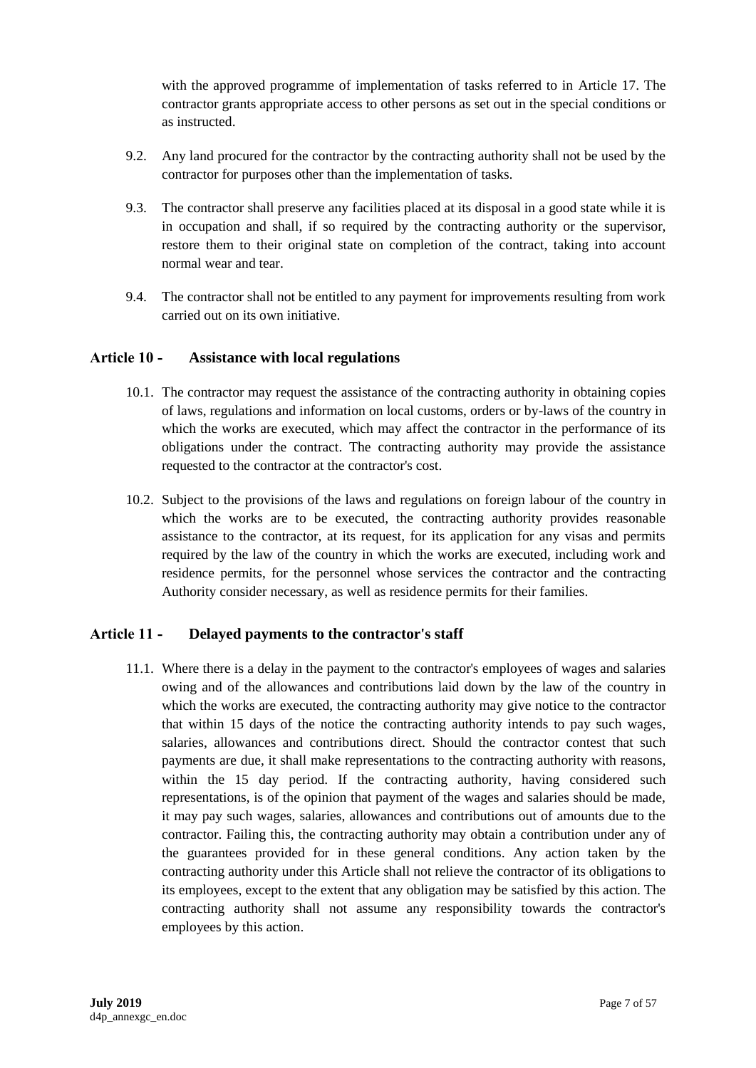with the approved programme of implementation of tasks referred to in Article 17. The contractor grants appropriate access to other persons as set out in the special conditions or as instructed.

- 9.2. Any land procured for the contractor by the contracting authority shall not be used by the contractor for purposes other than the implementation of tasks.
- 9.3. The contractor shall preserve any facilities placed at its disposal in a good state while it is in occupation and shall, if so required by the contracting authority or the supervisor, restore them to their original state on completion of the contract, taking into account normal wear and tear.
- 9.4. The contractor shall not be entitled to any payment for improvements resulting from work carried out on its own initiative.

### <span id="page-6-0"></span>**Article 10 - Assistance with local regulations**

- 10.1. The contractor may request the assistance of the contracting authority in obtaining copies of laws, regulations and information on local customs, orders or by-laws of the country in which the works are executed, which may affect the contractor in the performance of its obligations under the contract. The contracting authority may provide the assistance requested to the contractor at the contractor's cost.
- 10.2. Subject to the provisions of the laws and regulations on foreign labour of the country in which the works are to be executed, the contracting authority provides reasonable assistance to the contractor, at its request, for its application for any visas and permits required by the law of the country in which the works are executed, including work and residence permits, for the personnel whose services the contractor and the contracting Authority consider necessary, as well as residence permits for their families.

### <span id="page-6-1"></span>**Article 11 - Delayed payments to the contractor's staff**

11.1. Where there is a delay in the payment to the contractor's employees of wages and salaries owing and of the allowances and contributions laid down by the law of the country in which the works are executed, the contracting authority may give notice to the contractor that within 15 days of the notice the contracting authority intends to pay such wages, salaries, allowances and contributions direct. Should the contractor contest that such payments are due, it shall make representations to the contracting authority with reasons, within the 15 day period. If the contracting authority, having considered such representations, is of the opinion that payment of the wages and salaries should be made, it may pay such wages, salaries, allowances and contributions out of amounts due to the contractor. Failing this, the contracting authority may obtain a contribution under any of the guarantees provided for in these general conditions. Any action taken by the contracting authority under this Article shall not relieve the contractor of its obligations to its employees, except to the extent that any obligation may be satisfied by this action. The contracting authority shall not assume any responsibility towards the contractor's employees by this action.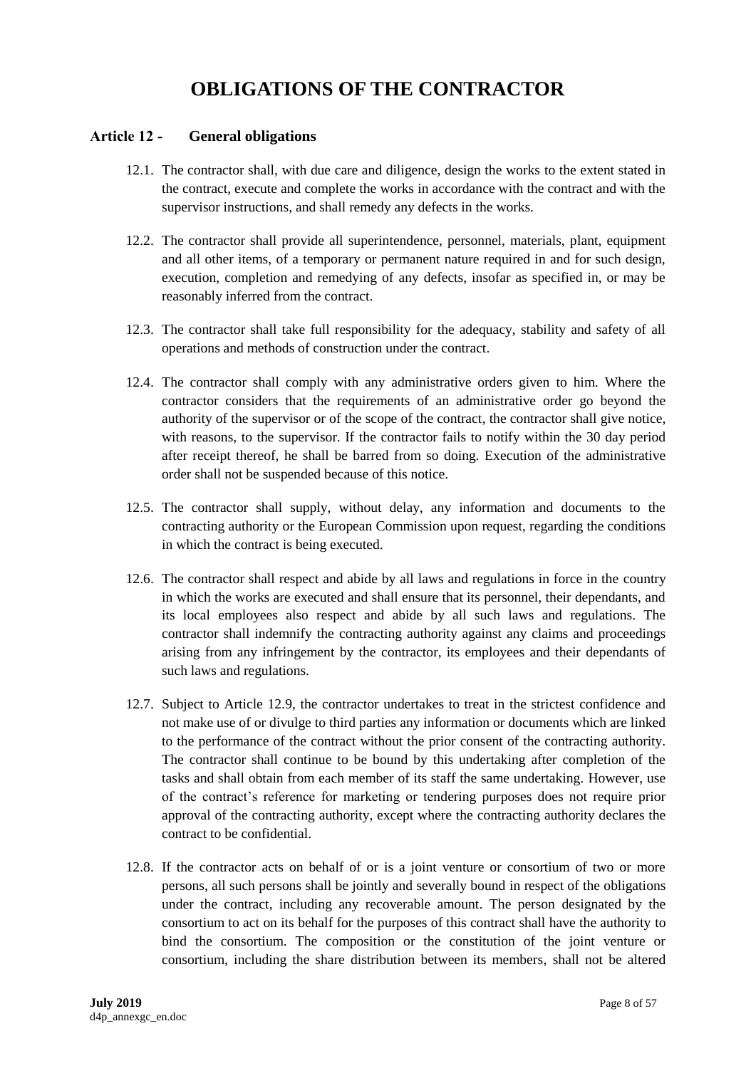# **OBLIGATIONS OF THE CONTRACTOR**

### <span id="page-7-1"></span><span id="page-7-0"></span>**Article 12 - General obligations**

- 12.1. The contractor shall, with due care and diligence, design the works to the extent stated in the contract, execute and complete the works in accordance with the contract and with the supervisor instructions, and shall remedy any defects in the works.
- 12.2. The contractor shall provide all superintendence, personnel, materials, plant, equipment and all other items, of a temporary or permanent nature required in and for such design, execution, completion and remedying of any defects, insofar as specified in, or may be reasonably inferred from the contract.
- 12.3. The contractor shall take full responsibility for the adequacy, stability and safety of all operations and methods of construction under the contract.
- 12.4. The contractor shall comply with any administrative orders given to him. Where the contractor considers that the requirements of an administrative order go beyond the authority of the supervisor or of the scope of the contract, the contractor shall give notice, with reasons, to the supervisor. If the contractor fails to notify within the 30 day period after receipt thereof, he shall be barred from so doing. Execution of the administrative order shall not be suspended because of this notice.
- 12.5. The contractor shall supply, without delay, any information and documents to the contracting authority or the European Commission upon request, regarding the conditions in which the contract is being executed.
- 12.6. The contractor shall respect and abide by all laws and regulations in force in the country in which the works are executed and shall ensure that its personnel, their dependants, and its local employees also respect and abide by all such laws and regulations. The contractor shall indemnify the contracting authority against any claims and proceedings arising from any infringement by the contractor, its employees and their dependants of such laws and regulations.
- 12.7. Subject to Article 12.9, the contractor undertakes to treat in the strictest confidence and not make use of or divulge to third parties any information or documents which are linked to the performance of the contract without the prior consent of the contracting authority. The contractor shall continue to be bound by this undertaking after completion of the tasks and shall obtain from each member of its staff the same undertaking. However, use of the contract's reference for marketing or tendering purposes does not require prior approval of the contracting authority, except where the contracting authority declares the contract to be confidential.
- 12.8. If the contractor acts on behalf of or is a joint venture or consortium of two or more persons, all such persons shall be jointly and severally bound in respect of the obligations under the contract, including any recoverable amount. The person designated by the consortium to act on its behalf for the purposes of this contract shall have the authority to bind the consortium. The composition or the constitution of the joint venture or consortium, including the share distribution between its members, shall not be altered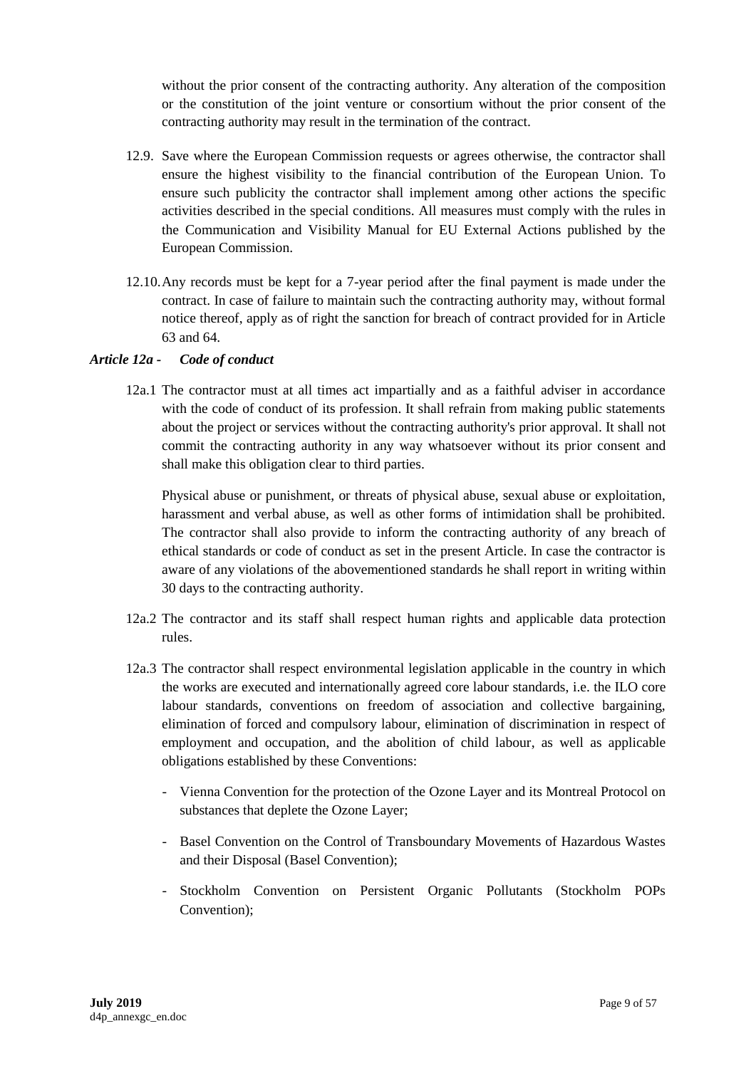without the prior consent of the contracting authority. Any alteration of the composition or the constitution of the joint venture or consortium without the prior consent of the contracting authority may result in the termination of the contract.

- 12.9. Save where the European Commission requests or agrees otherwise, the contractor shall ensure the highest visibility to the financial contribution of the European Union. To ensure such publicity the contractor shall implement among other actions the specific activities described in the special conditions. All measures must comply with the rules in the Communication and Visibility Manual for EU External Actions published by the European Commission.
- 12.10.Any records must be kept for a 7-year period after the final payment is made under the contract. In case of failure to maintain such the contracting authority may, without formal notice thereof, apply as of right the sanction for breach of contract provided for in Article 63 and 64.

#### *Article 12a - Code of conduct*

12a.1 The contractor must at all times act impartially and as a faithful adviser in accordance with the code of conduct of its profession. It shall refrain from making public statements about the project or services without the contracting authority's prior approval. It shall not commit the contracting authority in any way whatsoever without its prior consent and shall make this obligation clear to third parties.

Physical abuse or punishment, or threats of physical abuse, sexual abuse or exploitation, harassment and verbal abuse, as well as other forms of intimidation shall be prohibited. The contractor shall also provide to inform the contracting authority of any breach of ethical standards or code of conduct as set in the present Article. In case the contractor is aware of any violations of the abovementioned standards he shall report in writing within 30 days to the contracting authority.

- 12a.2 The contractor and its staff shall respect human rights and applicable data protection rules.
- 12a.3 The contractor shall respect environmental legislation applicable in the country in which the works are executed and internationally agreed core labour standards, i.e. the ILO core labour standards, conventions on freedom of association and collective bargaining, elimination of forced and compulsory labour, elimination of discrimination in respect of employment and occupation, and the abolition of child labour, as well as applicable obligations established by these Conventions:
	- Vienna Convention for the protection of the Ozone Layer and its Montreal Protocol on substances that deplete the Ozone Layer;
	- Basel Convention on the Control of Transboundary Movements of Hazardous Wastes and their Disposal (Basel Convention);
	- Stockholm Convention on Persistent Organic Pollutants (Stockholm POPs Convention);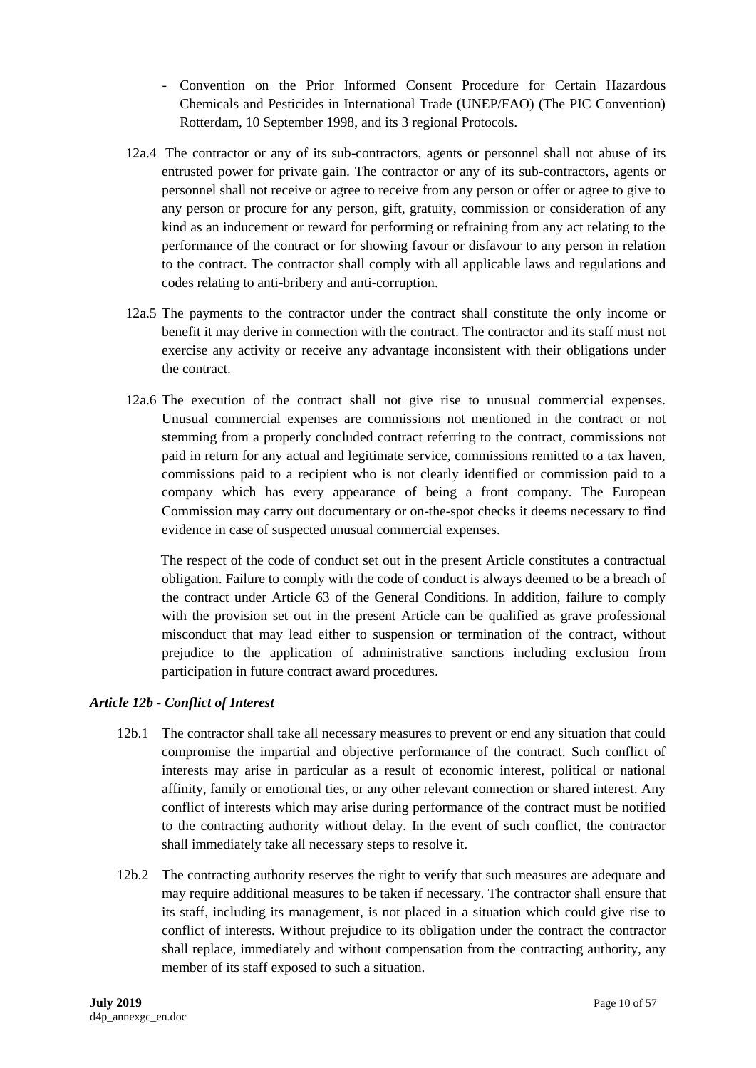- Convention on the Prior Informed Consent Procedure for Certain Hazardous Chemicals and Pesticides in International Trade (UNEP/FAO) (The PIC Convention) Rotterdam, 10 September 1998, and its 3 regional Protocols.
- 12a.4 The contractor or any of its sub-contractors, agents or personnel shall not abuse of its entrusted power for private gain. The contractor or any of its sub-contractors, agents or personnel shall not receive or agree to receive from any person or offer or agree to give to any person or procure for any person, gift, gratuity, commission or consideration of any kind as an inducement or reward for performing or refraining from any act relating to the performance of the contract or for showing favour or disfavour to any person in relation to the contract. The contractor shall comply with all applicable laws and regulations and codes relating to anti-bribery and anti-corruption.
- 12a.5 The payments to the contractor under the contract shall constitute the only income or benefit it may derive in connection with the contract. The contractor and its staff must not exercise any activity or receive any advantage inconsistent with their obligations under the contract.
- 12a.6 The execution of the contract shall not give rise to unusual commercial expenses. Unusual commercial expenses are commissions not mentioned in the contract or not stemming from a properly concluded contract referring to the contract, commissions not paid in return for any actual and legitimate service, commissions remitted to a tax haven, commissions paid to a recipient who is not clearly identified or commission paid to a company which has every appearance of being a front company. The European Commission may carry out documentary or on-the-spot checks it deems necessary to find evidence in case of suspected unusual commercial expenses.

 The respect of the code of conduct set out in the present Article constitutes a contractual obligation. Failure to comply with the code of conduct is always deemed to be a breach of the contract under Article 63 of the General Conditions. In addition, failure to comply with the provision set out in the present Article can be qualified as grave professional misconduct that may lead either to suspension or termination of the contract, without prejudice to the application of administrative sanctions including exclusion from participation in future contract award procedures.

### *Article 12b - Conflict of Interest*

- 12b.1 The contractor shall take all necessary measures to prevent or end any situation that could compromise the impartial and objective performance of the contract. Such conflict of interests may arise in particular as a result of economic interest, political or national affinity, family or emotional ties, or any other relevant connection or shared interest. Any conflict of interests which may arise during performance of the contract must be notified to the contracting authority without delay. In the event of such conflict, the contractor shall immediately take all necessary steps to resolve it.
- 12b.2 The contracting authority reserves the right to verify that such measures are adequate and may require additional measures to be taken if necessary. The contractor shall ensure that its staff, including its management, is not placed in a situation which could give rise to conflict of interests. Without prejudice to its obligation under the contract the contractor shall replace, immediately and without compensation from the contracting authority, any member of its staff exposed to such a situation.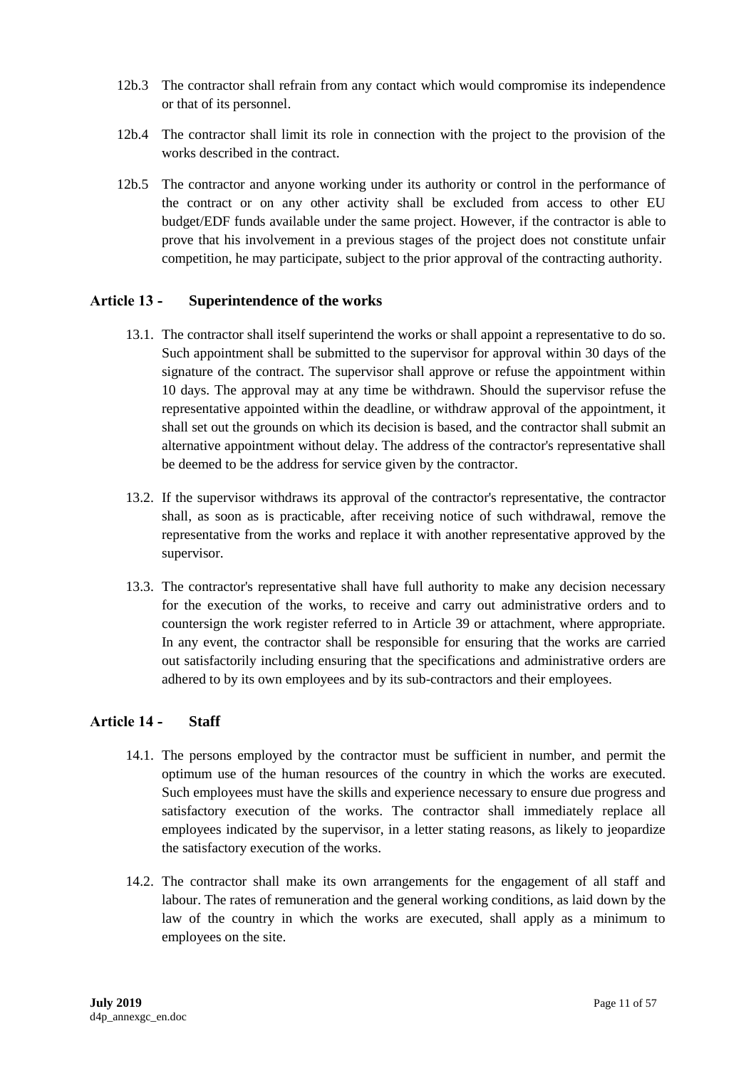- 12b.3 The contractor shall refrain from any contact which would compromise its independence or that of its personnel.
- 12b.4 The contractor shall limit its role in connection with the project to the provision of the works described in the contract.
- 12b.5 The contractor and anyone working under its authority or control in the performance of the contract or on any other activity shall be excluded from access to other EU budget/EDF funds available under the same project. However, if the contractor is able to prove that his involvement in a previous stages of the project does not constitute unfair competition, he may participate, subject to the prior approval of the contracting authority.

### <span id="page-10-0"></span>**Article 13 - Superintendence of the works**

- 13.1. The contractor shall itself superintend the works or shall appoint a representative to do so. Such appointment shall be submitted to the supervisor for approval within 30 days of the signature of the contract. The supervisor shall approve or refuse the appointment within 10 days. The approval may at any time be withdrawn. Should the supervisor refuse the representative appointed within the deadline, or withdraw approval of the appointment, it shall set out the grounds on which its decision is based, and the contractor shall submit an alternative appointment without delay. The address of the contractor's representative shall be deemed to be the address for service given by the contractor.
- 13.2. If the supervisor withdraws its approval of the contractor's representative, the contractor shall, as soon as is practicable, after receiving notice of such withdrawal, remove the representative from the works and replace it with another representative approved by the supervisor.
- 13.3. The contractor's representative shall have full authority to make any decision necessary for the execution of the works, to receive and carry out administrative orders and to countersign the work register referred to in Article 39 or attachment, where appropriate. In any event, the contractor shall be responsible for ensuring that the works are carried out satisfactorily including ensuring that the specifications and administrative orders are adhered to by its own employees and by its sub-contractors and their employees.

### <span id="page-10-1"></span>**Article 14 - Staff**

- 14.1. The persons employed by the contractor must be sufficient in number, and permit the optimum use of the human resources of the country in which the works are executed. Such employees must have the skills and experience necessary to ensure due progress and satisfactory execution of the works. The contractor shall immediately replace all employees indicated by the supervisor, in a letter stating reasons, as likely to jeopardize the satisfactory execution of the works.
- 14.2. The contractor shall make its own arrangements for the engagement of all staff and labour. The rates of remuneration and the general working conditions, as laid down by the law of the country in which the works are executed, shall apply as a minimum to employees on the site.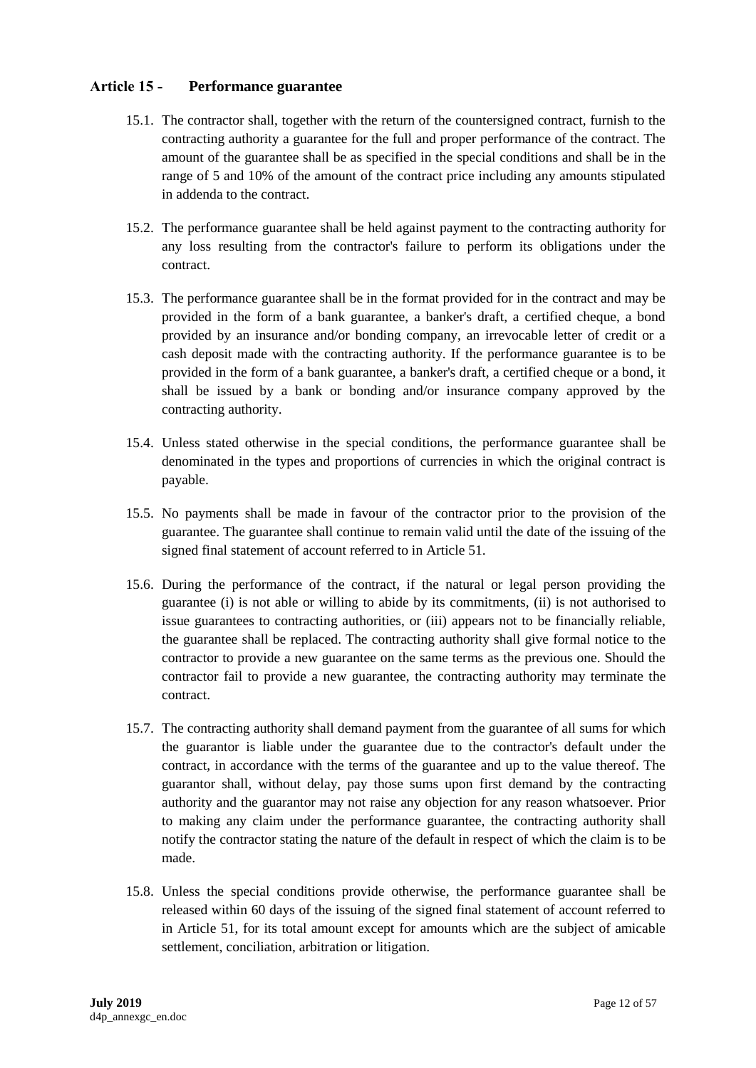## <span id="page-11-0"></span>**Article 15 - Performance guarantee**

- 15.1. The contractor shall, together with the return of the countersigned contract, furnish to the contracting authority a guarantee for the full and proper performance of the contract. The amount of the guarantee shall be as specified in the special conditions and shall be in the range of 5 and 10% of the amount of the contract price including any amounts stipulated in addenda to the contract.
- 15.2. The performance guarantee shall be held against payment to the contracting authority for any loss resulting from the contractor's failure to perform its obligations under the contract.
- 15.3. The performance guarantee shall be in the format provided for in the contract and may be provided in the form of a bank guarantee, a banker's draft, a certified cheque, a bond provided by an insurance and/or bonding company, an irrevocable letter of credit or a cash deposit made with the contracting authority. If the performance guarantee is to be provided in the form of a bank guarantee, a banker's draft, a certified cheque or a bond, it shall be issued by a bank or bonding and/or insurance company approved by the contracting authority.
- 15.4. Unless stated otherwise in the special conditions, the performance guarantee shall be denominated in the types and proportions of currencies in which the original contract is payable.
- 15.5. No payments shall be made in favour of the contractor prior to the provision of the guarantee. The guarantee shall continue to remain valid until the date of the issuing of the signed final statement of account referred to in Article 51.
- 15.6. During the performance of the contract, if the natural or legal person providing the guarantee (i) is not able or willing to abide by its commitments, (ii) is not authorised to issue guarantees to contracting authorities, or (iii) appears not to be financially reliable, the guarantee shall be replaced. The contracting authority shall give formal notice to the contractor to provide a new guarantee on the same terms as the previous one. Should the contractor fail to provide a new guarantee, the contracting authority may terminate the contract.
- 15.7. The contracting authority shall demand payment from the guarantee of all sums for which the guarantor is liable under the guarantee due to the contractor's default under the contract, in accordance with the terms of the guarantee and up to the value thereof. The guarantor shall, without delay, pay those sums upon first demand by the contracting authority and the guarantor may not raise any objection for any reason whatsoever. Prior to making any claim under the performance guarantee, the contracting authority shall notify the contractor stating the nature of the default in respect of which the claim is to be made.
- 15.8. Unless the special conditions provide otherwise, the performance guarantee shall be released within 60 days of the issuing of the signed final statement of account referred to in Article 51, for its total amount except for amounts which are the subject of amicable settlement, conciliation, arbitration or litigation.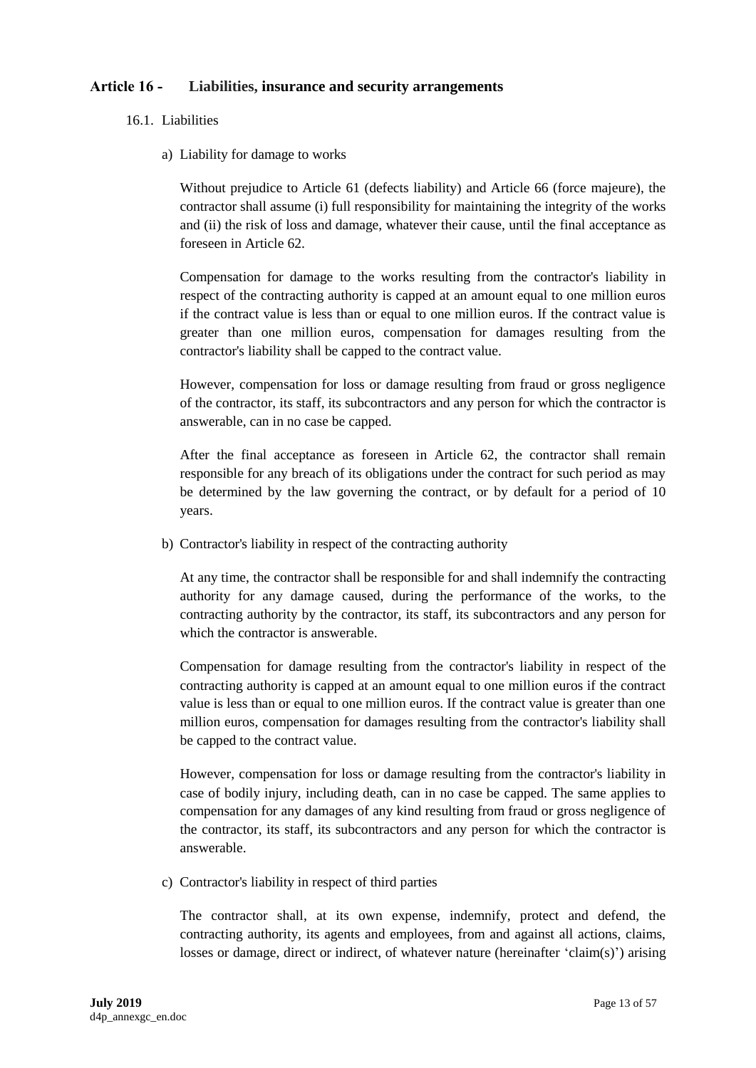### <span id="page-12-0"></span>**Article 16 - Liabilities, insurance and security arrangements**

### 16.1. Liabilities

a) Liability for damage to works

Without prejudice to Article 61 (defects liability) and Article 66 (force majeure), the contractor shall assume (i) full responsibility for maintaining the integrity of the works and (ii) the risk of loss and damage, whatever their cause, until the final acceptance as foreseen in Article 62.

Compensation for damage to the works resulting from the contractor's liability in respect of the contracting authority is capped at an amount equal to one million euros if the contract value is less than or equal to one million euros. If the contract value is greater than one million euros, compensation for damages resulting from the contractor's liability shall be capped to the contract value.

However, compensation for loss or damage resulting from fraud or gross negligence of the contractor, its staff, its subcontractors and any person for which the contractor is answerable, can in no case be capped.

After the final acceptance as foreseen in Article 62, the contractor shall remain responsible for any breach of its obligations under the contract for such period as may be determined by the law governing the contract, or by default for a period of 10 years.

b) Contractor's liability in respect of the contracting authority

At any time, the contractor shall be responsible for and shall indemnify the contracting authority for any damage caused, during the performance of the works, to the contracting authority by the contractor, its staff, its subcontractors and any person for which the contractor is answerable.

Compensation for damage resulting from the contractor's liability in respect of the contracting authority is capped at an amount equal to one million euros if the contract value is less than or equal to one million euros. If the contract value is greater than one million euros, compensation for damages resulting from the contractor's liability shall be capped to the contract value.

However, compensation for loss or damage resulting from the contractor's liability in case of bodily injury, including death, can in no case be capped. The same applies to compensation for any damages of any kind resulting from fraud or gross negligence of the contractor, its staff, its subcontractors and any person for which the contractor is answerable.

c) Contractor's liability in respect of third parties

The contractor shall, at its own expense, indemnify, protect and defend, the contracting authority, its agents and employees, from and against all actions, claims, losses or damage, direct or indirect, of whatever nature (hereinafter 'claim(s)') arising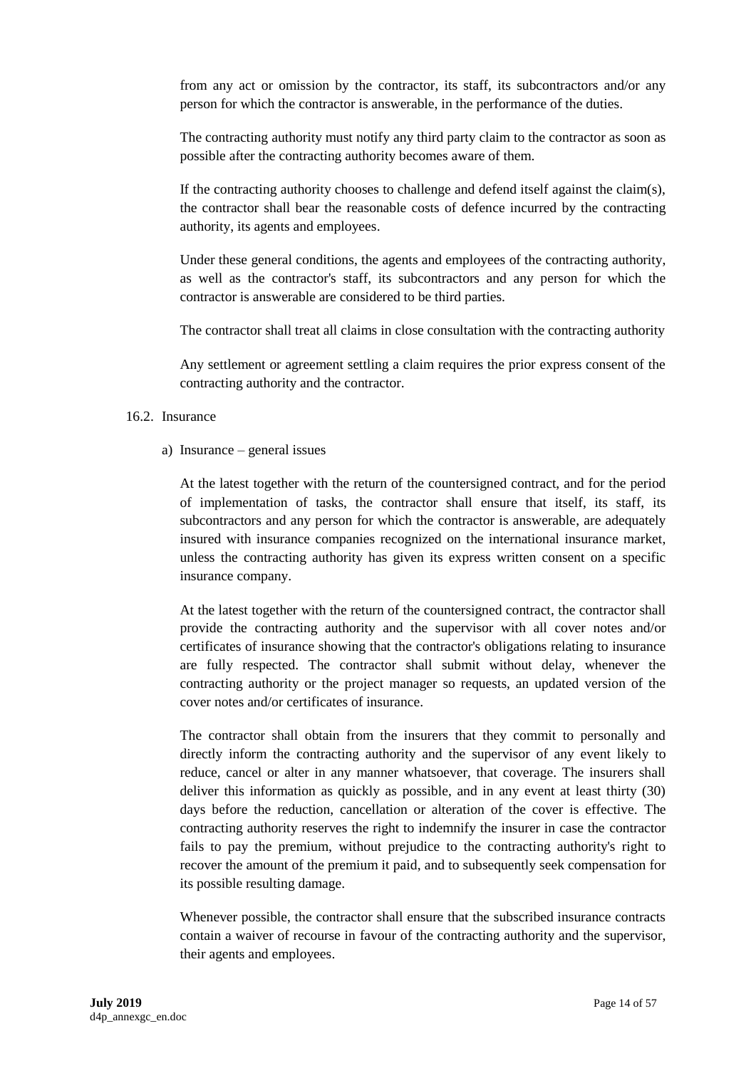from any act or omission by the contractor, its staff, its subcontractors and/or any person for which the contractor is answerable, in the performance of the duties.

The contracting authority must notify any third party claim to the contractor as soon as possible after the contracting authority becomes aware of them.

If the contracting authority chooses to challenge and defend itself against the claim(s), the contractor shall bear the reasonable costs of defence incurred by the contracting authority, its agents and employees.

Under these general conditions, the agents and employees of the contracting authority, as well as the contractor's staff, its subcontractors and any person for which the contractor is answerable are considered to be third parties.

The contractor shall treat all claims in close consultation with the contracting authority

Any settlement or agreement settling a claim requires the prior express consent of the contracting authority and the contractor.

#### 16.2. Insurance

a) Insurance – general issues

At the latest together with the return of the countersigned contract, and for the period of implementation of tasks, the contractor shall ensure that itself, its staff, its subcontractors and any person for which the contractor is answerable, are adequately insured with insurance companies recognized on the international insurance market, unless the contracting authority has given its express written consent on a specific insurance company.

At the latest together with the return of the countersigned contract, the contractor shall provide the contracting authority and the supervisor with all cover notes and/or certificates of insurance showing that the contractor's obligations relating to insurance are fully respected. The contractor shall submit without delay, whenever the contracting authority or the project manager so requests, an updated version of the cover notes and/or certificates of insurance.

The contractor shall obtain from the insurers that they commit to personally and directly inform the contracting authority and the supervisor of any event likely to reduce, cancel or alter in any manner whatsoever, that coverage. The insurers shall deliver this information as quickly as possible, and in any event at least thirty (30) days before the reduction, cancellation or alteration of the cover is effective. The contracting authority reserves the right to indemnify the insurer in case the contractor fails to pay the premium, without prejudice to the contracting authority's right to recover the amount of the premium it paid, and to subsequently seek compensation for its possible resulting damage.

Whenever possible, the contractor shall ensure that the subscribed insurance contracts contain a waiver of recourse in favour of the contracting authority and the supervisor, their agents and employees.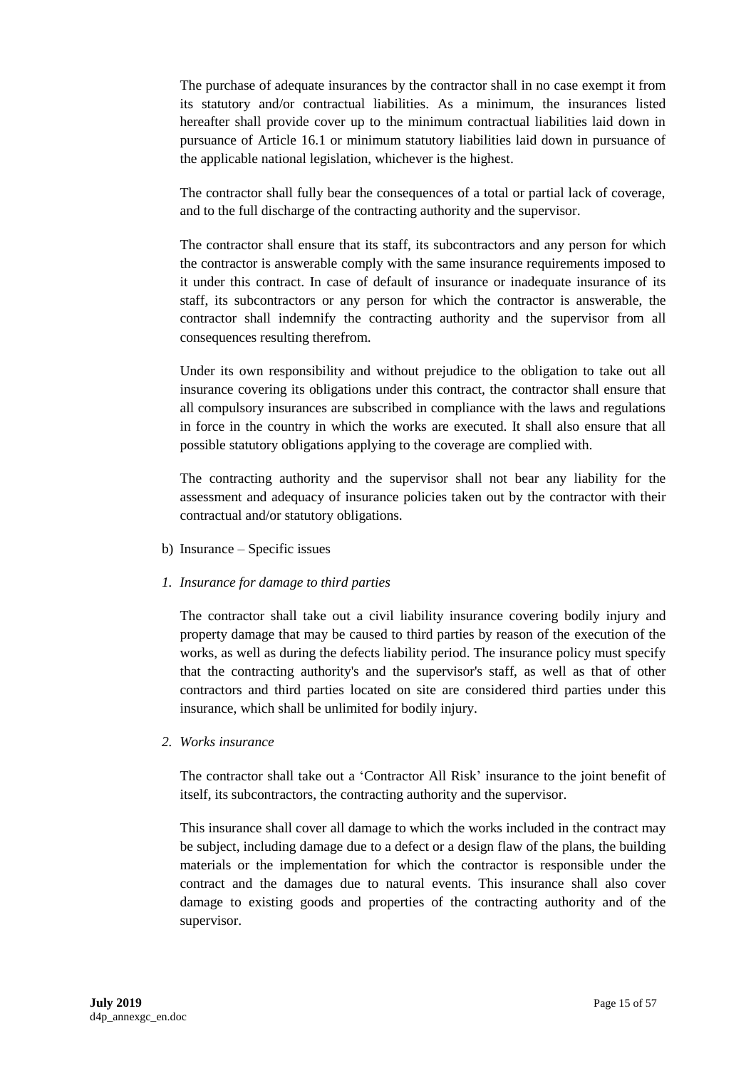The purchase of adequate insurances by the contractor shall in no case exempt it from its statutory and/or contractual liabilities. As a minimum, the insurances listed hereafter shall provide cover up to the minimum contractual liabilities laid down in pursuance of Article 16.1 or minimum statutory liabilities laid down in pursuance of the applicable national legislation, whichever is the highest.

The contractor shall fully bear the consequences of a total or partial lack of coverage, and to the full discharge of the contracting authority and the supervisor.

The contractor shall ensure that its staff, its subcontractors and any person for which the contractor is answerable comply with the same insurance requirements imposed to it under this contract. In case of default of insurance or inadequate insurance of its staff, its subcontractors or any person for which the contractor is answerable, the contractor shall indemnify the contracting authority and the supervisor from all consequences resulting therefrom.

Under its own responsibility and without prejudice to the obligation to take out all insurance covering its obligations under this contract, the contractor shall ensure that all compulsory insurances are subscribed in compliance with the laws and regulations in force in the country in which the works are executed. It shall also ensure that all possible statutory obligations applying to the coverage are complied with.

The contracting authority and the supervisor shall not bear any liability for the assessment and adequacy of insurance policies taken out by the contractor with their contractual and/or statutory obligations.

b) Insurance – Specific issues

### *1. Insurance for damage to third parties*

The contractor shall take out a civil liability insurance covering bodily injury and property damage that may be caused to third parties by reason of the execution of the works, as well as during the defects liability period. The insurance policy must specify that the contracting authority's and the supervisor's staff, as well as that of other contractors and third parties located on site are considered third parties under this insurance, which shall be unlimited for bodily injury.

*2. Works insurance* 

The contractor shall take out a 'Contractor All Risk' insurance to the joint benefit of itself, its subcontractors, the contracting authority and the supervisor.

This insurance shall cover all damage to which the works included in the contract may be subject, including damage due to a defect or a design flaw of the plans, the building materials or the implementation for which the contractor is responsible under the contract and the damages due to natural events. This insurance shall also cover damage to existing goods and properties of the contracting authority and of the supervisor.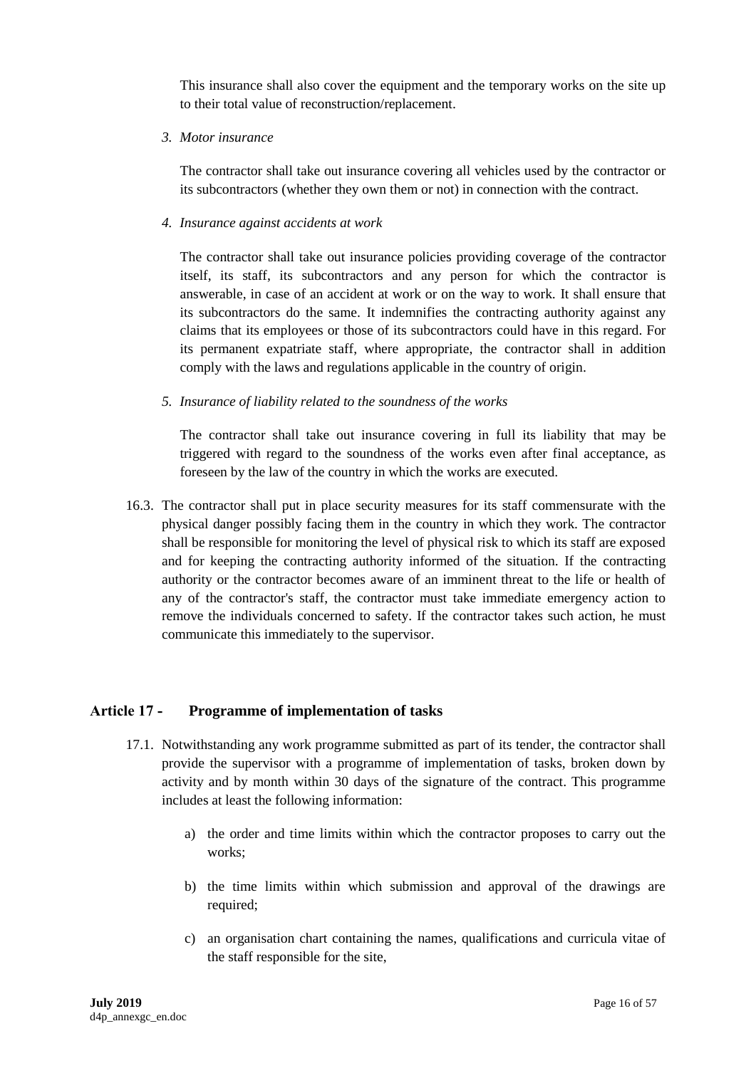This insurance shall also cover the equipment and the temporary works on the site up to their total value of reconstruction/replacement.

*3. Motor insurance*

The contractor shall take out insurance covering all vehicles used by the contractor or its subcontractors (whether they own them or not) in connection with the contract.

*4. Insurance against accidents at work*

The contractor shall take out insurance policies providing coverage of the contractor itself, its staff, its subcontractors and any person for which the contractor is answerable, in case of an accident at work or on the way to work. It shall ensure that its subcontractors do the same. It indemnifies the contracting authority against any claims that its employees or those of its subcontractors could have in this regard. For its permanent expatriate staff, where appropriate, the contractor shall in addition comply with the laws and regulations applicable in the country of origin.

*5. Insurance of liability related to the soundness of the works*

The contractor shall take out insurance covering in full its liability that may be triggered with regard to the soundness of the works even after final acceptance, as foreseen by the law of the country in which the works are executed.

16.3. The contractor shall put in place security measures for its staff commensurate with the physical danger possibly facing them in the country in which they work. The contractor shall be responsible for monitoring the level of physical risk to which its staff are exposed and for keeping the contracting authority informed of the situation. If the contracting authority or the contractor becomes aware of an imminent threat to the life or health of any of the contractor's staff, the contractor must take immediate emergency action to remove the individuals concerned to safety. If the contractor takes such action, he must communicate this immediately to the supervisor.

### <span id="page-15-0"></span>**Article 17 - Programme of implementation of tasks**

- 17.1. Notwithstanding any work programme submitted as part of its tender, the contractor shall provide the supervisor with a programme of implementation of tasks, broken down by activity and by month within 30 days of the signature of the contract. This programme includes at least the following information:
	- a) the order and time limits within which the contractor proposes to carry out the works;
	- b) the time limits within which submission and approval of the drawings are required;
	- c) an organisation chart containing the names, qualifications and curricula vitae of the staff responsible for the site,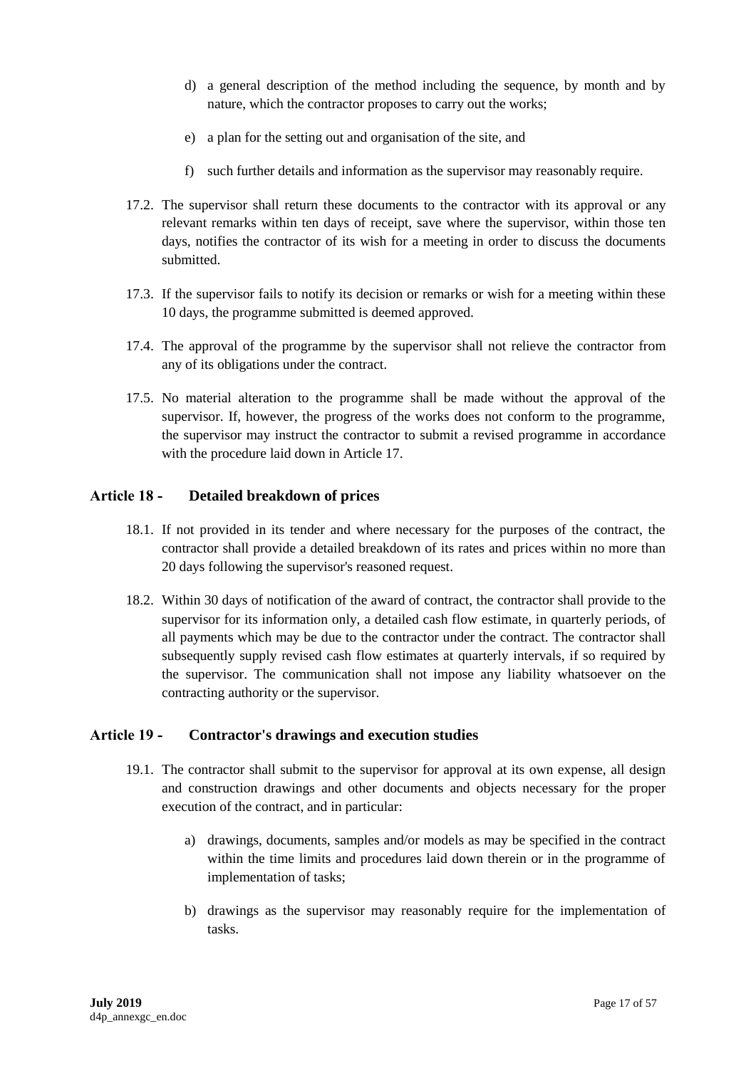- d) a general description of the method including the sequence, by month and by nature, which the contractor proposes to carry out the works;
- e) a plan for the setting out and organisation of the site, and
- f) such further details and information as the supervisor may reasonably require.
- 17.2. The supervisor shall return these documents to the contractor with its approval or any relevant remarks within ten days of receipt, save where the supervisor, within those ten days, notifies the contractor of its wish for a meeting in order to discuss the documents submitted.
- 17.3. If the supervisor fails to notify its decision or remarks or wish for a meeting within these 10 days, the programme submitted is deemed approved.
- 17.4. The approval of the programme by the supervisor shall not relieve the contractor from any of its obligations under the contract.
- 17.5. No material alteration to the programme shall be made without the approval of the supervisor. If, however, the progress of the works does not conform to the programme, the supervisor may instruct the contractor to submit a revised programme in accordance with the procedure laid down in Article 17.

## <span id="page-16-0"></span>**Article 18 - Detailed breakdown of prices**

- 18.1. If not provided in its tender and where necessary for the purposes of the contract, the contractor shall provide a detailed breakdown of its rates and prices within no more than 20 days following the supervisor's reasoned request.
- 18.2. Within 30 days of notification of the award of contract, the contractor shall provide to the supervisor for its information only, a detailed cash flow estimate, in quarterly periods, of all payments which may be due to the contractor under the contract. The contractor shall subsequently supply revised cash flow estimates at quarterly intervals, if so required by the supervisor. The communication shall not impose any liability whatsoever on the contracting authority or the supervisor.

### <span id="page-16-1"></span>**Article 19 - Contractor's drawings and execution studies**

- 19.1. The contractor shall submit to the supervisor for approval at its own expense, all design and construction drawings and other documents and objects necessary for the proper execution of the contract, and in particular:
	- a) drawings, documents, samples and/or models as may be specified in the contract within the time limits and procedures laid down therein or in the programme of implementation of tasks;
	- b) drawings as the supervisor may reasonably require for the implementation of tasks.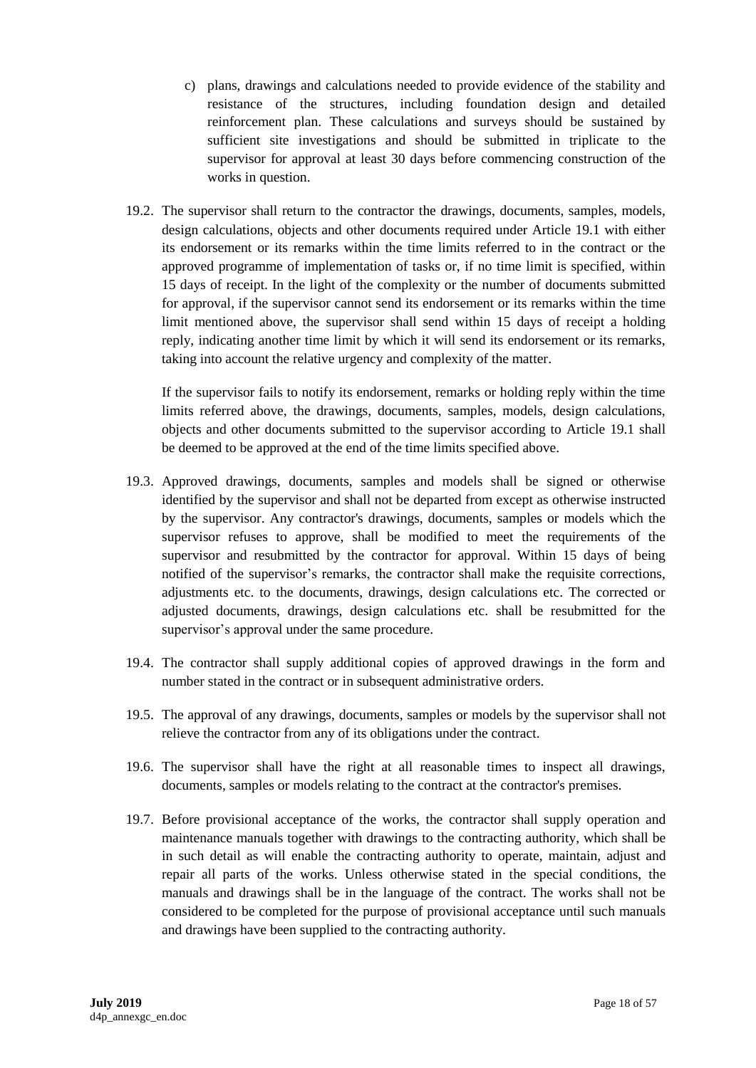- c) plans, drawings and calculations needed to provide evidence of the stability and resistance of the structures, including foundation design and detailed reinforcement plan. These calculations and surveys should be sustained by sufficient site investigations and should be submitted in triplicate to the supervisor for approval at least 30 days before commencing construction of the works in question.
- 19.2. The supervisor shall return to the contractor the drawings, documents, samples, models, design calculations, objects and other documents required under Article 19.1 with either its endorsement or its remarks within the time limits referred to in the contract or the approved programme of implementation of tasks or, if no time limit is specified, within 15 days of receipt. In the light of the complexity or the number of documents submitted for approval, if the supervisor cannot send its endorsement or its remarks within the time limit mentioned above, the supervisor shall send within 15 days of receipt a holding reply, indicating another time limit by which it will send its endorsement or its remarks, taking into account the relative urgency and complexity of the matter.

If the supervisor fails to notify its endorsement, remarks or holding reply within the time limits referred above, the drawings, documents, samples, models, design calculations, objects and other documents submitted to the supervisor according to Article 19.1 shall be deemed to be approved at the end of the time limits specified above.

- 19.3. Approved drawings, documents, samples and models shall be signed or otherwise identified by the supervisor and shall not be departed from except as otherwise instructed by the supervisor. Any contractor's drawings, documents, samples or models which the supervisor refuses to approve, shall be modified to meet the requirements of the supervisor and resubmitted by the contractor for approval. Within 15 days of being notified of the supervisor's remarks, the contractor shall make the requisite corrections, adjustments etc. to the documents, drawings, design calculations etc. The corrected or adjusted documents, drawings, design calculations etc. shall be resubmitted for the supervisor's approval under the same procedure.
- 19.4. The contractor shall supply additional copies of approved drawings in the form and number stated in the contract or in subsequent administrative orders.
- 19.5. The approval of any drawings, documents, samples or models by the supervisor shall not relieve the contractor from any of its obligations under the contract.
- 19.6. The supervisor shall have the right at all reasonable times to inspect all drawings, documents, samples or models relating to the contract at the contractor's premises.
- 19.7. Before provisional acceptance of the works, the contractor shall supply operation and maintenance manuals together with drawings to the contracting authority, which shall be in such detail as will enable the contracting authority to operate, maintain, adjust and repair all parts of the works. Unless otherwise stated in the special conditions, the manuals and drawings shall be in the language of the contract. The works shall not be considered to be completed for the purpose of provisional acceptance until such manuals and drawings have been supplied to the contracting authority.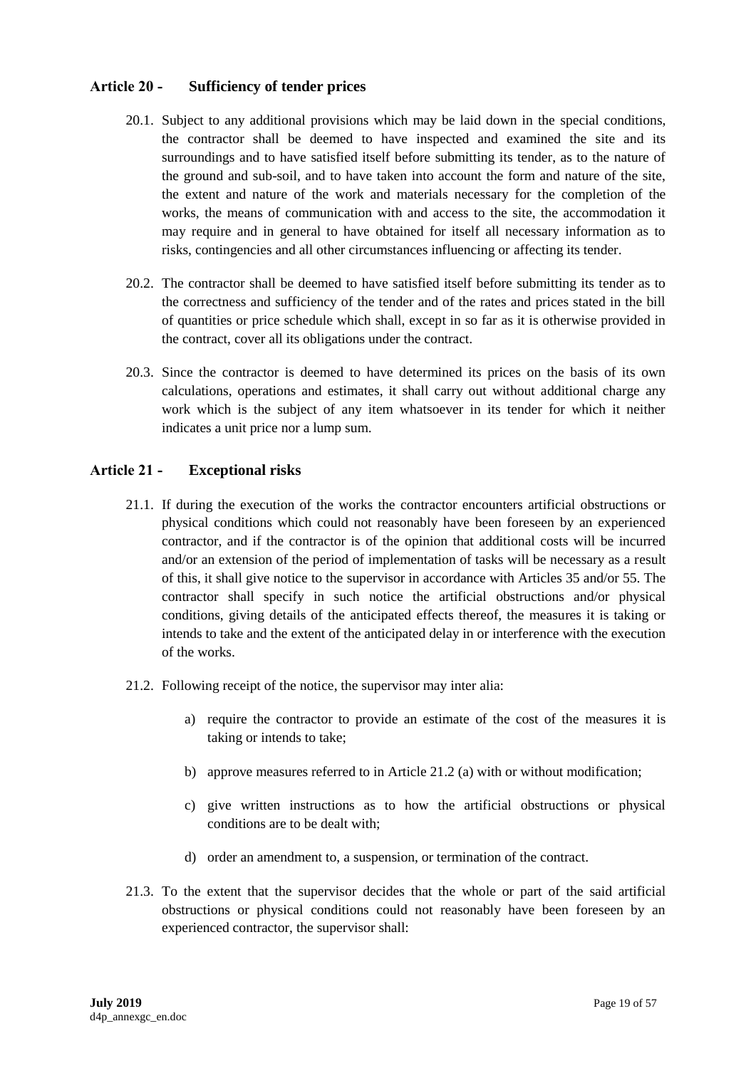## <span id="page-18-0"></span>**Article 20 - Sufficiency of tender prices**

- 20.1. Subject to any additional provisions which may be laid down in the special conditions, the contractor shall be deemed to have inspected and examined the site and its surroundings and to have satisfied itself before submitting its tender, as to the nature of the ground and sub-soil, and to have taken into account the form and nature of the site, the extent and nature of the work and materials necessary for the completion of the works, the means of communication with and access to the site, the accommodation it may require and in general to have obtained for itself all necessary information as to risks, contingencies and all other circumstances influencing or affecting its tender.
- 20.2. The contractor shall be deemed to have satisfied itself before submitting its tender as to the correctness and sufficiency of the tender and of the rates and prices stated in the bill of quantities or price schedule which shall, except in so far as it is otherwise provided in the contract, cover all its obligations under the contract.
- 20.3. Since the contractor is deemed to have determined its prices on the basis of its own calculations, operations and estimates, it shall carry out without additional charge any work which is the subject of any item whatsoever in its tender for which it neither indicates a unit price nor a lump sum.

## <span id="page-18-1"></span>**Article 21 - Exceptional risks**

- 21.1. If during the execution of the works the contractor encounters artificial obstructions or physical conditions which could not reasonably have been foreseen by an experienced contractor, and if the contractor is of the opinion that additional costs will be incurred and/or an extension of the period of implementation of tasks will be necessary as a result of this, it shall give notice to the supervisor in accordance with Articles 35 and/or 55. The contractor shall specify in such notice the artificial obstructions and/or physical conditions, giving details of the anticipated effects thereof, the measures it is taking or intends to take and the extent of the anticipated delay in or interference with the execution of the works.
- 21.2. Following receipt of the notice, the supervisor may inter alia:
	- a) require the contractor to provide an estimate of the cost of the measures it is taking or intends to take;
	- b) approve measures referred to in Article 21.2 (a) with or without modification;
	- c) give written instructions as to how the artificial obstructions or physical conditions are to be dealt with;
	- d) order an amendment to, a suspension, or termination of the contract.
- 21.3. To the extent that the supervisor decides that the whole or part of the said artificial obstructions or physical conditions could not reasonably have been foreseen by an experienced contractor, the supervisor shall: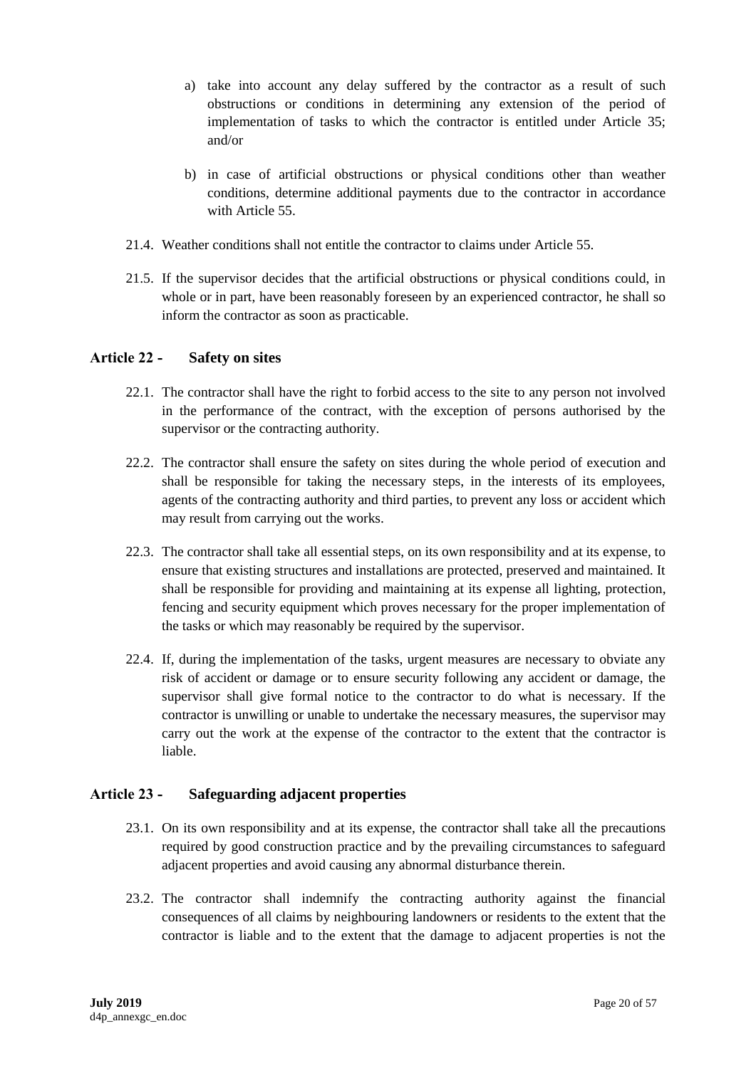- a) take into account any delay suffered by the contractor as a result of such obstructions or conditions in determining any extension of the period of implementation of tasks to which the contractor is entitled under Article 35; and/or
- b) in case of artificial obstructions or physical conditions other than weather conditions, determine additional payments due to the contractor in accordance with Article 55.
- 21.4. Weather conditions shall not entitle the contractor to claims under Article 55.
- 21.5. If the supervisor decides that the artificial obstructions or physical conditions could, in whole or in part, have been reasonably foreseen by an experienced contractor, he shall so inform the contractor as soon as practicable.

### <span id="page-19-0"></span>**Article 22 - Safety on sites**

- 22.1. The contractor shall have the right to forbid access to the site to any person not involved in the performance of the contract, with the exception of persons authorised by the supervisor or the contracting authority.
- 22.2. The contractor shall ensure the safety on sites during the whole period of execution and shall be responsible for taking the necessary steps, in the interests of its employees, agents of the contracting authority and third parties, to prevent any loss or accident which may result from carrying out the works.
- 22.3. The contractor shall take all essential steps, on its own responsibility and at its expense, to ensure that existing structures and installations are protected, preserved and maintained. It shall be responsible for providing and maintaining at its expense all lighting, protection, fencing and security equipment which proves necessary for the proper implementation of the tasks or which may reasonably be required by the supervisor.
- 22.4. If, during the implementation of the tasks, urgent measures are necessary to obviate any risk of accident or damage or to ensure security following any accident or damage, the supervisor shall give formal notice to the contractor to do what is necessary. If the contractor is unwilling or unable to undertake the necessary measures, the supervisor may carry out the work at the expense of the contractor to the extent that the contractor is liable.

### <span id="page-19-1"></span>**Article 23 - Safeguarding adjacent properties**

- 23.1. On its own responsibility and at its expense, the contractor shall take all the precautions required by good construction practice and by the prevailing circumstances to safeguard adjacent properties and avoid causing any abnormal disturbance therein.
- 23.2. The contractor shall indemnify the contracting authority against the financial consequences of all claims by neighbouring landowners or residents to the extent that the contractor is liable and to the extent that the damage to adjacent properties is not the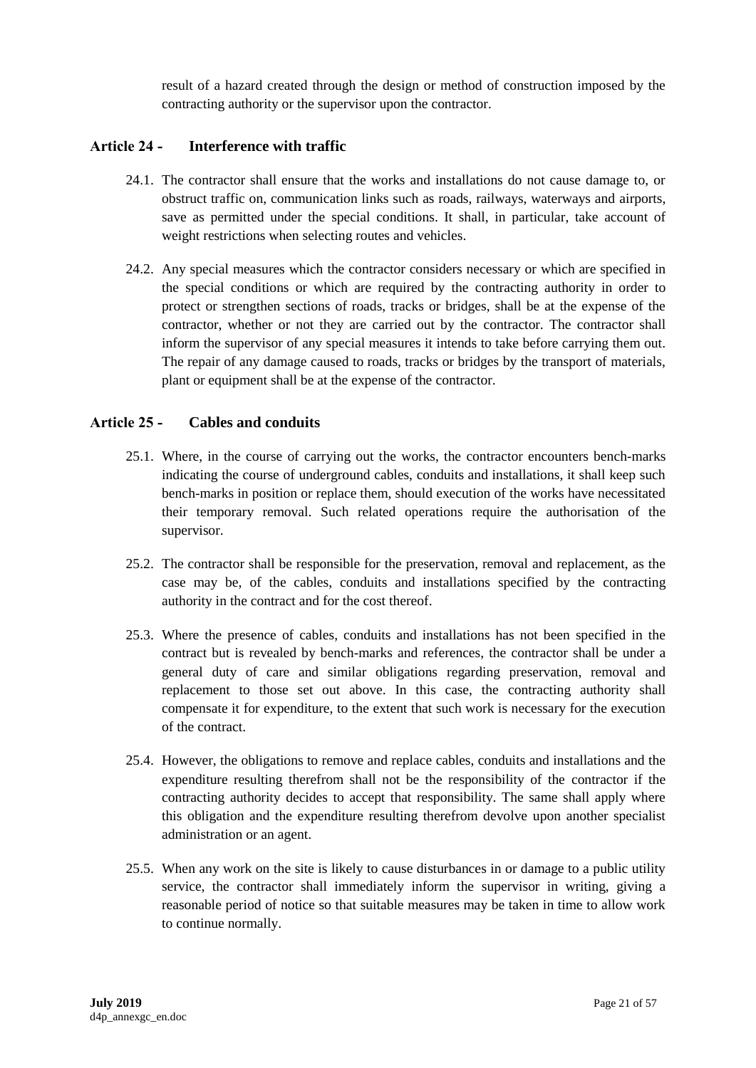result of a hazard created through the design or method of construction imposed by the contracting authority or the supervisor upon the contractor.

## <span id="page-20-0"></span>**Article 24 - Interference with traffic**

- 24.1. The contractor shall ensure that the works and installations do not cause damage to, or obstruct traffic on, communication links such as roads, railways, waterways and airports, save as permitted under the special conditions. It shall, in particular, take account of weight restrictions when selecting routes and vehicles.
- 24.2. Any special measures which the contractor considers necessary or which are specified in the special conditions or which are required by the contracting authority in order to protect or strengthen sections of roads, tracks or bridges, shall be at the expense of the contractor, whether or not they are carried out by the contractor. The contractor shall inform the supervisor of any special measures it intends to take before carrying them out. The repair of any damage caused to roads, tracks or bridges by the transport of materials, plant or equipment shall be at the expense of the contractor.

## <span id="page-20-1"></span>**Article 25 - Cables and conduits**

- 25.1. Where, in the course of carrying out the works, the contractor encounters bench-marks indicating the course of underground cables, conduits and installations, it shall keep such bench-marks in position or replace them, should execution of the works have necessitated their temporary removal. Such related operations require the authorisation of the supervisor.
- 25.2. The contractor shall be responsible for the preservation, removal and replacement, as the case may be, of the cables, conduits and installations specified by the contracting authority in the contract and for the cost thereof.
- 25.3. Where the presence of cables, conduits and installations has not been specified in the contract but is revealed by bench-marks and references, the contractor shall be under a general duty of care and similar obligations regarding preservation, removal and replacement to those set out above. In this case, the contracting authority shall compensate it for expenditure, to the extent that such work is necessary for the execution of the contract.
- 25.4. However, the obligations to remove and replace cables, conduits and installations and the expenditure resulting therefrom shall not be the responsibility of the contractor if the contracting authority decides to accept that responsibility. The same shall apply where this obligation and the expenditure resulting therefrom devolve upon another specialist administration or an agent.
- 25.5. When any work on the site is likely to cause disturbances in or damage to a public utility service, the contractor shall immediately inform the supervisor in writing, giving a reasonable period of notice so that suitable measures may be taken in time to allow work to continue normally.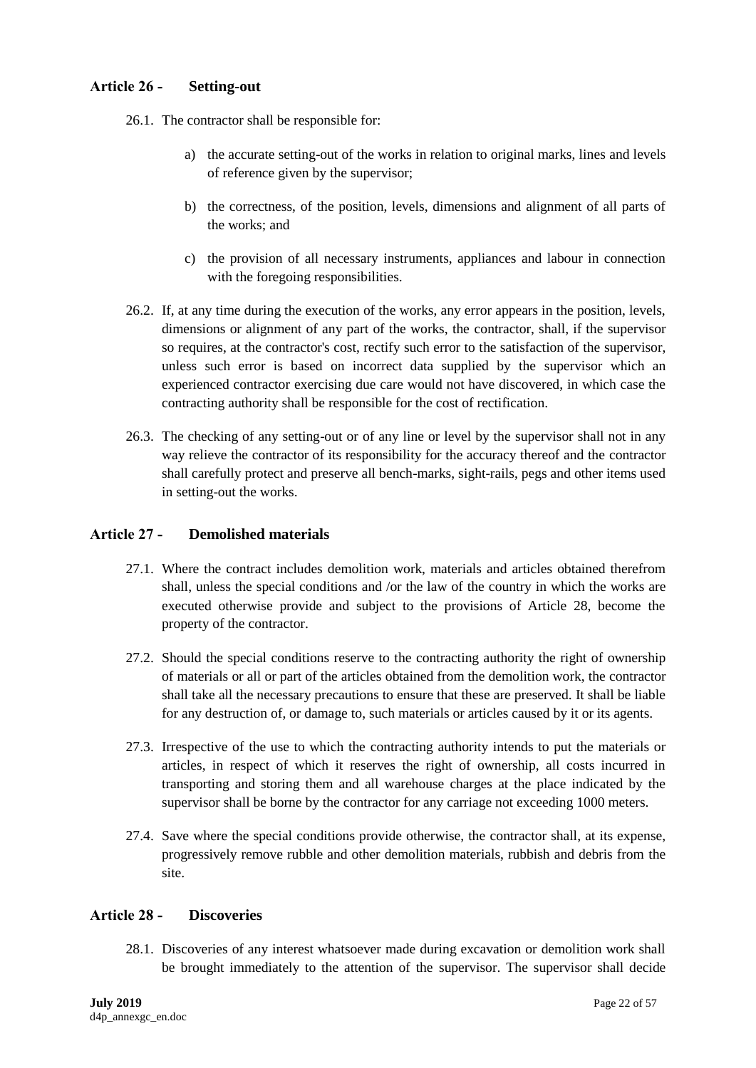## <span id="page-21-0"></span>**Article 26 - Setting-out**

26.1. The contractor shall be responsible for:

- a) the accurate setting-out of the works in relation to original marks, lines and levels of reference given by the supervisor;
- b) the correctness, of the position, levels, dimensions and alignment of all parts of the works; and
- c) the provision of all necessary instruments, appliances and labour in connection with the foregoing responsibilities.
- 26.2. If, at any time during the execution of the works, any error appears in the position, levels, dimensions or alignment of any part of the works, the contractor, shall, if the supervisor so requires, at the contractor's cost, rectify such error to the satisfaction of the supervisor, unless such error is based on incorrect data supplied by the supervisor which an experienced contractor exercising due care would not have discovered, in which case the contracting authority shall be responsible for the cost of rectification.
- 26.3. The checking of any setting-out or of any line or level by the supervisor shall not in any way relieve the contractor of its responsibility for the accuracy thereof and the contractor shall carefully protect and preserve all bench-marks, sight-rails, pegs and other items used in setting-out the works.

## <span id="page-21-1"></span>**Article 27 - Demolished materials**

- 27.1. Where the contract includes demolition work, materials and articles obtained therefrom shall, unless the special conditions and /or the law of the country in which the works are executed otherwise provide and subject to the provisions of Article 28, become the property of the contractor.
- 27.2. Should the special conditions reserve to the contracting authority the right of ownership of materials or all or part of the articles obtained from the demolition work, the contractor shall take all the necessary precautions to ensure that these are preserved. It shall be liable for any destruction of, or damage to, such materials or articles caused by it or its agents.
- 27.3. Irrespective of the use to which the contracting authority intends to put the materials or articles, in respect of which it reserves the right of ownership, all costs incurred in transporting and storing them and all warehouse charges at the place indicated by the supervisor shall be borne by the contractor for any carriage not exceeding 1000 meters.
- 27.4. Save where the special conditions provide otherwise, the contractor shall, at its expense, progressively remove rubble and other demolition materials, rubbish and debris from the site.

### <span id="page-21-2"></span>**Article 28 - Discoveries**

28.1. Discoveries of any interest whatsoever made during excavation or demolition work shall be brought immediately to the attention of the supervisor. The supervisor shall decide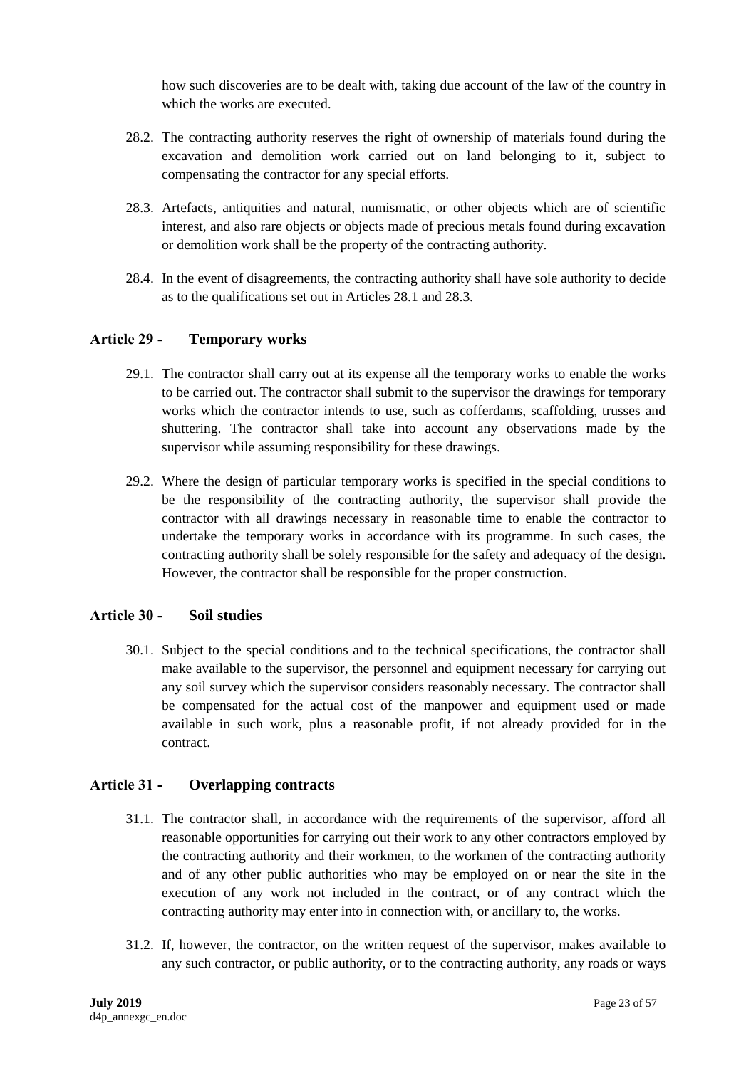how such discoveries are to be dealt with, taking due account of the law of the country in which the works are executed.

- 28.2. The contracting authority reserves the right of ownership of materials found during the excavation and demolition work carried out on land belonging to it, subject to compensating the contractor for any special efforts.
- 28.3. Artefacts, antiquities and natural, numismatic, or other objects which are of scientific interest, and also rare objects or objects made of precious metals found during excavation or demolition work shall be the property of the contracting authority.
- 28.4. In the event of disagreements, the contracting authority shall have sole authority to decide as to the qualifications set out in Articles 28.1 and 28.3.

## <span id="page-22-0"></span>**Article 29 - Temporary works**

- 29.1. The contractor shall carry out at its expense all the temporary works to enable the works to be carried out. The contractor shall submit to the supervisor the drawings for temporary works which the contractor intends to use, such as cofferdams, scaffolding, trusses and shuttering. The contractor shall take into account any observations made by the supervisor while assuming responsibility for these drawings.
- 29.2. Where the design of particular temporary works is specified in the special conditions to be the responsibility of the contracting authority, the supervisor shall provide the contractor with all drawings necessary in reasonable time to enable the contractor to undertake the temporary works in accordance with its programme. In such cases, the contracting authority shall be solely responsible for the safety and adequacy of the design. However, the contractor shall be responsible for the proper construction.

### <span id="page-22-1"></span>**Article 30 - Soil studies**

30.1. Subject to the special conditions and to the technical specifications, the contractor shall make available to the supervisor, the personnel and equipment necessary for carrying out any soil survey which the supervisor considers reasonably necessary. The contractor shall be compensated for the actual cost of the manpower and equipment used or made available in such work, plus a reasonable profit, if not already provided for in the contract.

### <span id="page-22-2"></span>**Article 31 - Overlapping contracts**

- 31.1. The contractor shall, in accordance with the requirements of the supervisor, afford all reasonable opportunities for carrying out their work to any other contractors employed by the contracting authority and their workmen, to the workmen of the contracting authority and of any other public authorities who may be employed on or near the site in the execution of any work not included in the contract, or of any contract which the contracting authority may enter into in connection with, or ancillary to, the works.
- 31.2. If, however, the contractor, on the written request of the supervisor, makes available to any such contractor, or public authority, or to the contracting authority, any roads or ways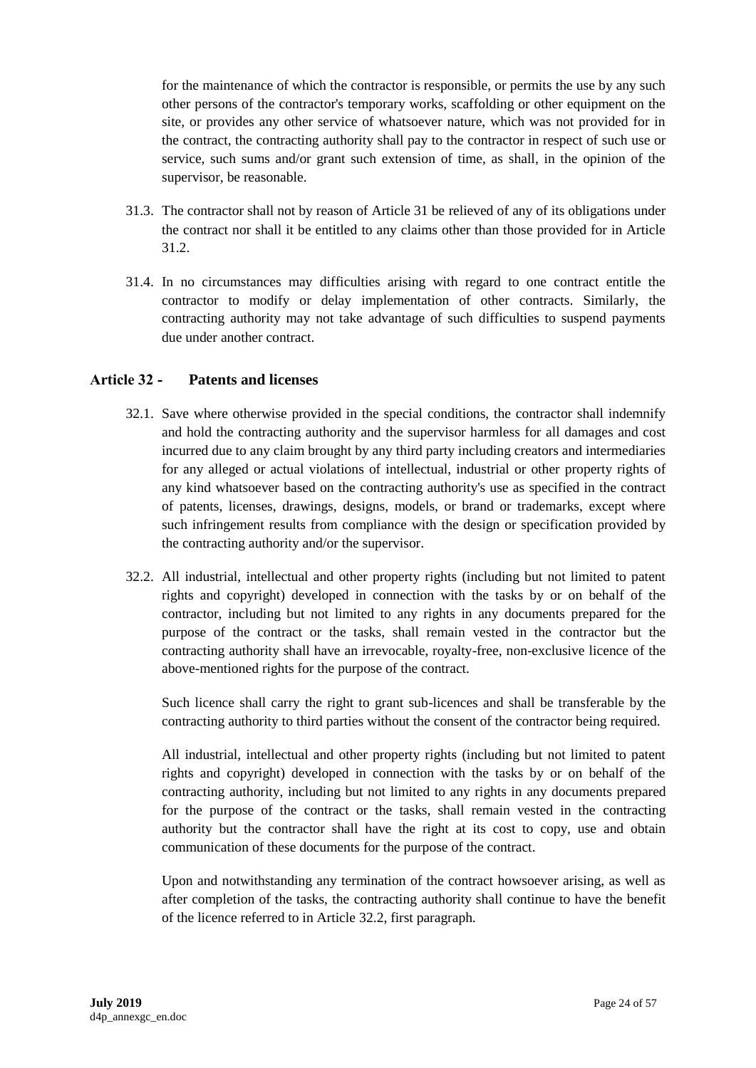for the maintenance of which the contractor is responsible, or permits the use by any such other persons of the contractor's temporary works, scaffolding or other equipment on the site, or provides any other service of whatsoever nature, which was not provided for in the contract, the contracting authority shall pay to the contractor in respect of such use or service, such sums and/or grant such extension of time, as shall, in the opinion of the supervisor, be reasonable.

- 31.3. The contractor shall not by reason of Article 31 be relieved of any of its obligations under the contract nor shall it be entitled to any claims other than those provided for in Article 31.2.
- 31.4. In no circumstances may difficulties arising with regard to one contract entitle the contractor to modify or delay implementation of other contracts. Similarly, the contracting authority may not take advantage of such difficulties to suspend payments due under another contract.

### <span id="page-23-0"></span>**Article 32 - Patents and licenses**

- 32.1. Save where otherwise provided in the special conditions, the contractor shall indemnify and hold the contracting authority and the supervisor harmless for all damages and cost incurred due to any claim brought by any third party including creators and intermediaries for any alleged or actual violations of intellectual, industrial or other property rights of any kind whatsoever based on the contracting authority's use as specified in the contract of patents, licenses, drawings, designs, models, or brand or trademarks, except where such infringement results from compliance with the design or specification provided by the contracting authority and/or the supervisor.
- 32.2. All industrial, intellectual and other property rights (including but not limited to patent rights and copyright) developed in connection with the tasks by or on behalf of the contractor, including but not limited to any rights in any documents prepared for the purpose of the contract or the tasks, shall remain vested in the contractor but the contracting authority shall have an irrevocable, royalty-free, non-exclusive licence of the above-mentioned rights for the purpose of the contract.

Such licence shall carry the right to grant sub-licences and shall be transferable by the contracting authority to third parties without the consent of the contractor being required.

All industrial, intellectual and other property rights (including but not limited to patent rights and copyright) developed in connection with the tasks by or on behalf of the contracting authority, including but not limited to any rights in any documents prepared for the purpose of the contract or the tasks, shall remain vested in the contracting authority but the contractor shall have the right at its cost to copy, use and obtain communication of these documents for the purpose of the contract.

Upon and notwithstanding any termination of the contract howsoever arising, as well as after completion of the tasks, the contracting authority shall continue to have the benefit of the licence referred to in Article 32.2, first paragraph.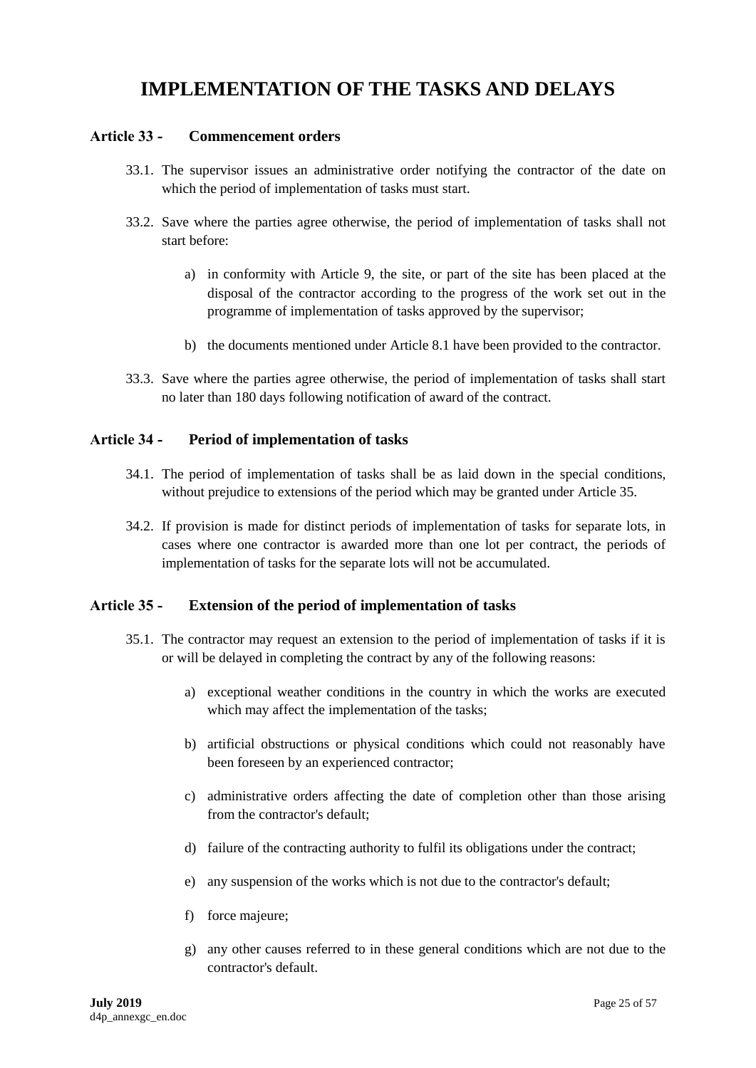# **IMPLEMENTATION OF THE TASKS AND DELAYS**

### <span id="page-24-1"></span><span id="page-24-0"></span>**Article 33 - Commencement orders**

- 33.1. The supervisor issues an administrative order notifying the contractor of the date on which the period of implementation of tasks must start.
- 33.2. Save where the parties agree otherwise, the period of implementation of tasks shall not start before:
	- a) in conformity with Article 9, the site, or part of the site has been placed at the disposal of the contractor according to the progress of the work set out in the programme of implementation of tasks approved by the supervisor;
	- b) the documents mentioned under Article 8.1 have been provided to the contractor.
- 33.3. Save where the parties agree otherwise, the period of implementation of tasks shall start no later than 180 days following notification of award of the contract.

#### <span id="page-24-2"></span>**Article 34 - Period of implementation of tasks**

- 34.1. The period of implementation of tasks shall be as laid down in the special conditions, without prejudice to extensions of the period which may be granted under Article 35.
- 34.2. If provision is made for distinct periods of implementation of tasks for separate lots, in cases where one contractor is awarded more than one lot per contract, the periods of implementation of tasks for the separate lots will not be accumulated.

### <span id="page-24-3"></span>**Article 35 - Extension of the period of implementation of tasks**

- 35.1. The contractor may request an extension to the period of implementation of tasks if it is or will be delayed in completing the contract by any of the following reasons:
	- a) exceptional weather conditions in the country in which the works are executed which may affect the implementation of the tasks;
	- b) artificial obstructions or physical conditions which could not reasonably have been foreseen by an experienced contractor;
	- c) administrative orders affecting the date of completion other than those arising from the contractor's default;
	- d) failure of the contracting authority to fulfil its obligations under the contract;
	- e) any suspension of the works which is not due to the contractor's default;
	- f) force majeure;
	- g) any other causes referred to in these general conditions which are not due to the contractor's default.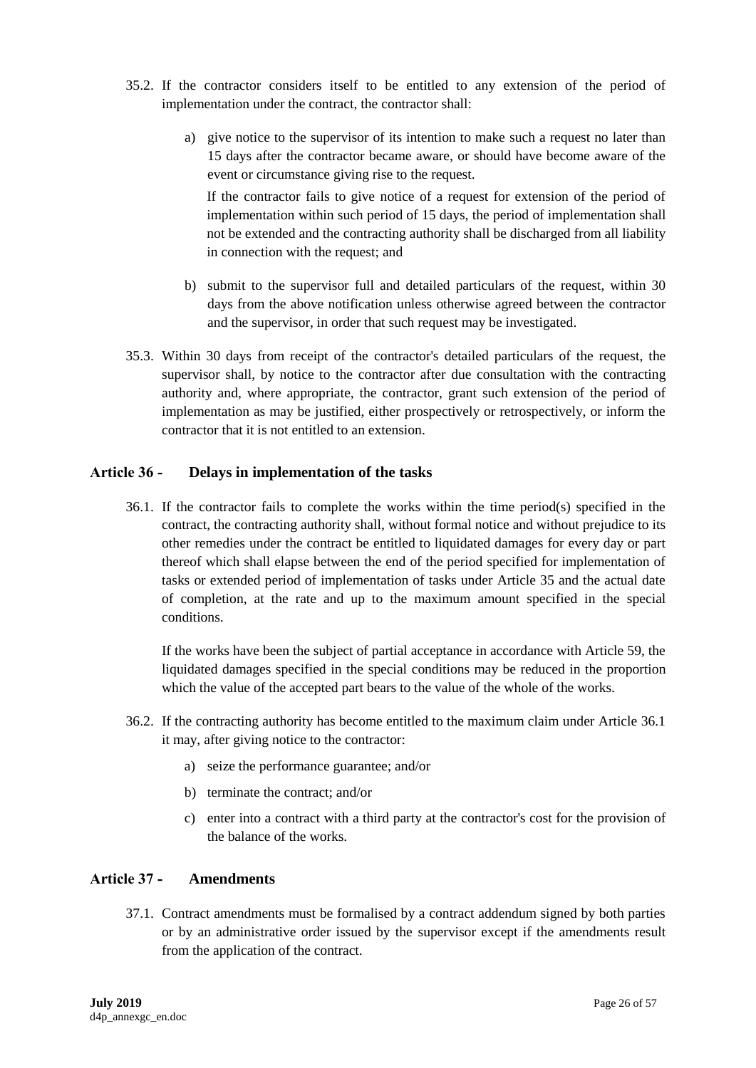- 35.2. If the contractor considers itself to be entitled to any extension of the period of implementation under the contract, the contractor shall:
	- a) give notice to the supervisor of its intention to make such a request no later than 15 days after the contractor became aware, or should have become aware of the event or circumstance giving rise to the request.

If the contractor fails to give notice of a request for extension of the period of implementation within such period of 15 days, the period of implementation shall not be extended and the contracting authority shall be discharged from all liability in connection with the request; and

- b) submit to the supervisor full and detailed particulars of the request, within 30 days from the above notification unless otherwise agreed between the contractor and the supervisor, in order that such request may be investigated.
- 35.3. Within 30 days from receipt of the contractor's detailed particulars of the request, the supervisor shall, by notice to the contractor after due consultation with the contracting authority and, where appropriate, the contractor, grant such extension of the period of implementation as may be justified, either prospectively or retrospectively, or inform the contractor that it is not entitled to an extension.

### <span id="page-25-0"></span>**Article 36 - Delays in implementation of the tasks**

36.1. If the contractor fails to complete the works within the time period(s) specified in the contract, the contracting authority shall, without formal notice and without prejudice to its other remedies under the contract be entitled to liquidated damages for every day or part thereof which shall elapse between the end of the period specified for implementation of tasks or extended period of implementation of tasks under Article 35 and the actual date of completion, at the rate and up to the maximum amount specified in the special conditions.

If the works have been the subject of partial acceptance in accordance with Article 59, the liquidated damages specified in the special conditions may be reduced in the proportion which the value of the accepted part bears to the value of the whole of the works.

- 36.2. If the contracting authority has become entitled to the maximum claim under Article 36.1 it may, after giving notice to the contractor:
	- a) seize the performance guarantee; and/or
	- b) terminate the contract; and/or
	- c) enter into a contract with a third party at the contractor's cost for the provision of the balance of the works.

### <span id="page-25-1"></span>**Article 37 - Amendments**

37.1. Contract amendments must be formalised by a contract addendum signed by both parties or by an administrative order issued by the supervisor except if the amendments result from the application of the contract.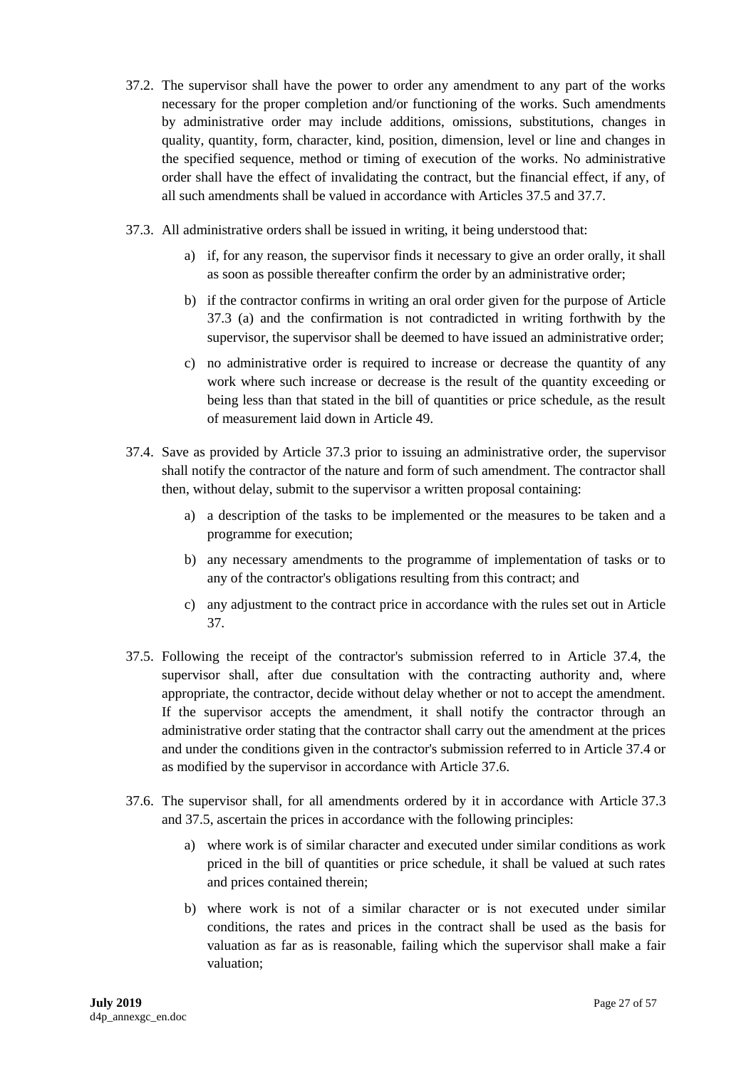- 37.2. The supervisor shall have the power to order any amendment to any part of the works necessary for the proper completion and/or functioning of the works. Such amendments by administrative order may include additions, omissions, substitutions, changes in quality, quantity, form, character, kind, position, dimension, level or line and changes in the specified sequence, method or timing of execution of the works. No administrative order shall have the effect of invalidating the contract, but the financial effect, if any, of all such amendments shall be valued in accordance with Articles 37.5 and 37.7.
- 37.3. All administrative orders shall be issued in writing, it being understood that:
	- a) if, for any reason, the supervisor finds it necessary to give an order orally, it shall as soon as possible thereafter confirm the order by an administrative order;
	- b) if the contractor confirms in writing an oral order given for the purpose of Article 37.3 (a) and the confirmation is not contradicted in writing forthwith by the supervisor, the supervisor shall be deemed to have issued an administrative order;
	- c) no administrative order is required to increase or decrease the quantity of any work where such increase or decrease is the result of the quantity exceeding or being less than that stated in the bill of quantities or price schedule, as the result of measurement laid down in Article 49.
- 37.4. Save as provided by Article 37.3 prior to issuing an administrative order, the supervisor shall notify the contractor of the nature and form of such amendment. The contractor shall then, without delay, submit to the supervisor a written proposal containing:
	- a) a description of the tasks to be implemented or the measures to be taken and a programme for execution;
	- b) any necessary amendments to the programme of implementation of tasks or to any of the contractor's obligations resulting from this contract; and
	- c) any adjustment to the contract price in accordance with the rules set out in Article 37.
- 37.5. Following the receipt of the contractor's submission referred to in Article 37.4, the supervisor shall, after due consultation with the contracting authority and, where appropriate, the contractor, decide without delay whether or not to accept the amendment. If the supervisor accepts the amendment, it shall notify the contractor through an administrative order stating that the contractor shall carry out the amendment at the prices and under the conditions given in the contractor's submission referred to in Article 37.4 or as modified by the supervisor in accordance with Article 37.6.
- 37.6. The supervisor shall, for all amendments ordered by it in accordance with Article 37.3 and 37.5, ascertain the prices in accordance with the following principles:
	- a) where work is of similar character and executed under similar conditions as work priced in the bill of quantities or price schedule, it shall be valued at such rates and prices contained therein;
	- b) where work is not of a similar character or is not executed under similar conditions, the rates and prices in the contract shall be used as the basis for valuation as far as is reasonable, failing which the supervisor shall make a fair valuation;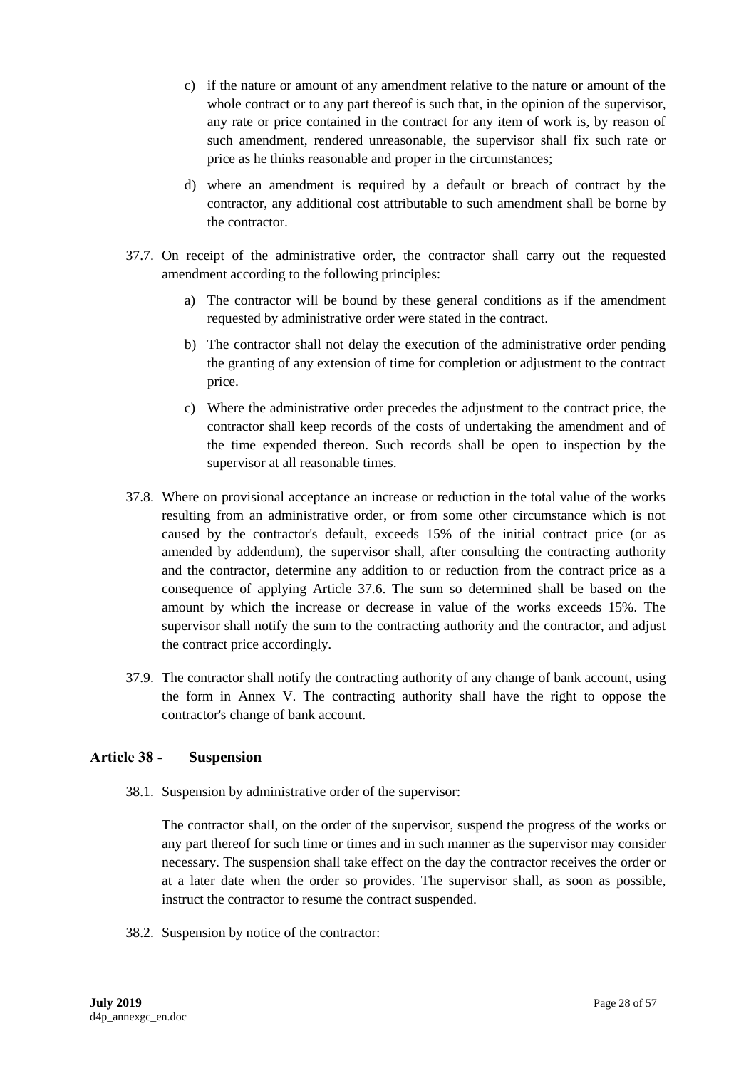- c) if the nature or amount of any amendment relative to the nature or amount of the whole contract or to any part thereof is such that, in the opinion of the supervisor, any rate or price contained in the contract for any item of work is, by reason of such amendment, rendered unreasonable, the supervisor shall fix such rate or price as he thinks reasonable and proper in the circumstances;
- d) where an amendment is required by a default or breach of contract by the contractor, any additional cost attributable to such amendment shall be borne by the contractor.
- 37.7. On receipt of the administrative order, the contractor shall carry out the requested amendment according to the following principles:
	- a) The contractor will be bound by these general conditions as if the amendment requested by administrative order were stated in the contract.
	- b) The contractor shall not delay the execution of the administrative order pending the granting of any extension of time for completion or adjustment to the contract price.
	- c) Where the administrative order precedes the adjustment to the contract price, the contractor shall keep records of the costs of undertaking the amendment and of the time expended thereon. Such records shall be open to inspection by the supervisor at all reasonable times.
- 37.8. Where on provisional acceptance an increase or reduction in the total value of the works resulting from an administrative order, or from some other circumstance which is not caused by the contractor's default, exceeds 15% of the initial contract price (or as amended by addendum), the supervisor shall, after consulting the contracting authority and the contractor, determine any addition to or reduction from the contract price as a consequence of applying Article 37.6. The sum so determined shall be based on the amount by which the increase or decrease in value of the works exceeds 15%. The supervisor shall notify the sum to the contracting authority and the contractor, and adjust the contract price accordingly.
- 37.9. The contractor shall notify the contracting authority of any change of bank account, using the form in Annex V. The contracting authority shall have the right to oppose the contractor's change of bank account.

### <span id="page-27-0"></span>**Article 38 - Suspension**

38.1. Suspension by administrative order of the supervisor:

The contractor shall, on the order of the supervisor, suspend the progress of the works or any part thereof for such time or times and in such manner as the supervisor may consider necessary. The suspension shall take effect on the day the contractor receives the order or at a later date when the order so provides. The supervisor shall, as soon as possible, instruct the contractor to resume the contract suspended.

38.2. Suspension by notice of the contractor: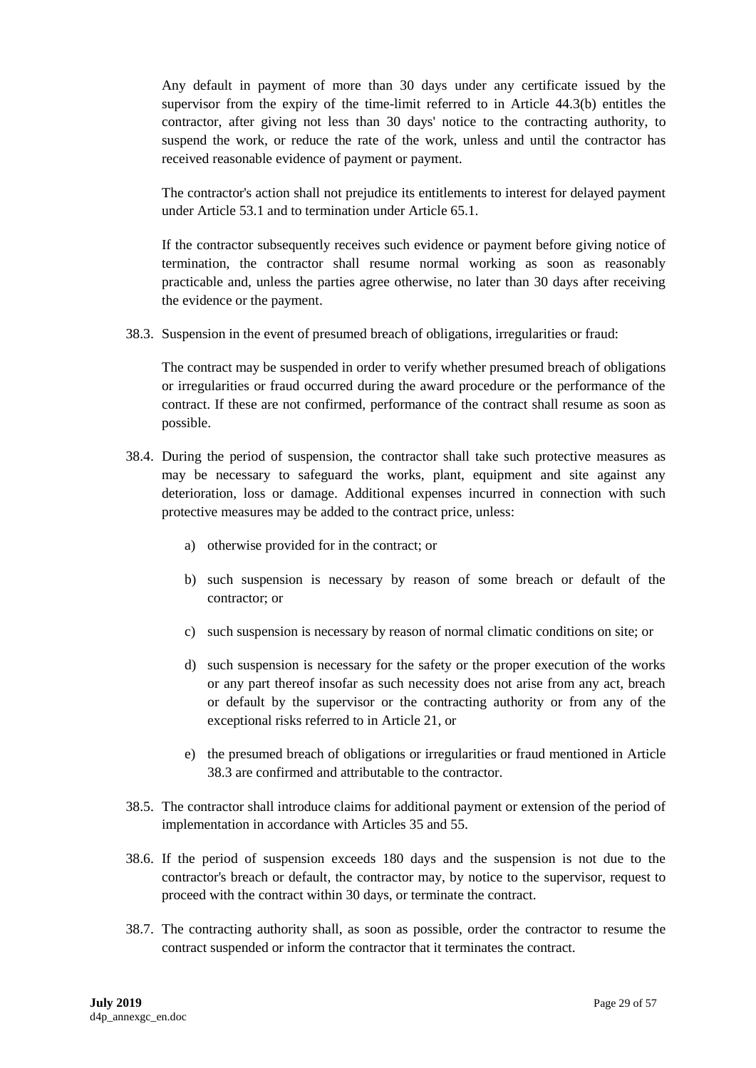Any default in payment of more than 30 days under any certificate issued by the supervisor from the expiry of the time-limit referred to in Article 44.3(b) entitles the contractor, after giving not less than 30 days' notice to the contracting authority, to suspend the work, or reduce the rate of the work, unless and until the contractor has received reasonable evidence of payment or payment.

The contractor's action shall not prejudice its entitlements to interest for delayed payment under Article 53.1 and to termination under Article 65.1.

If the contractor subsequently receives such evidence or payment before giving notice of termination, the contractor shall resume normal working as soon as reasonably practicable and, unless the parties agree otherwise, no later than 30 days after receiving the evidence or the payment.

38.3. Suspension in the event of presumed breach of obligations, irregularities or fraud:

The contract may be suspended in order to verify whether presumed breach of obligations or irregularities or fraud occurred during the award procedure or the performance of the contract. If these are not confirmed, performance of the contract shall resume as soon as possible.

- 38.4. During the period of suspension, the contractor shall take such protective measures as may be necessary to safeguard the works, plant, equipment and site against any deterioration, loss or damage. Additional expenses incurred in connection with such protective measures may be added to the contract price, unless:
	- a) otherwise provided for in the contract; or
	- b) such suspension is necessary by reason of some breach or default of the contractor; or
	- c) such suspension is necessary by reason of normal climatic conditions on site; or
	- d) such suspension is necessary for the safety or the proper execution of the works or any part thereof insofar as such necessity does not arise from any act, breach or default by the supervisor or the contracting authority or from any of the exceptional risks referred to in Article 21, or
	- e) the presumed breach of obligations or irregularities or fraud mentioned in Article 38.3 are confirmed and attributable to the contractor.
- 38.5. The contractor shall introduce claims for additional payment or extension of the period of implementation in accordance with Articles 35 and 55.
- 38.6. If the period of suspension exceeds 180 days and the suspension is not due to the contractor's breach or default, the contractor may, by notice to the supervisor, request to proceed with the contract within 30 days, or terminate the contract.
- 38.7. The contracting authority shall, as soon as possible, order the contractor to resume the contract suspended or inform the contractor that it terminates the contract.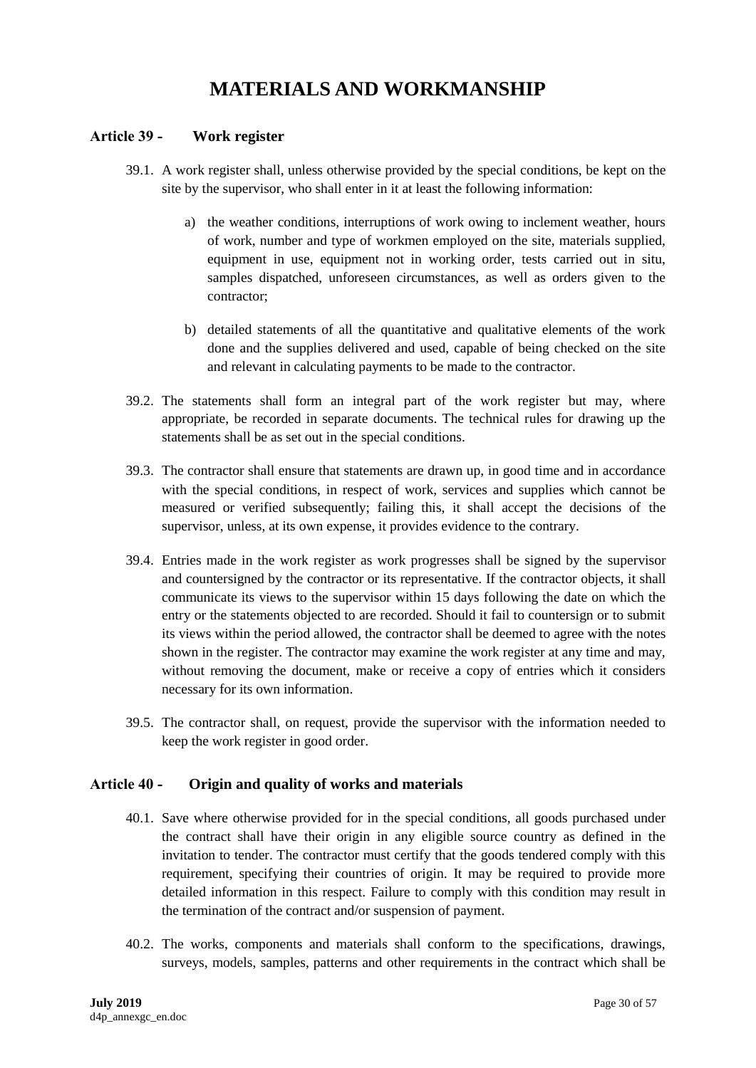# <span id="page-29-1"></span>**MATERIALS AND WORKMANSHIP**

### <span id="page-29-0"></span>**Article 39 - Work register**

- 39.1. A work register shall, unless otherwise provided by the special conditions, be kept on the site by the supervisor, who shall enter in it at least the following information:
	- a) the weather conditions, interruptions of work owing to inclement weather, hours of work, number and type of workmen employed on the site, materials supplied, equipment in use, equipment not in working order, tests carried out in situ, samples dispatched, unforeseen circumstances, as well as orders given to the contractor;
	- b) detailed statements of all the quantitative and qualitative elements of the work done and the supplies delivered and used, capable of being checked on the site and relevant in calculating payments to be made to the contractor.
- 39.2. The statements shall form an integral part of the work register but may, where appropriate, be recorded in separate documents. The technical rules for drawing up the statements shall be as set out in the special conditions.
- 39.3. The contractor shall ensure that statements are drawn up, in good time and in accordance with the special conditions, in respect of work, services and supplies which cannot be measured or verified subsequently; failing this, it shall accept the decisions of the supervisor, unless, at its own expense, it provides evidence to the contrary.
- 39.4. Entries made in the work register as work progresses shall be signed by the supervisor and countersigned by the contractor or its representative. If the contractor objects, it shall communicate its views to the supervisor within 15 days following the date on which the entry or the statements objected to are recorded. Should it fail to countersign or to submit its views within the period allowed, the contractor shall be deemed to agree with the notes shown in the register. The contractor may examine the work register at any time and may, without removing the document, make or receive a copy of entries which it considers necessary for its own information.
- 39.5. The contractor shall, on request, provide the supervisor with the information needed to keep the work register in good order.

### <span id="page-29-2"></span>**Article 40 - Origin and quality of works and materials**

- 40.1. Save where otherwise provided for in the special conditions, all goods purchased under the contract shall have their origin in any eligible source country as defined in the invitation to tender. The contractor must certify that the goods tendered comply with this requirement, specifying their countries of origin. It may be required to provide more detailed information in this respect. Failure to comply with this condition may result in the termination of the contract and/or suspension of payment.
- 40.2. The works, components and materials shall conform to the specifications, drawings, surveys, models, samples, patterns and other requirements in the contract which shall be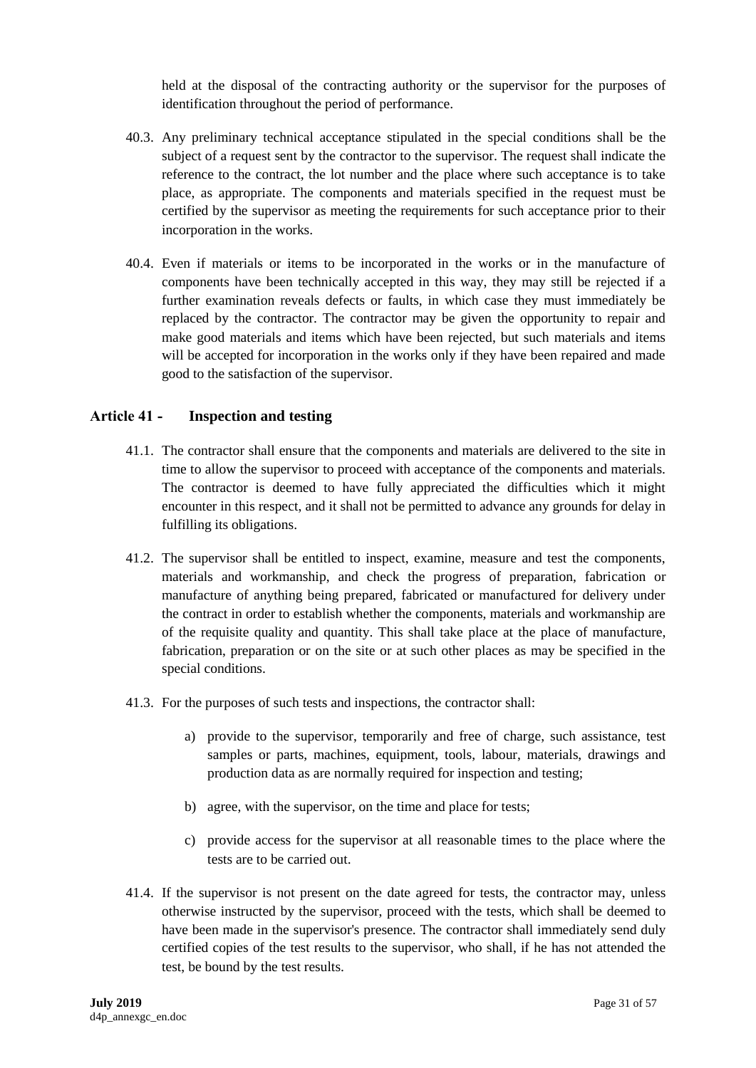held at the disposal of the contracting authority or the supervisor for the purposes of identification throughout the period of performance.

- 40.3. Any preliminary technical acceptance stipulated in the special conditions shall be the subject of a request sent by the contractor to the supervisor. The request shall indicate the reference to the contract, the lot number and the place where such acceptance is to take place, as appropriate. The components and materials specified in the request must be certified by the supervisor as meeting the requirements for such acceptance prior to their incorporation in the works.
- 40.4. Even if materials or items to be incorporated in the works or in the manufacture of components have been technically accepted in this way, they may still be rejected if a further examination reveals defects or faults, in which case they must immediately be replaced by the contractor. The contractor may be given the opportunity to repair and make good materials and items which have been rejected, but such materials and items will be accepted for incorporation in the works only if they have been repaired and made good to the satisfaction of the supervisor.

## <span id="page-30-0"></span>**Article 41 - Inspection and testing**

- 41.1. The contractor shall ensure that the components and materials are delivered to the site in time to allow the supervisor to proceed with acceptance of the components and materials. The contractor is deemed to have fully appreciated the difficulties which it might encounter in this respect, and it shall not be permitted to advance any grounds for delay in fulfilling its obligations.
- 41.2. The supervisor shall be entitled to inspect, examine, measure and test the components, materials and workmanship, and check the progress of preparation, fabrication or manufacture of anything being prepared, fabricated or manufactured for delivery under the contract in order to establish whether the components, materials and workmanship are of the requisite quality and quantity. This shall take place at the place of manufacture, fabrication, preparation or on the site or at such other places as may be specified in the special conditions.
- 41.3. For the purposes of such tests and inspections, the contractor shall:
	- a) provide to the supervisor, temporarily and free of charge, such assistance, test samples or parts, machines, equipment, tools, labour, materials, drawings and production data as are normally required for inspection and testing;
	- b) agree, with the supervisor, on the time and place for tests;
	- c) provide access for the supervisor at all reasonable times to the place where the tests are to be carried out.
- 41.4. If the supervisor is not present on the date agreed for tests, the contractor may, unless otherwise instructed by the supervisor, proceed with the tests, which shall be deemed to have been made in the supervisor's presence. The contractor shall immediately send duly certified copies of the test results to the supervisor, who shall, if he has not attended the test, be bound by the test results.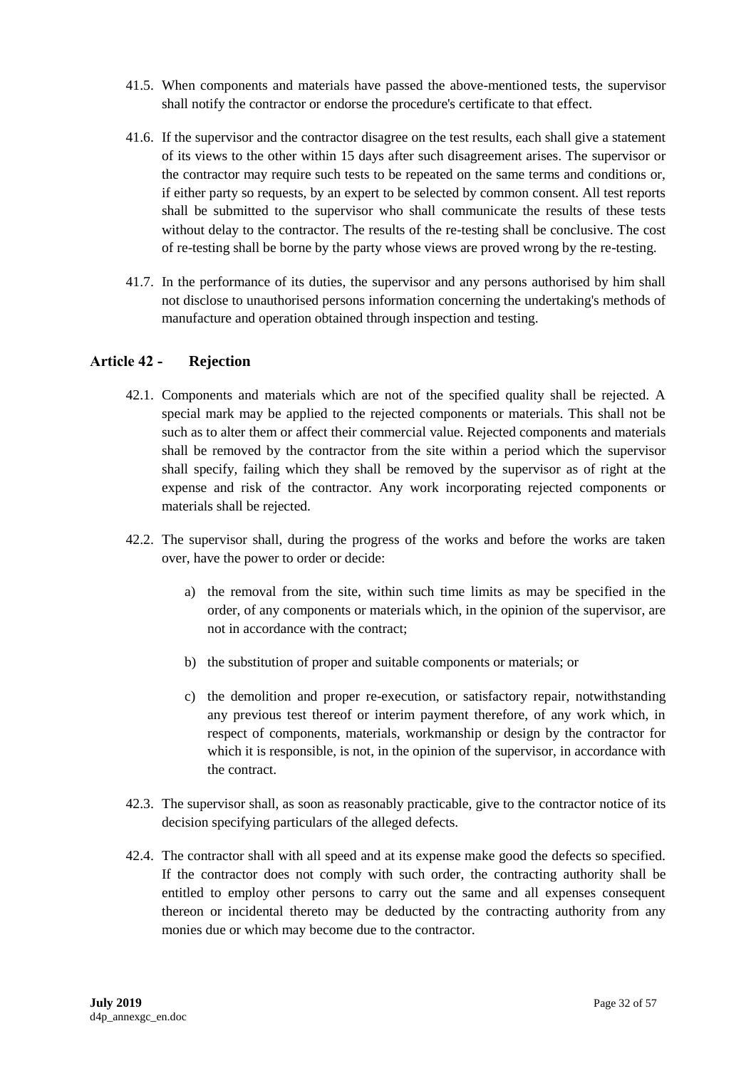- 41.5. When components and materials have passed the above-mentioned tests, the supervisor shall notify the contractor or endorse the procedure's certificate to that effect.
- 41.6. If the supervisor and the contractor disagree on the test results, each shall give a statement of its views to the other within 15 days after such disagreement arises. The supervisor or the contractor may require such tests to be repeated on the same terms and conditions or, if either party so requests, by an expert to be selected by common consent. All test reports shall be submitted to the supervisor who shall communicate the results of these tests without delay to the contractor. The results of the re-testing shall be conclusive. The cost of re-testing shall be borne by the party whose views are proved wrong by the re-testing.
- 41.7. In the performance of its duties, the supervisor and any persons authorised by him shall not disclose to unauthorised persons information concerning the undertaking's methods of manufacture and operation obtained through inspection and testing.

## <span id="page-31-0"></span>**Article 42 - Rejection**

- 42.1. Components and materials which are not of the specified quality shall be rejected. A special mark may be applied to the rejected components or materials. This shall not be such as to alter them or affect their commercial value. Rejected components and materials shall be removed by the contractor from the site within a period which the supervisor shall specify, failing which they shall be removed by the supervisor as of right at the expense and risk of the contractor. Any work incorporating rejected components or materials shall be rejected.
- 42.2. The supervisor shall, during the progress of the works and before the works are taken over, have the power to order or decide:
	- a) the removal from the site, within such time limits as may be specified in the order, of any components or materials which, in the opinion of the supervisor, are not in accordance with the contract;
	- b) the substitution of proper and suitable components or materials; or
	- c) the demolition and proper re-execution, or satisfactory repair, notwithstanding any previous test thereof or interim payment therefore, of any work which, in respect of components, materials, workmanship or design by the contractor for which it is responsible, is not, in the opinion of the supervisor, in accordance with the contract.
- 42.3. The supervisor shall, as soon as reasonably practicable, give to the contractor notice of its decision specifying particulars of the alleged defects.
- 42.4. The contractor shall with all speed and at its expense make good the defects so specified. If the contractor does not comply with such order, the contracting authority shall be entitled to employ other persons to carry out the same and all expenses consequent thereon or incidental thereto may be deducted by the contracting authority from any monies due or which may become due to the contractor.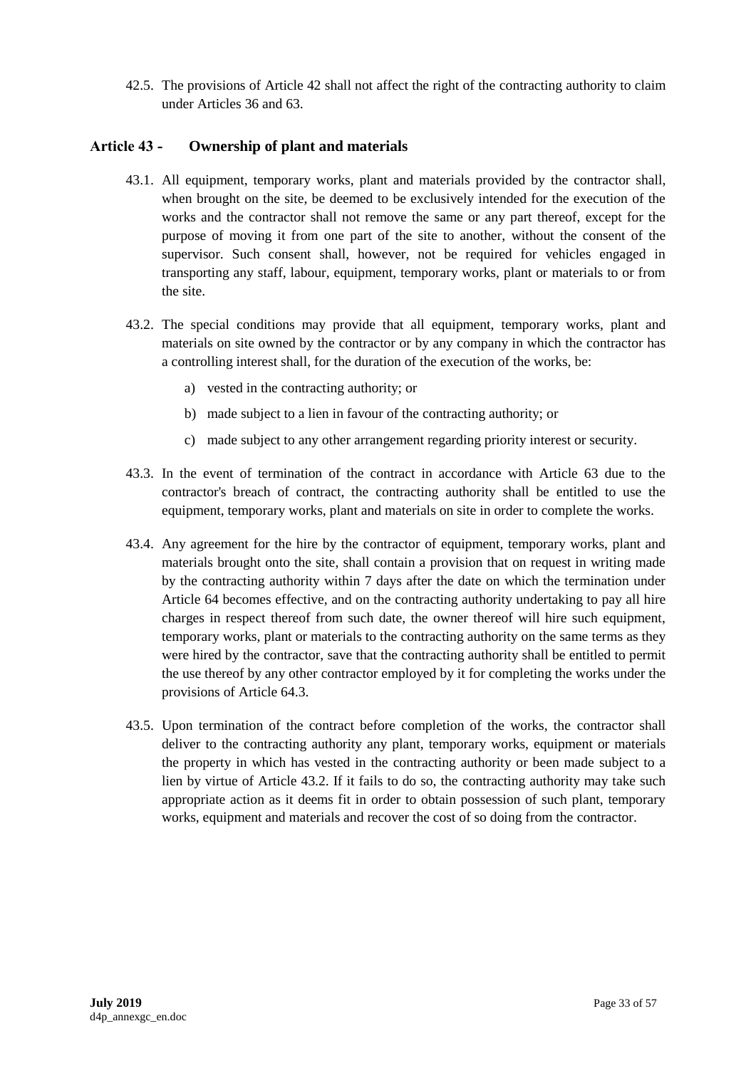42.5. The provisions of Article 42 shall not affect the right of the contracting authority to claim under Articles 36 and 63.

## <span id="page-32-0"></span>**Article 43 - Ownership of plant and materials**

- 43.1. All equipment, temporary works, plant and materials provided by the contractor shall, when brought on the site, be deemed to be exclusively intended for the execution of the works and the contractor shall not remove the same or any part thereof, except for the purpose of moving it from one part of the site to another, without the consent of the supervisor. Such consent shall, however, not be required for vehicles engaged in transporting any staff, labour, equipment, temporary works, plant or materials to or from the site.
- 43.2. The special conditions may provide that all equipment, temporary works, plant and materials on site owned by the contractor or by any company in which the contractor has a controlling interest shall, for the duration of the execution of the works, be:
	- a) vested in the contracting authority; or
	- b) made subject to a lien in favour of the contracting authority; or
	- c) made subject to any other arrangement regarding priority interest or security.
- 43.3. In the event of termination of the contract in accordance with Article 63 due to the contractor's breach of contract, the contracting authority shall be entitled to use the equipment, temporary works, plant and materials on site in order to complete the works.
- 43.4. Any agreement for the hire by the contractor of equipment, temporary works, plant and materials brought onto the site, shall contain a provision that on request in writing made by the contracting authority within 7 days after the date on which the termination under Article 64 becomes effective, and on the contracting authority undertaking to pay all hire charges in respect thereof from such date, the owner thereof will hire such equipment, temporary works, plant or materials to the contracting authority on the same terms as they were hired by the contractor, save that the contracting authority shall be entitled to permit the use thereof by any other contractor employed by it for completing the works under the provisions of Article 64.3.
- 43.5. Upon termination of the contract before completion of the works, the contractor shall deliver to the contracting authority any plant, temporary works, equipment or materials the property in which has vested in the contracting authority or been made subject to a lien by virtue of Article 43.2. If it fails to do so, the contracting authority may take such appropriate action as it deems fit in order to obtain possession of such plant, temporary works, equipment and materials and recover the cost of so doing from the contractor.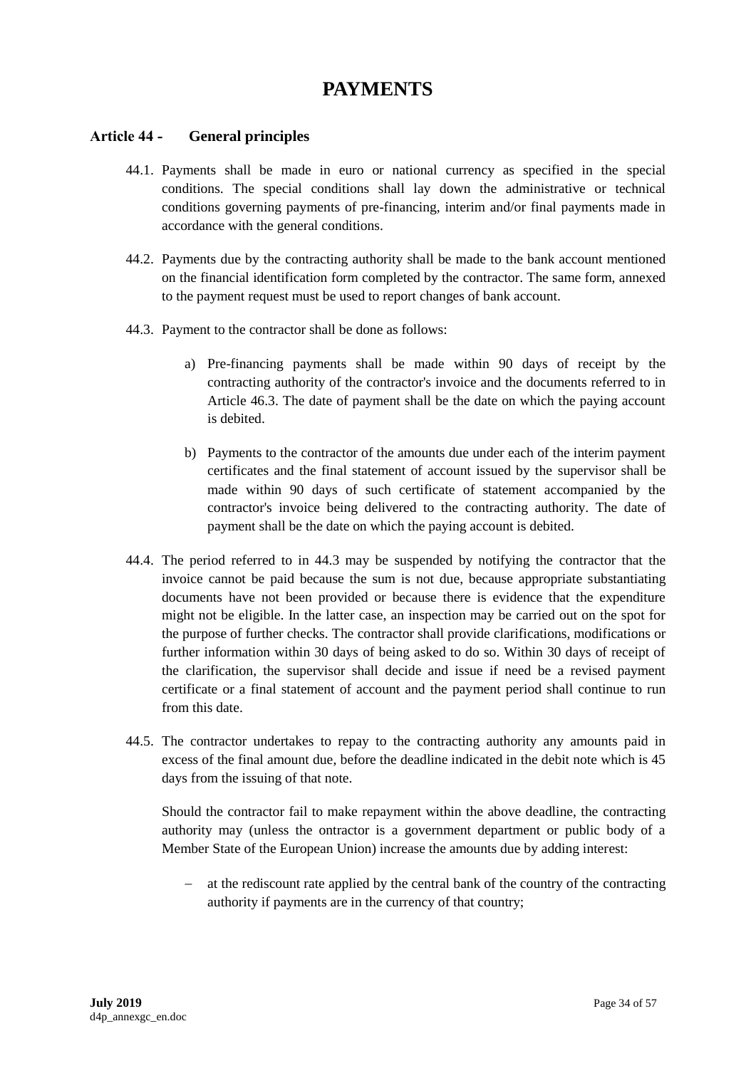# **PAYMENTS**

### <span id="page-33-1"></span><span id="page-33-0"></span>**Article 44 - General principles**

- 44.1. Payments shall be made in euro or national currency as specified in the special conditions. The special conditions shall lay down the administrative or technical conditions governing payments of pre-financing, interim and/or final payments made in accordance with the general conditions.
- 44.2. Payments due by the contracting authority shall be made to the bank account mentioned on the financial identification form completed by the contractor. The same form, annexed to the payment request must be used to report changes of bank account.
- 44.3. Payment to the contractor shall be done as follows:
	- a) Pre-financing payments shall be made within 90 days of receipt by the contracting authority of the contractor's invoice and the documents referred to in Article 46.3. The date of payment shall be the date on which the paying account is debited.
	- b) Payments to the contractor of the amounts due under each of the interim payment certificates and the final statement of account issued by the supervisor shall be made within 90 days of such certificate of statement accompanied by the contractor's invoice being delivered to the contracting authority. The date of payment shall be the date on which the paying account is debited.
- 44.4. The period referred to in 44.3 may be suspended by notifying the contractor that the invoice cannot be paid because the sum is not due, because appropriate substantiating documents have not been provided or because there is evidence that the expenditure might not be eligible. In the latter case, an inspection may be carried out on the spot for the purpose of further checks. The contractor shall provide clarifications, modifications or further information within 30 days of being asked to do so. Within 30 days of receipt of the clarification, the supervisor shall decide and issue if need be a revised payment certificate or a final statement of account and the payment period shall continue to run from this date.
- 44.5. The contractor undertakes to repay to the contracting authority any amounts paid in excess of the final amount due, before the deadline indicated in the debit note which is 45 days from the issuing of that note.

Should the contractor fail to make repayment within the above deadline, the contracting authority may (unless the ontractor is a government department or public body of a Member State of the European Union) increase the amounts due by adding interest:

 at the rediscount rate applied by the central bank of the country of the contracting authority if payments are in the currency of that country;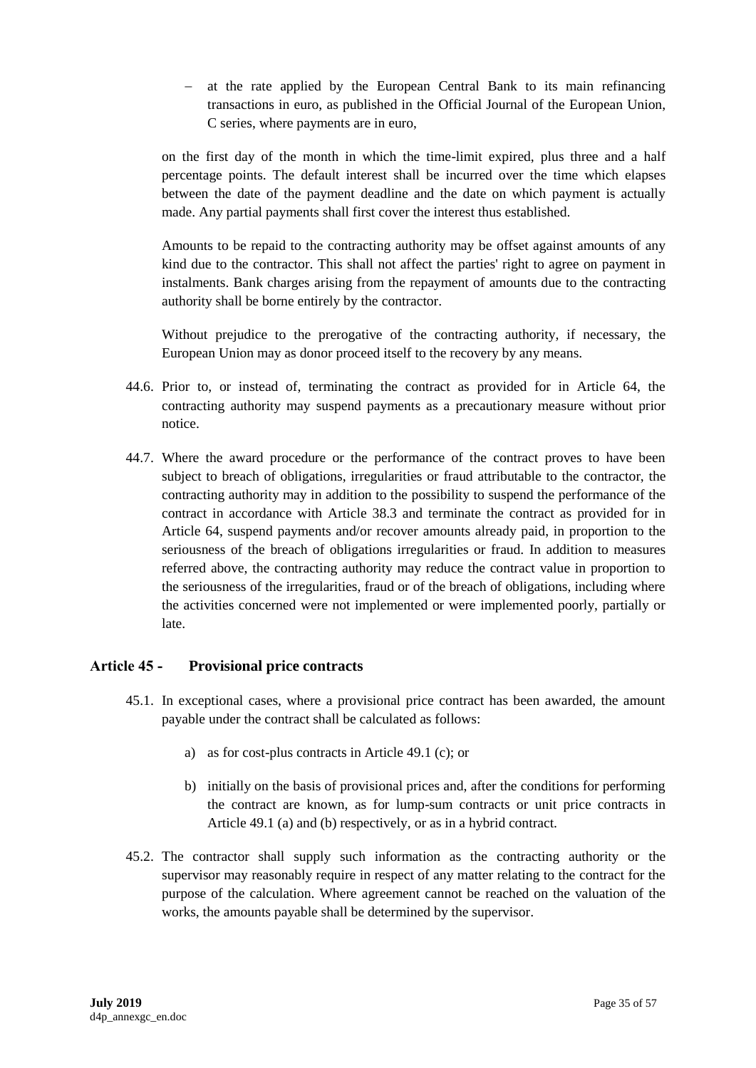at the rate applied by the European Central Bank to its main refinancing transactions in euro, as published in the Official Journal of the European Union, C series, where payments are in euro,

on the first day of the month in which the time-limit expired, plus three and a half percentage points. The default interest shall be incurred over the time which elapses between the date of the payment deadline and the date on which payment is actually made. Any partial payments shall first cover the interest thus established.

Amounts to be repaid to the contracting authority may be offset against amounts of any kind due to the contractor. This shall not affect the parties' right to agree on payment in instalments. Bank charges arising from the repayment of amounts due to the contracting authority shall be borne entirely by the contractor.

Without prejudice to the prerogative of the contracting authority, if necessary, the European Union may as donor proceed itself to the recovery by any means.

- 44.6. Prior to, or instead of, terminating the contract as provided for in Article 64, the contracting authority may suspend payments as a precautionary measure without prior notice.
- 44.7. Where the award procedure or the performance of the contract proves to have been subject to breach of obligations, irregularities or fraud attributable to the contractor, the contracting authority may in addition to the possibility to suspend the performance of the contract in accordance with Article 38.3 and terminate the contract as provided for in Article 64, suspend payments and/or recover amounts already paid, in proportion to the seriousness of the breach of obligations irregularities or fraud. In addition to measures referred above, the contracting authority may reduce the contract value in proportion to the seriousness of the irregularities, fraud or of the breach of obligations, including where the activities concerned were not implemented or were implemented poorly, partially or late.

### <span id="page-34-0"></span>**Article 45 - Provisional price contracts**

- 45.1. In exceptional cases, where a provisional price contract has been awarded, the amount payable under the contract shall be calculated as follows:
	- a) as for cost-plus contracts in Article 49.1 (c); or
	- b) initially on the basis of provisional prices and, after the conditions for performing the contract are known, as for lump-sum contracts or unit price contracts in Article 49.1 (a) and (b) respectively, or as in a hybrid contract.
- 45.2. The contractor shall supply such information as the contracting authority or the supervisor may reasonably require in respect of any matter relating to the contract for the purpose of the calculation. Where agreement cannot be reached on the valuation of the works, the amounts payable shall be determined by the supervisor.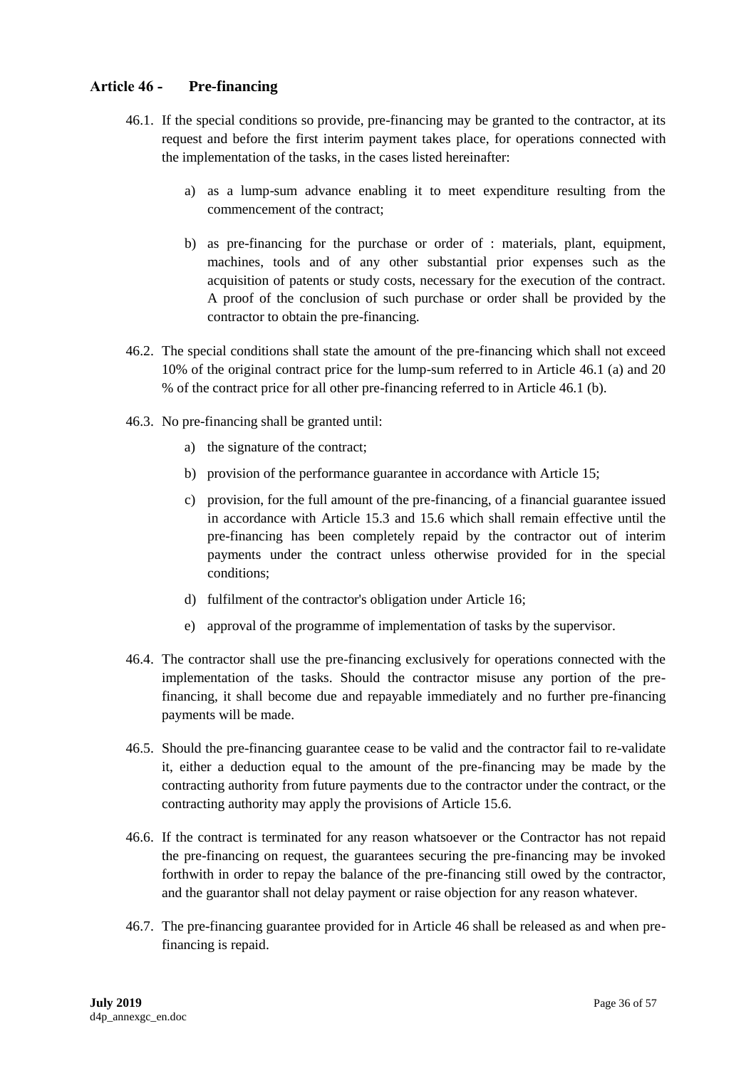## <span id="page-35-0"></span>**Article 46 - Pre-financing**

- 46.1. If the special conditions so provide, pre-financing may be granted to the contractor, at its request and before the first interim payment takes place, for operations connected with the implementation of the tasks, in the cases listed hereinafter:
	- a) as a lump-sum advance enabling it to meet expenditure resulting from the commencement of the contract;
	- b) as pre-financing for the purchase or order of : materials, plant, equipment, machines, tools and of any other substantial prior expenses such as the acquisition of patents or study costs, necessary for the execution of the contract. A proof of the conclusion of such purchase or order shall be provided by the contractor to obtain the pre-financing.
- 46.2. The special conditions shall state the amount of the pre-financing which shall not exceed 10% of the original contract price for the lump-sum referred to in Article 46.1 (a) and 20 % of the contract price for all other pre-financing referred to in Article 46.1 (b).
- 46.3. No pre-financing shall be granted until:
	- a) the signature of the contract;
	- b) provision of the performance guarantee in accordance with Article 15;
	- c) provision, for the full amount of the pre-financing, of a financial guarantee issued in accordance with Article 15.3 and 15.6 which shall remain effective until the pre-financing has been completely repaid by the contractor out of interim payments under the contract unless otherwise provided for in the special conditions;
	- d) fulfilment of the contractor's obligation under Article 16;
	- e) approval of the programme of implementation of tasks by the supervisor.
- 46.4. The contractor shall use the pre-financing exclusively for operations connected with the implementation of the tasks. Should the contractor misuse any portion of the prefinancing, it shall become due and repayable immediately and no further pre-financing payments will be made.
- 46.5. Should the pre-financing guarantee cease to be valid and the contractor fail to re-validate it, either a deduction equal to the amount of the pre-financing may be made by the contracting authority from future payments due to the contractor under the contract, or the contracting authority may apply the provisions of Article 15.6.
- 46.6. If the contract is terminated for any reason whatsoever or the Contractor has not repaid the pre-financing on request, the guarantees securing the pre-financing may be invoked forthwith in order to repay the balance of the pre-financing still owed by the contractor, and the guarantor shall not delay payment or raise objection for any reason whatever.
- 46.7. The pre-financing guarantee provided for in Article 46 shall be released as and when prefinancing is repaid.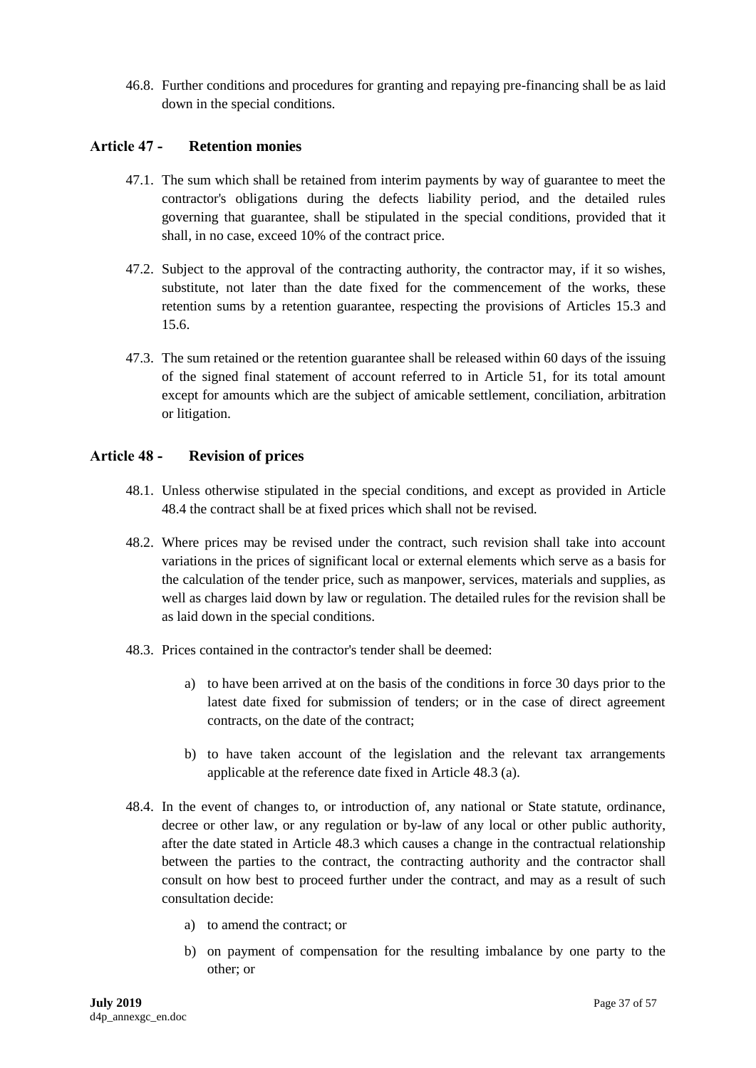46.8. Further conditions and procedures for granting and repaying pre-financing shall be as laid down in the special conditions.

## <span id="page-36-0"></span>**Article 47 - Retention monies**

- 47.1. The sum which shall be retained from interim payments by way of guarantee to meet the contractor's obligations during the defects liability period, and the detailed rules governing that guarantee, shall be stipulated in the special conditions, provided that it shall, in no case, exceed 10% of the contract price.
- 47.2. Subject to the approval of the contracting authority, the contractor may, if it so wishes, substitute, not later than the date fixed for the commencement of the works, these retention sums by a retention guarantee, respecting the provisions of Articles 15.3 and 15.6.
- 47.3. The sum retained or the retention guarantee shall be released within 60 days of the issuing of the signed final statement of account referred to in Article 51, for its total amount except for amounts which are the subject of amicable settlement, conciliation, arbitration or litigation.

## <span id="page-36-1"></span>**Article 48 - Revision of prices**

- 48.1. Unless otherwise stipulated in the special conditions, and except as provided in Article 48.4 the contract shall be at fixed prices which shall not be revised.
- 48.2. Where prices may be revised under the contract, such revision shall take into account variations in the prices of significant local or external elements which serve as a basis for the calculation of the tender price, such as manpower, services, materials and supplies, as well as charges laid down by law or regulation. The detailed rules for the revision shall be as laid down in the special conditions.
- 48.3. Prices contained in the contractor's tender shall be deemed:
	- a) to have been arrived at on the basis of the conditions in force 30 days prior to the latest date fixed for submission of tenders; or in the case of direct agreement contracts, on the date of the contract;
	- b) to have taken account of the legislation and the relevant tax arrangements applicable at the reference date fixed in Article 48.3 (a).
- 48.4. In the event of changes to, or introduction of, any national or State statute, ordinance, decree or other law, or any regulation or by-law of any local or other public authority, after the date stated in Article 48.3 which causes a change in the contractual relationship between the parties to the contract, the contracting authority and the contractor shall consult on how best to proceed further under the contract, and may as a result of such consultation decide:
	- a) to amend the contract; or
	- b) on payment of compensation for the resulting imbalance by one party to the other; or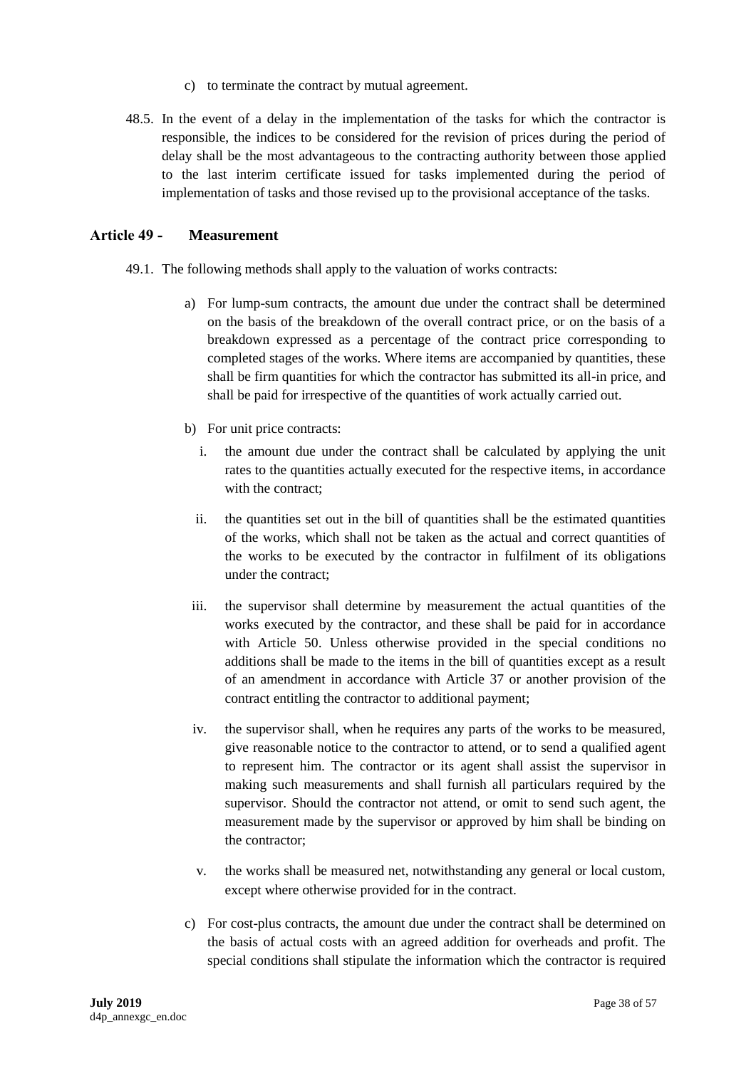- c) to terminate the contract by mutual agreement.
- 48.5. In the event of a delay in the implementation of the tasks for which the contractor is responsible, the indices to be considered for the revision of prices during the period of delay shall be the most advantageous to the contracting authority between those applied to the last interim certificate issued for tasks implemented during the period of implementation of tasks and those revised up to the provisional acceptance of the tasks.

### <span id="page-37-0"></span>**Article 49 - Measurement**

- 49.1. The following methods shall apply to the valuation of works contracts:
	- a) For lump-sum contracts, the amount due under the contract shall be determined on the basis of the breakdown of the overall contract price, or on the basis of a breakdown expressed as a percentage of the contract price corresponding to completed stages of the works. Where items are accompanied by quantities, these shall be firm quantities for which the contractor has submitted its all-in price, and shall be paid for irrespective of the quantities of work actually carried out.
	- b) For unit price contracts:
		- i. the amount due under the contract shall be calculated by applying the unit rates to the quantities actually executed for the respective items, in accordance with the contract:
		- ii. the quantities set out in the bill of quantities shall be the estimated quantities of the works, which shall not be taken as the actual and correct quantities of the works to be executed by the contractor in fulfilment of its obligations under the contract;
	- iii. the supervisor shall determine by measurement the actual quantities of the works executed by the contractor, and these shall be paid for in accordance with Article 50. Unless otherwise provided in the special conditions no additions shall be made to the items in the bill of quantities except as a result of an amendment in accordance with Article 37 or another provision of the contract entitling the contractor to additional payment;
	- iv. the supervisor shall, when he requires any parts of the works to be measured, give reasonable notice to the contractor to attend, or to send a qualified agent to represent him. The contractor or its agent shall assist the supervisor in making such measurements and shall furnish all particulars required by the supervisor. Should the contractor not attend, or omit to send such agent, the measurement made by the supervisor or approved by him shall be binding on the contractor;
	- v. the works shall be measured net, notwithstanding any general or local custom, except where otherwise provided for in the contract.
	- c) For cost-plus contracts, the amount due under the contract shall be determined on the basis of actual costs with an agreed addition for overheads and profit. The special conditions shall stipulate the information which the contractor is required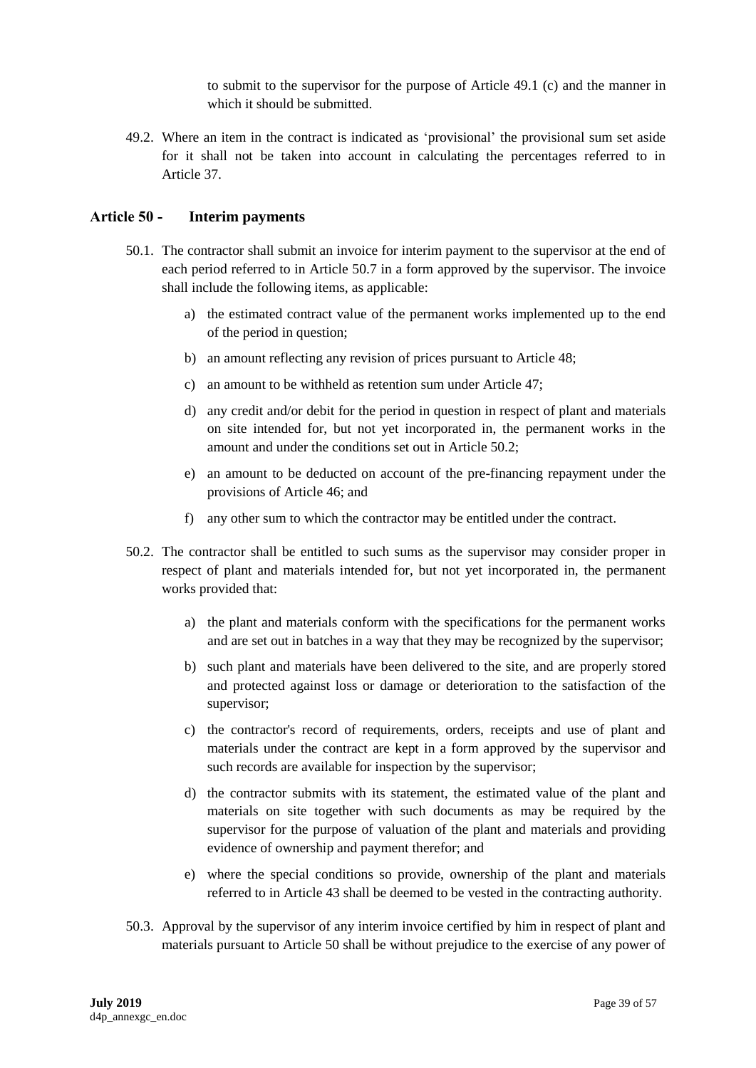to submit to the supervisor for the purpose of Article 49.1 (c) and the manner in which it should be submitted.

49.2. Where an item in the contract is indicated as 'provisional' the provisional sum set aside for it shall not be taken into account in calculating the percentages referred to in Article 37.

### <span id="page-38-0"></span>**Article 50 - Interim payments**

- 50.1. The contractor shall submit an invoice for interim payment to the supervisor at the end of each period referred to in Article 50.7 in a form approved by the supervisor. The invoice shall include the following items, as applicable:
	- a) the estimated contract value of the permanent works implemented up to the end of the period in question;
	- b) an amount reflecting any revision of prices pursuant to Article 48;
	- c) an amount to be withheld as retention sum under Article 47;
	- d) any credit and/or debit for the period in question in respect of plant and materials on site intended for, but not yet incorporated in, the permanent works in the amount and under the conditions set out in Article 50.2;
	- e) an amount to be deducted on account of the pre-financing repayment under the provisions of Article 46; and
	- f) any other sum to which the contractor may be entitled under the contract.
- 50.2. The contractor shall be entitled to such sums as the supervisor may consider proper in respect of plant and materials intended for, but not yet incorporated in, the permanent works provided that:
	- a) the plant and materials conform with the specifications for the permanent works and are set out in batches in a way that they may be recognized by the supervisor;
	- b) such plant and materials have been delivered to the site, and are properly stored and protected against loss or damage or deterioration to the satisfaction of the supervisor;
	- c) the contractor's record of requirements, orders, receipts and use of plant and materials under the contract are kept in a form approved by the supervisor and such records are available for inspection by the supervisor;
	- d) the contractor submits with its statement, the estimated value of the plant and materials on site together with such documents as may be required by the supervisor for the purpose of valuation of the plant and materials and providing evidence of ownership and payment therefor; and
	- e) where the special conditions so provide, ownership of the plant and materials referred to in Article 43 shall be deemed to be vested in the contracting authority.
- 50.3. Approval by the supervisor of any interim invoice certified by him in respect of plant and materials pursuant to Article 50 shall be without prejudice to the exercise of any power of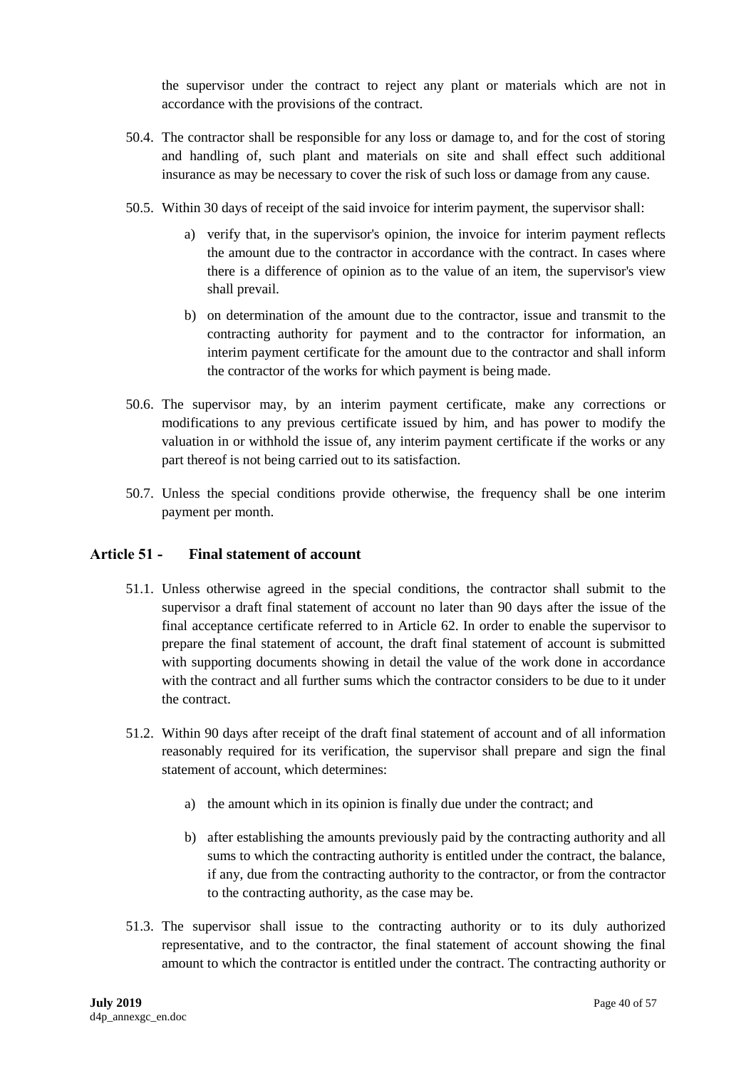the supervisor under the contract to reject any plant or materials which are not in accordance with the provisions of the contract.

- 50.4. The contractor shall be responsible for any loss or damage to, and for the cost of storing and handling of, such plant and materials on site and shall effect such additional insurance as may be necessary to cover the risk of such loss or damage from any cause.
- 50.5. Within 30 days of receipt of the said invoice for interim payment, the supervisor shall:
	- a) verify that, in the supervisor's opinion, the invoice for interim payment reflects the amount due to the contractor in accordance with the contract. In cases where there is a difference of opinion as to the value of an item, the supervisor's view shall prevail.
	- b) on determination of the amount due to the contractor, issue and transmit to the contracting authority for payment and to the contractor for information, an interim payment certificate for the amount due to the contractor and shall inform the contractor of the works for which payment is being made.
- 50.6. The supervisor may, by an interim payment certificate, make any corrections or modifications to any previous certificate issued by him, and has power to modify the valuation in or withhold the issue of, any interim payment certificate if the works or any part thereof is not being carried out to its satisfaction.
- 50.7. Unless the special conditions provide otherwise, the frequency shall be one interim payment per month.

### <span id="page-39-0"></span>**Article 51 - Final statement of account**

- 51.1. Unless otherwise agreed in the special conditions, the contractor shall submit to the supervisor a draft final statement of account no later than 90 days after the issue of the final acceptance certificate referred to in Article 62. In order to enable the supervisor to prepare the final statement of account, the draft final statement of account is submitted with supporting documents showing in detail the value of the work done in accordance with the contract and all further sums which the contractor considers to be due to it under the contract.
- 51.2. Within 90 days after receipt of the draft final statement of account and of all information reasonably required for its verification, the supervisor shall prepare and sign the final statement of account, which determines:
	- a) the amount which in its opinion is finally due under the contract; and
	- b) after establishing the amounts previously paid by the contracting authority and all sums to which the contracting authority is entitled under the contract, the balance, if any, due from the contracting authority to the contractor, or from the contractor to the contracting authority, as the case may be.
- 51.3. The supervisor shall issue to the contracting authority or to its duly authorized representative, and to the contractor, the final statement of account showing the final amount to which the contractor is entitled under the contract. The contracting authority or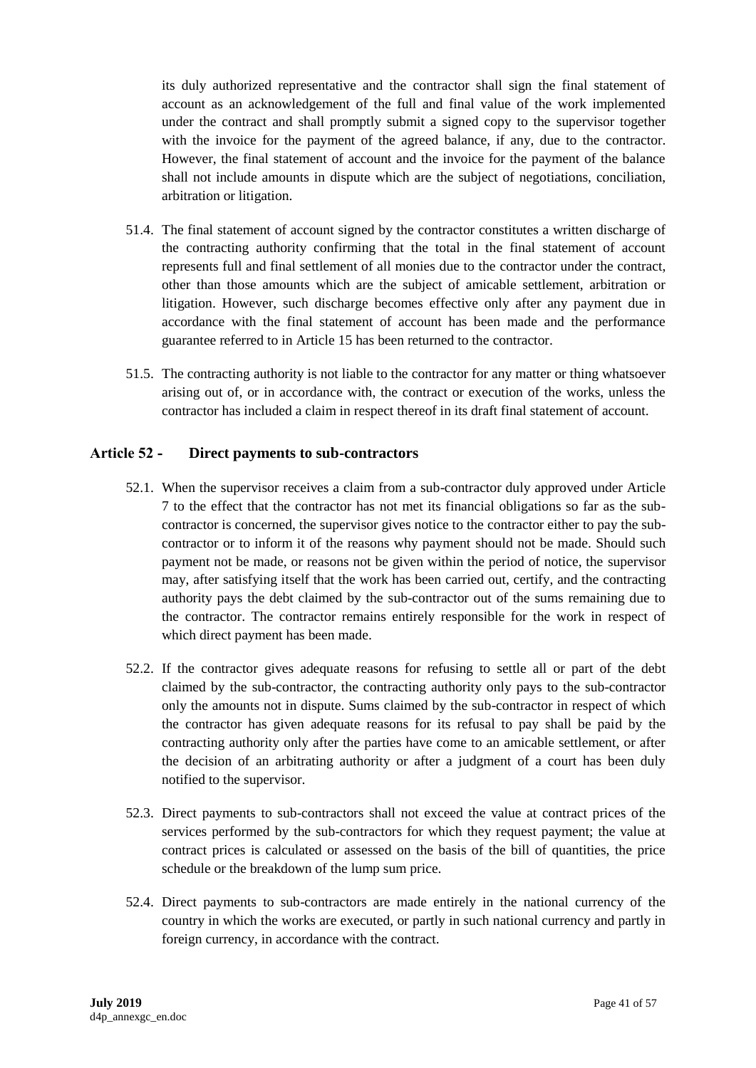its duly authorized representative and the contractor shall sign the final statement of account as an acknowledgement of the full and final value of the work implemented under the contract and shall promptly submit a signed copy to the supervisor together with the invoice for the payment of the agreed balance, if any, due to the contractor. However, the final statement of account and the invoice for the payment of the balance shall not include amounts in dispute which are the subject of negotiations, conciliation, arbitration or litigation.

- 51.4. The final statement of account signed by the contractor constitutes a written discharge of the contracting authority confirming that the total in the final statement of account represents full and final settlement of all monies due to the contractor under the contract, other than those amounts which are the subject of amicable settlement, arbitration or litigation. However, such discharge becomes effective only after any payment due in accordance with the final statement of account has been made and the performance guarantee referred to in Article 15 has been returned to the contractor.
- 51.5. The contracting authority is not liable to the contractor for any matter or thing whatsoever arising out of, or in accordance with, the contract or execution of the works, unless the contractor has included a claim in respect thereof in its draft final statement of account.

### <span id="page-40-0"></span>**Article 52 - Direct payments to sub-contractors**

- 52.1. When the supervisor receives a claim from a sub-contractor duly approved under Article 7 to the effect that the contractor has not met its financial obligations so far as the subcontractor is concerned, the supervisor gives notice to the contractor either to pay the subcontractor or to inform it of the reasons why payment should not be made. Should such payment not be made, or reasons not be given within the period of notice, the supervisor may, after satisfying itself that the work has been carried out, certify, and the contracting authority pays the debt claimed by the sub-contractor out of the sums remaining due to the contractor. The contractor remains entirely responsible for the work in respect of which direct payment has been made.
- 52.2. If the contractor gives adequate reasons for refusing to settle all or part of the debt claimed by the sub-contractor, the contracting authority only pays to the sub-contractor only the amounts not in dispute. Sums claimed by the sub-contractor in respect of which the contractor has given adequate reasons for its refusal to pay shall be paid by the contracting authority only after the parties have come to an amicable settlement, or after the decision of an arbitrating authority or after a judgment of a court has been duly notified to the supervisor.
- 52.3. Direct payments to sub-contractors shall not exceed the value at contract prices of the services performed by the sub-contractors for which they request payment; the value at contract prices is calculated or assessed on the basis of the bill of quantities, the price schedule or the breakdown of the lump sum price.
- 52.4. Direct payments to sub-contractors are made entirely in the national currency of the country in which the works are executed, or partly in such national currency and partly in foreign currency, in accordance with the contract.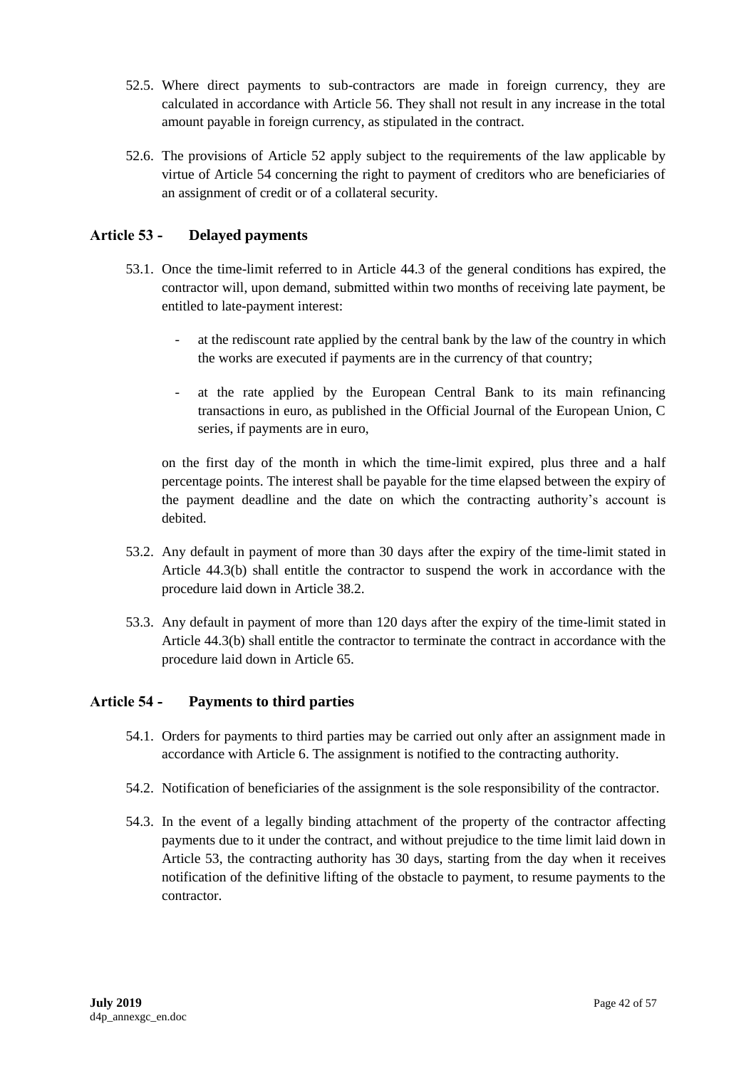- 52.5. Where direct payments to sub-contractors are made in foreign currency, they are calculated in accordance with Article 56. They shall not result in any increase in the total amount payable in foreign currency, as stipulated in the contract.
- 52.6. The provisions of Article 52 apply subject to the requirements of the law applicable by virtue of Article 54 concerning the right to payment of creditors who are beneficiaries of an assignment of credit or of a collateral security.

## <span id="page-41-0"></span>**Article 53 - Delayed payments**

- 53.1. Once the time-limit referred to in Article 44.3 of the general conditions has expired, the contractor will, upon demand, submitted within two months of receiving late payment, be entitled to late-payment interest:
	- at the rediscount rate applied by the central bank by the law of the country in which the works are executed if payments are in the currency of that country;
	- at the rate applied by the European Central Bank to its main refinancing transactions in euro, as published in the Official Journal of the European Union, C series, if payments are in euro,

on the first day of the month in which the time-limit expired, plus three and a half percentage points. The interest shall be payable for the time elapsed between the expiry of the payment deadline and the date on which the contracting authority's account is debited.

- 53.2. Any default in payment of more than 30 days after the expiry of the time-limit stated in Article 44.3(b) shall entitle the contractor to suspend the work in accordance with the procedure laid down in Article 38.2.
- 53.3. Any default in payment of more than 120 days after the expiry of the time-limit stated in Article 44.3(b) shall entitle the contractor to terminate the contract in accordance with the procedure laid down in Article 65.

### <span id="page-41-1"></span>**Article 54 - Payments to third parties**

- 54.1. Orders for payments to third parties may be carried out only after an assignment made in accordance with Article 6. The assignment is notified to the contracting authority.
- 54.2. Notification of beneficiaries of the assignment is the sole responsibility of the contractor.
- 54.3. In the event of a legally binding attachment of the property of the contractor affecting payments due to it under the contract, and without prejudice to the time limit laid down in Article 53, the contracting authority has 30 days, starting from the day when it receives notification of the definitive lifting of the obstacle to payment, to resume payments to the contractor.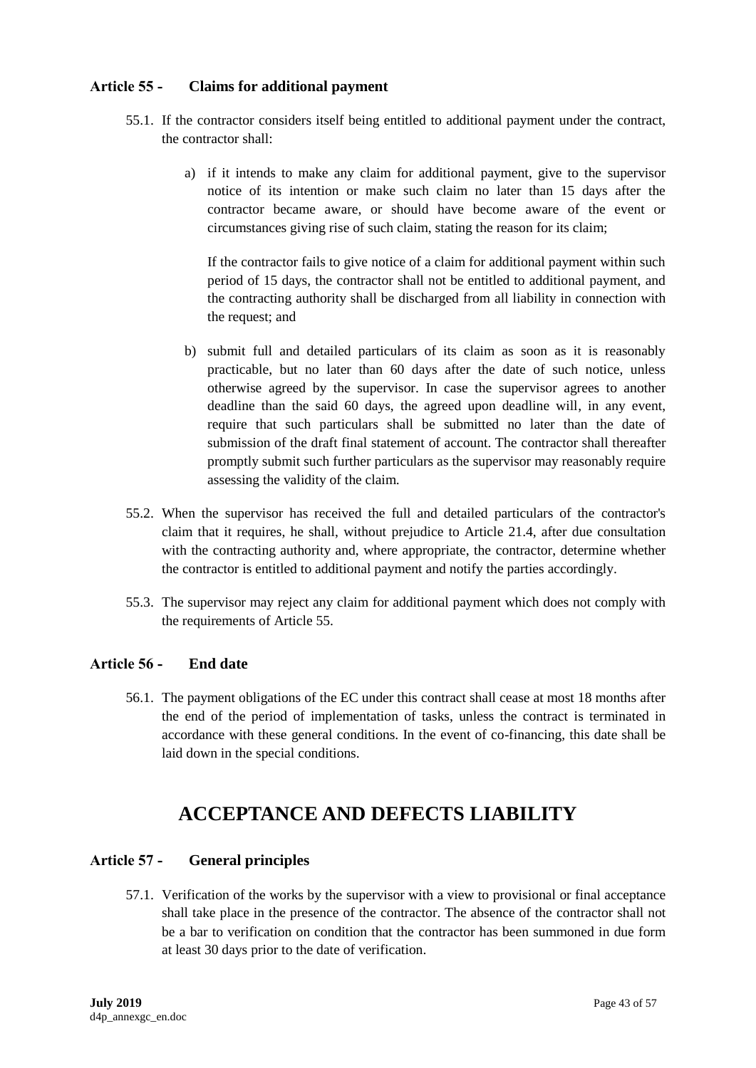## <span id="page-42-0"></span>**Article 55 - Claims for additional payment**

- 55.1. If the contractor considers itself being entitled to additional payment under the contract, the contractor shall:
	- a) if it intends to make any claim for additional payment, give to the supervisor notice of its intention or make such claim no later than 15 days after the contractor became aware, or should have become aware of the event or circumstances giving rise of such claim, stating the reason for its claim;

If the contractor fails to give notice of a claim for additional payment within such period of 15 days, the contractor shall not be entitled to additional payment, and the contracting authority shall be discharged from all liability in connection with the request; and

- b) submit full and detailed particulars of its claim as soon as it is reasonably practicable, but no later than 60 days after the date of such notice, unless otherwise agreed by the supervisor. In case the supervisor agrees to another deadline than the said 60 days, the agreed upon deadline will, in any event, require that such particulars shall be submitted no later than the date of submission of the draft final statement of account. The contractor shall thereafter promptly submit such further particulars as the supervisor may reasonably require assessing the validity of the claim.
- 55.2. When the supervisor has received the full and detailed particulars of the contractor's claim that it requires, he shall, without prejudice to Article 21.4, after due consultation with the contracting authority and, where appropriate, the contractor, determine whether the contractor is entitled to additional payment and notify the parties accordingly.
- 55.3. The supervisor may reject any claim for additional payment which does not comply with the requirements of Article 55.

## <span id="page-42-1"></span>**Article 56 - End date**

<span id="page-42-2"></span>56.1. The payment obligations of the EC under this contract shall cease at most 18 months after the end of the period of implementation of tasks, unless the contract is terminated in accordance with these general conditions. In the event of co-financing, this date shall be laid down in the special conditions.

## **ACCEPTANCE AND DEFECTS LIABILITY**

### <span id="page-42-3"></span>**Article 57 - General principles**

57.1. Verification of the works by the supervisor with a view to provisional or final acceptance shall take place in the presence of the contractor. The absence of the contractor shall not be a bar to verification on condition that the contractor has been summoned in due form at least 30 days prior to the date of verification.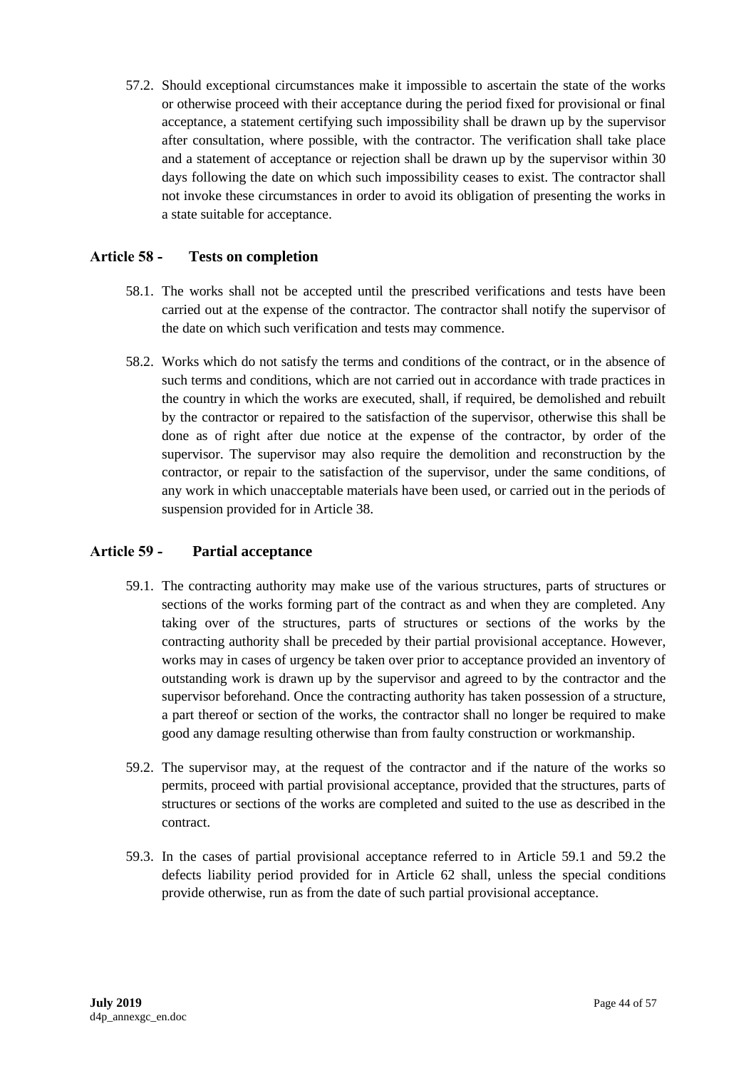57.2. Should exceptional circumstances make it impossible to ascertain the state of the works or otherwise proceed with their acceptance during the period fixed for provisional or final acceptance, a statement certifying such impossibility shall be drawn up by the supervisor after consultation, where possible, with the contractor. The verification shall take place and a statement of acceptance or rejection shall be drawn up by the supervisor within 30 days following the date on which such impossibility ceases to exist. The contractor shall not invoke these circumstances in order to avoid its obligation of presenting the works in a state suitable for acceptance.

### <span id="page-43-0"></span>**Article 58 - Tests on completion**

- 58.1. The works shall not be accepted until the prescribed verifications and tests have been carried out at the expense of the contractor. The contractor shall notify the supervisor of the date on which such verification and tests may commence.
- 58.2. Works which do not satisfy the terms and conditions of the contract, or in the absence of such terms and conditions, which are not carried out in accordance with trade practices in the country in which the works are executed, shall, if required, be demolished and rebuilt by the contractor or repaired to the satisfaction of the supervisor, otherwise this shall be done as of right after due notice at the expense of the contractor, by order of the supervisor. The supervisor may also require the demolition and reconstruction by the contractor, or repair to the satisfaction of the supervisor, under the same conditions, of any work in which unacceptable materials have been used, or carried out in the periods of suspension provided for in Article 38.

### **Article 59 - Partial acceptance**

- <span id="page-43-1"></span>59.1. The contracting authority may make use of the various structures, parts of structures or sections of the works forming part of the contract as and when they are completed. Any taking over of the structures, parts of structures or sections of the works by the contracting authority shall be preceded by their partial provisional acceptance. However, works may in cases of urgency be taken over prior to acceptance provided an inventory of outstanding work is drawn up by the supervisor and agreed to by the contractor and the supervisor beforehand. Once the contracting authority has taken possession of a structure, a part thereof or section of the works, the contractor shall no longer be required to make good any damage resulting otherwise than from faulty construction or workmanship.
- 59.2. The supervisor may, at the request of the contractor and if the nature of the works so permits, proceed with partial provisional acceptance, provided that the structures, parts of structures or sections of the works are completed and suited to the use as described in the contract.
- 59.3. In the cases of partial provisional acceptance referred to in Article 59.1 and 59.2 the defects liability period provided for in Article 62 shall, unless the special conditions provide otherwise, run as from the date of such partial provisional acceptance.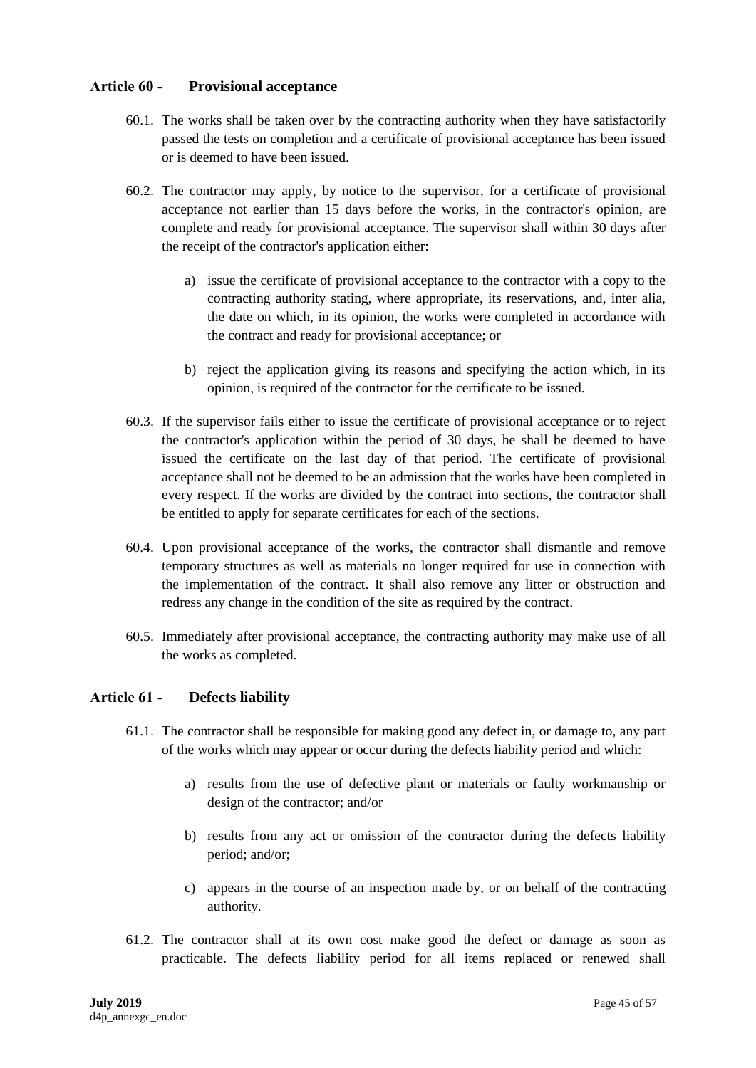### <span id="page-44-0"></span>**Article 60 - Provisional acceptance**

- 60.1. The works shall be taken over by the contracting authority when they have satisfactorily passed the tests on completion and a certificate of provisional acceptance has been issued or is deemed to have been issued.
- 60.2. The contractor may apply, by notice to the supervisor, for a certificate of provisional acceptance not earlier than 15 days before the works, in the contractor's opinion, are complete and ready for provisional acceptance. The supervisor shall within 30 days after the receipt of the contractor's application either:
	- a) issue the certificate of provisional acceptance to the contractor with a copy to the contracting authority stating, where appropriate, its reservations, and, inter alia, the date on which, in its opinion, the works were completed in accordance with the contract and ready for provisional acceptance; or
	- b) reject the application giving its reasons and specifying the action which, in its opinion, is required of the contractor for the certificate to be issued.
- 60.3. If the supervisor fails either to issue the certificate of provisional acceptance or to reject the contractor's application within the period of 30 days, he shall be deemed to have issued the certificate on the last day of that period. The certificate of provisional acceptance shall not be deemed to be an admission that the works have been completed in every respect. If the works are divided by the contract into sections, the contractor shall be entitled to apply for separate certificates for each of the sections.
- 60.4. Upon provisional acceptance of the works, the contractor shall dismantle and remove temporary structures as well as materials no longer required for use in connection with the implementation of the contract. It shall also remove any litter or obstruction and redress any change in the condition of the site as required by the contract.
- 60.5. Immediately after provisional acceptance, the contracting authority may make use of all the works as completed.

## <span id="page-44-1"></span>**Article 61 - Defects liability**

- 61.1. The contractor shall be responsible for making good any defect in, or damage to, any part of the works which may appear or occur during the defects liability period and which:
	- a) results from the use of defective plant or materials or faulty workmanship or design of the contractor; and/or
	- b) results from any act or omission of the contractor during the defects liability period; and/or;
	- c) appears in the course of an inspection made by, or on behalf of the contracting authority.
- 61.2. The contractor shall at its own cost make good the defect or damage as soon as practicable. The defects liability period for all items replaced or renewed shall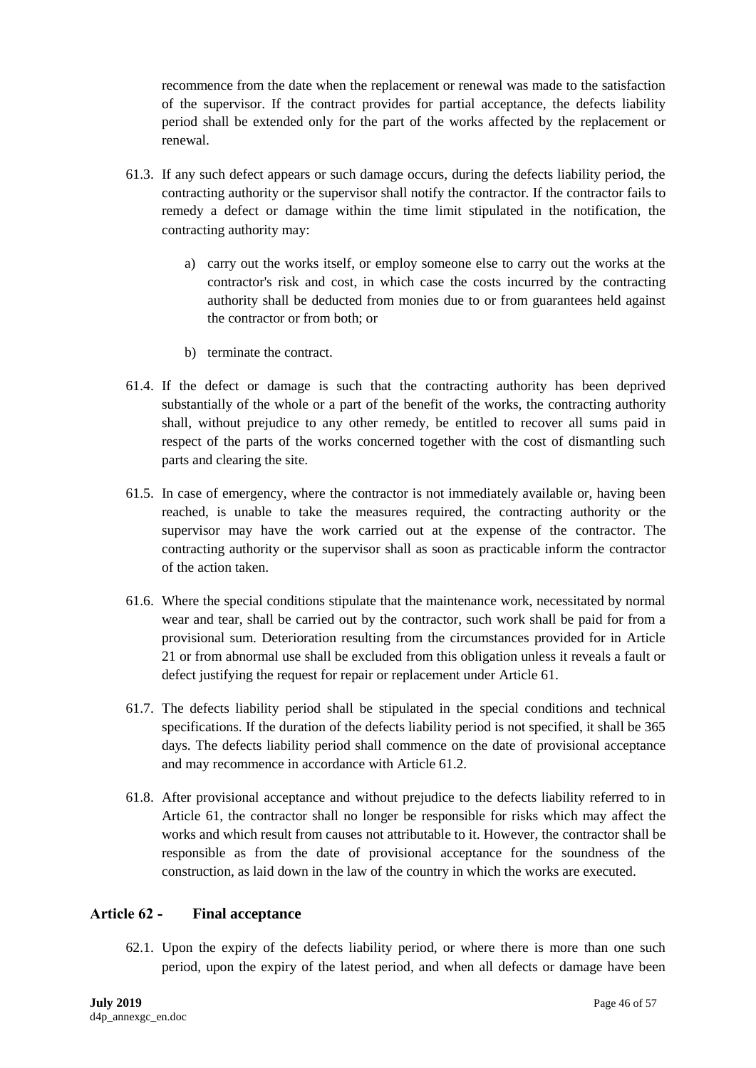recommence from the date when the replacement or renewal was made to the satisfaction of the supervisor. If the contract provides for partial acceptance, the defects liability period shall be extended only for the part of the works affected by the replacement or renewal.

- 61.3. If any such defect appears or such damage occurs, during the defects liability period, the contracting authority or the supervisor shall notify the contractor. If the contractor fails to remedy a defect or damage within the time limit stipulated in the notification, the contracting authority may:
	- a) carry out the works itself, or employ someone else to carry out the works at the contractor's risk and cost, in which case the costs incurred by the contracting authority shall be deducted from monies due to or from guarantees held against the contractor or from both; or
	- b) terminate the contract.
- 61.4. If the defect or damage is such that the contracting authority has been deprived substantially of the whole or a part of the benefit of the works, the contracting authority shall, without prejudice to any other remedy, be entitled to recover all sums paid in respect of the parts of the works concerned together with the cost of dismantling such parts and clearing the site.
- 61.5. In case of emergency, where the contractor is not immediately available or, having been reached, is unable to take the measures required, the contracting authority or the supervisor may have the work carried out at the expense of the contractor. The contracting authority or the supervisor shall as soon as practicable inform the contractor of the action taken.
- 61.6. Where the special conditions stipulate that the maintenance work, necessitated by normal wear and tear, shall be carried out by the contractor, such work shall be paid for from a provisional sum. Deterioration resulting from the circumstances provided for in Article 21 or from abnormal use shall be excluded from this obligation unless it reveals a fault or defect justifying the request for repair or replacement under Article 61.
- 61.7. The defects liability period shall be stipulated in the special conditions and technical specifications. If the duration of the defects liability period is not specified, it shall be 365 days. The defects liability period shall commence on the date of provisional acceptance and may recommence in accordance with Article 61.2.
- 61.8. After provisional acceptance and without prejudice to the defects liability referred to in Article 61, the contractor shall no longer be responsible for risks which may affect the works and which result from causes not attributable to it. However, the contractor shall be responsible as from the date of provisional acceptance for the soundness of the construction, as laid down in the law of the country in which the works are executed.

### **Article 62 - Final acceptance**

<span id="page-45-0"></span>62.1. Upon the expiry of the defects liability period, or where there is more than one such period, upon the expiry of the latest period, and when all defects or damage have been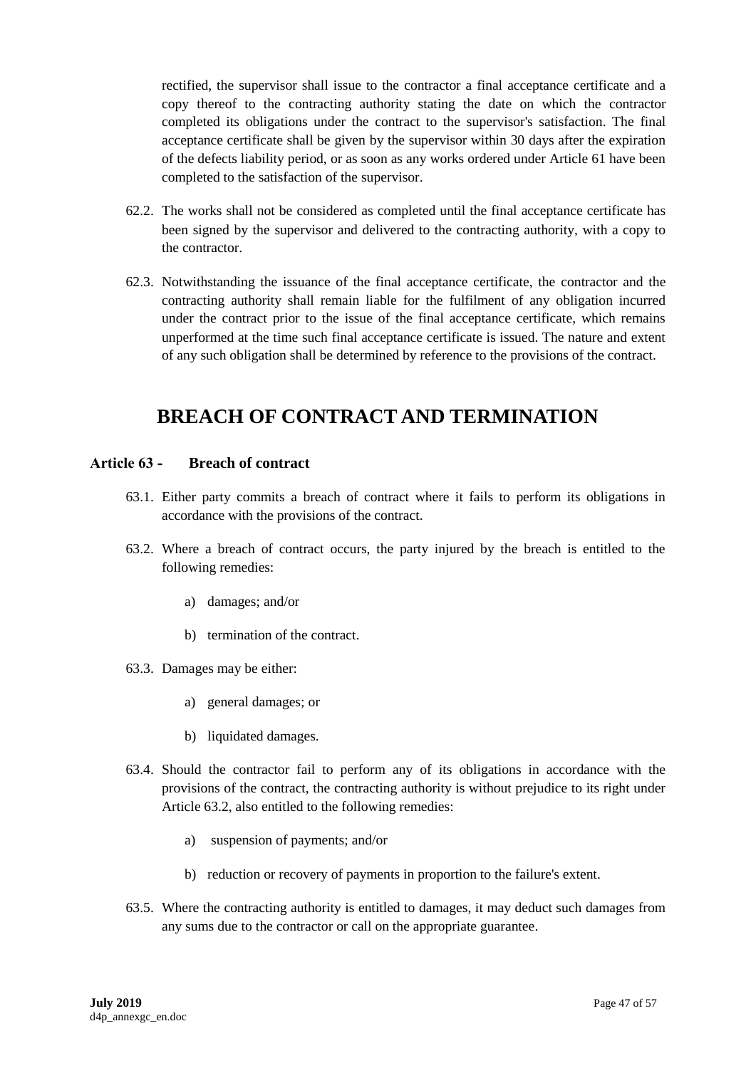rectified, the supervisor shall issue to the contractor a final acceptance certificate and a copy thereof to the contracting authority stating the date on which the contractor completed its obligations under the contract to the supervisor's satisfaction. The final acceptance certificate shall be given by the supervisor within 30 days after the expiration of the defects liability period, or as soon as any works ordered under Article 61 have been completed to the satisfaction of the supervisor.

- 62.2. The works shall not be considered as completed until the final acceptance certificate has been signed by the supervisor and delivered to the contracting authority, with a copy to the contractor.
- 62.3. Notwithstanding the issuance of the final acceptance certificate, the contractor and the contracting authority shall remain liable for the fulfilment of any obligation incurred under the contract prior to the issue of the final acceptance certificate, which remains unperformed at the time such final acceptance certificate is issued. The nature and extent of any such obligation shall be determined by reference to the provisions of the contract.

# <span id="page-46-0"></span>**BREACH OF CONTRACT AND TERMINATION**

### <span id="page-46-1"></span>**Article 63 - Breach of contract**

- 63.1. Either party commits a breach of contract where it fails to perform its obligations in accordance with the provisions of the contract.
- 63.2. Where a breach of contract occurs, the party injured by the breach is entitled to the following remedies:
	- a) damages; and/or
	- b) termination of the contract.
- 63.3. Damages may be either:
	- a) general damages; or
	- b) liquidated damages.
- 63.4. Should the contractor fail to perform any of its obligations in accordance with the provisions of the contract, the contracting authority is without prejudice to its right under Article 63.2, also entitled to the following remedies:
	- a) suspension of payments; and/or
	- b) reduction or recovery of payments in proportion to the failure's extent.
- 63.5. Where the contracting authority is entitled to damages, it may deduct such damages from any sums due to the contractor or call on the appropriate guarantee.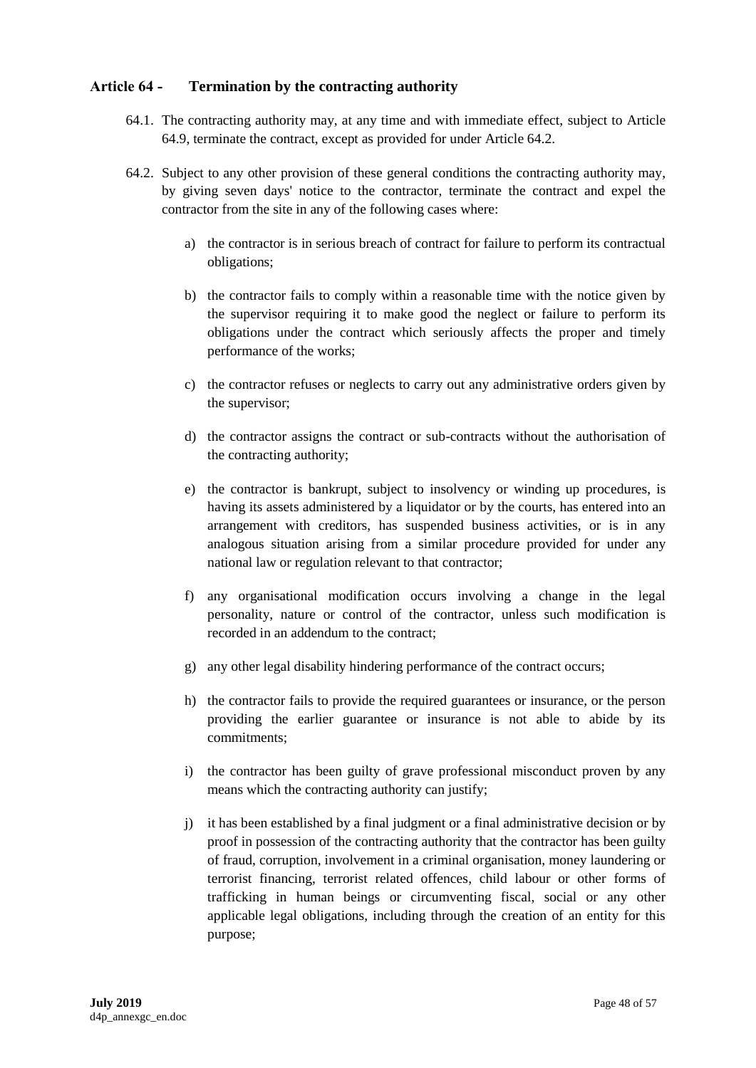### <span id="page-47-0"></span>**Article 64 - Termination by the contracting authority**

- 64.1. The contracting authority may, at any time and with immediate effect, subject to Article 64.9, terminate the contract, except as provided for under Article 64.2.
- 64.2. Subject to any other provision of these general conditions the contracting authority may, by giving seven days' notice to the contractor, terminate the contract and expel the contractor from the site in any of the following cases where:
	- a) the contractor is in serious breach of contract for failure to perform its contractual obligations;
	- b) the contractor fails to comply within a reasonable time with the notice given by the supervisor requiring it to make good the neglect or failure to perform its obligations under the contract which seriously affects the proper and timely performance of the works;
	- c) the contractor refuses or neglects to carry out any administrative orders given by the supervisor;
	- d) the contractor assigns the contract or sub-contracts without the authorisation of the contracting authority;
	- e) the contractor is bankrupt, subject to insolvency or winding up procedures, is having its assets administered by a liquidator or by the courts, has entered into an arrangement with creditors, has suspended business activities, or is in any analogous situation arising from a similar procedure provided for under any national law or regulation relevant to that contractor;
	- f) any organisational modification occurs involving a change in the legal personality, nature or control of the contractor, unless such modification is recorded in an addendum to the contract;
	- g) any other legal disability hindering performance of the contract occurs;
	- h) the contractor fails to provide the required guarantees or insurance, or the person providing the earlier guarantee or insurance is not able to abide by its commitments;
	- i) the contractor has been guilty of grave professional misconduct proven by any means which the contracting authority can justify;
	- j) it has been established by a final judgment or a final administrative decision or by proof in possession of the contracting authority that the contractor has been guilty of fraud, corruption, involvement in a criminal organisation, money laundering or terrorist financing, terrorist related offences, child labour or other forms of trafficking in human beings or circumventing fiscal, social or any other applicable legal obligations, including through the creation of an entity for this purpose;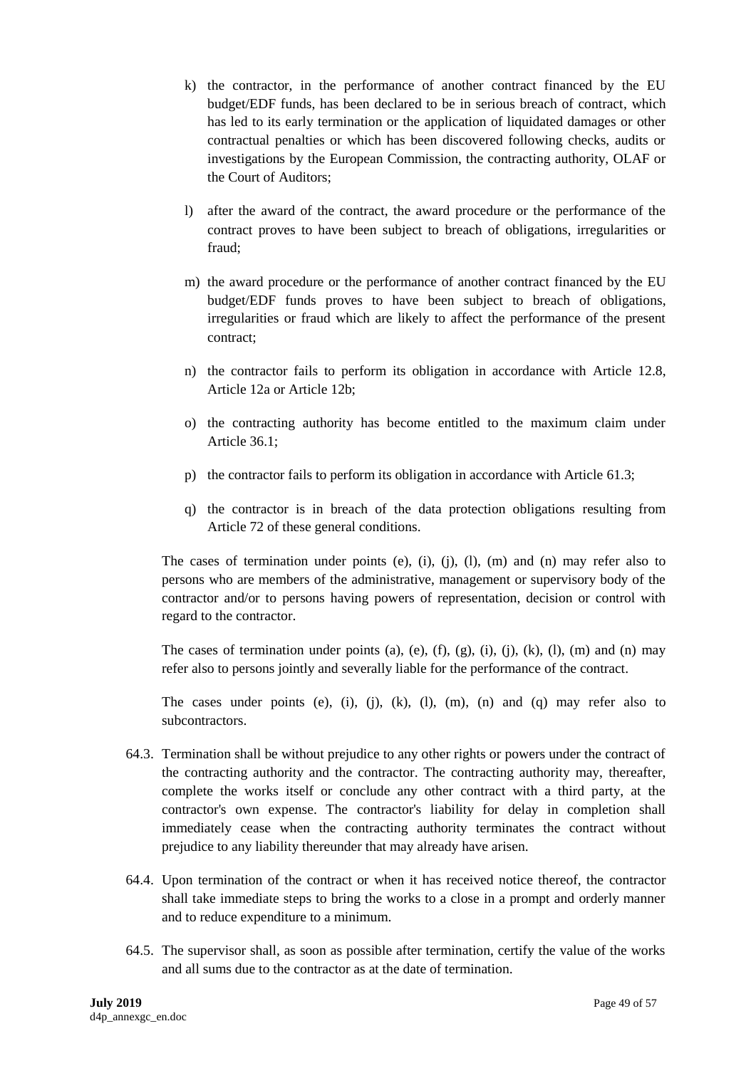- k) the contractor, in the performance of another contract financed by the EU budget/EDF funds, has been declared to be in serious breach of contract, which has led to its early termination or the application of liquidated damages or other contractual penalties or which has been discovered following checks, audits or investigations by the European Commission, the contracting authority, OLAF or the Court of Auditors;
- l) after the award of the contract, the award procedure or the performance of the contract proves to have been subject to breach of obligations, irregularities or fraud;
- m) the award procedure or the performance of another contract financed by the EU budget/EDF funds proves to have been subject to breach of obligations, irregularities or fraud which are likely to affect the performance of the present contract;
- n) the contractor fails to perform its obligation in accordance with Article 12.8, Article 12a or Article 12b;
- o) the contracting authority has become entitled to the maximum claim under Article 36.1;
- p) the contractor fails to perform its obligation in accordance with Article 61.3;
- q) the contractor is in breach of the data protection obligations resulting from Article 72 of these general conditions.

The cases of termination under points  $(e)$ ,  $(i)$ ,  $(j)$ ,  $(l)$ ,  $(m)$  and  $(n)$  may refer also to persons who are members of the administrative, management or supervisory body of the contractor and/or to persons having powers of representation, decision or control with regard to the contractor.

The cases of termination under points (a), (e), (f), (g), (i), (j), (k), (l), (m) and (n) may refer also to persons jointly and severally liable for the performance of the contract.

The cases under points (e), (i), (j), (k), (l), (m), (n) and (q) may refer also to subcontractors.

- 64.3. Termination shall be without prejudice to any other rights or powers under the contract of the contracting authority and the contractor. The contracting authority may, thereafter, complete the works itself or conclude any other contract with a third party, at the contractor's own expense. The contractor's liability for delay in completion shall immediately cease when the contracting authority terminates the contract without prejudice to any liability thereunder that may already have arisen.
- 64.4. Upon termination of the contract or when it has received notice thereof, the contractor shall take immediate steps to bring the works to a close in a prompt and orderly manner and to reduce expenditure to a minimum.
- 64.5. The supervisor shall, as soon as possible after termination, certify the value of the works and all sums due to the contractor as at the date of termination.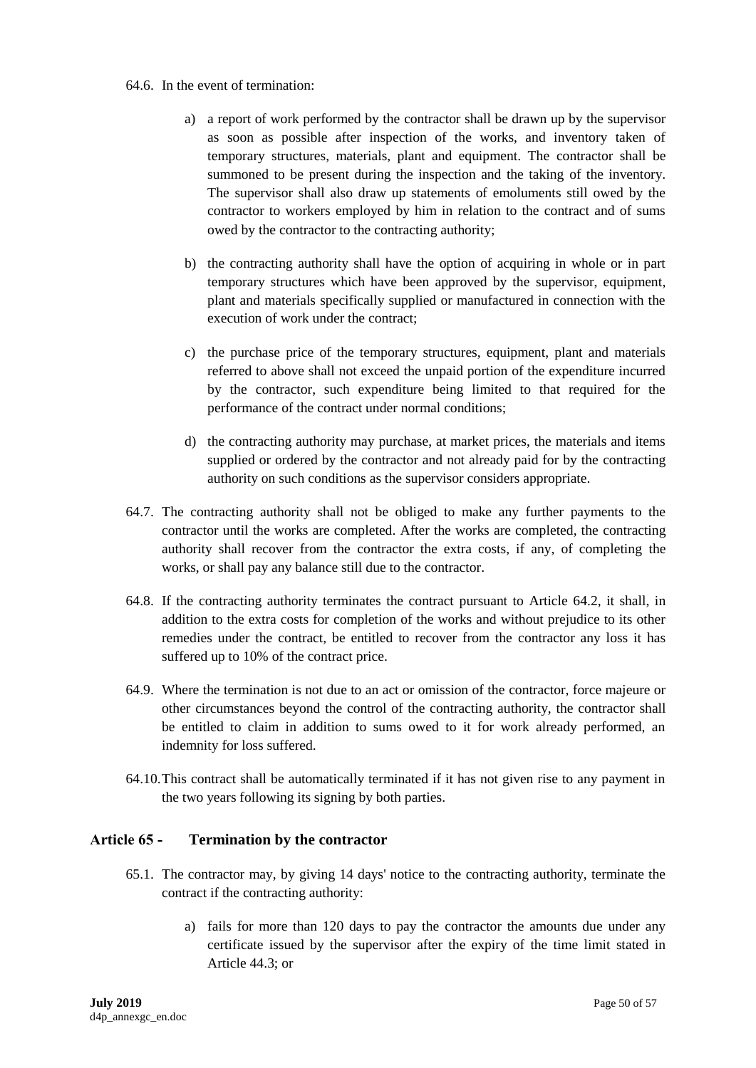#### 64.6. In the event of termination:

- a) a report of work performed by the contractor shall be drawn up by the supervisor as soon as possible after inspection of the works, and inventory taken of temporary structures, materials, plant and equipment. The contractor shall be summoned to be present during the inspection and the taking of the inventory. The supervisor shall also draw up statements of emoluments still owed by the contractor to workers employed by him in relation to the contract and of sums owed by the contractor to the contracting authority;
- b) the contracting authority shall have the option of acquiring in whole or in part temporary structures which have been approved by the supervisor, equipment, plant and materials specifically supplied or manufactured in connection with the execution of work under the contract;
- c) the purchase price of the temporary structures, equipment, plant and materials referred to above shall not exceed the unpaid portion of the expenditure incurred by the contractor, such expenditure being limited to that required for the performance of the contract under normal conditions;
- d) the contracting authority may purchase, at market prices, the materials and items supplied or ordered by the contractor and not already paid for by the contracting authority on such conditions as the supervisor considers appropriate.
- 64.7. The contracting authority shall not be obliged to make any further payments to the contractor until the works are completed. After the works are completed, the contracting authority shall recover from the contractor the extra costs, if any, of completing the works, or shall pay any balance still due to the contractor.
- 64.8. If the contracting authority terminates the contract pursuant to Article 64.2, it shall, in addition to the extra costs for completion of the works and without prejudice to its other remedies under the contract, be entitled to recover from the contractor any loss it has suffered up to 10% of the contract price.
- 64.9. Where the termination is not due to an act or omission of the contractor, force majeure or other circumstances beyond the control of the contracting authority, the contractor shall be entitled to claim in addition to sums owed to it for work already performed, an indemnity for loss suffered.
- 64.10.This contract shall be automatically terminated if it has not given rise to any payment in the two years following its signing by both parties.

### <span id="page-49-0"></span>**Article 65 - Termination by the contractor**

- 65.1. The contractor may, by giving 14 days' notice to the contracting authority, terminate the contract if the contracting authority:
	- a) fails for more than 120 days to pay the contractor the amounts due under any certificate issued by the supervisor after the expiry of the time limit stated in Article 44.3; or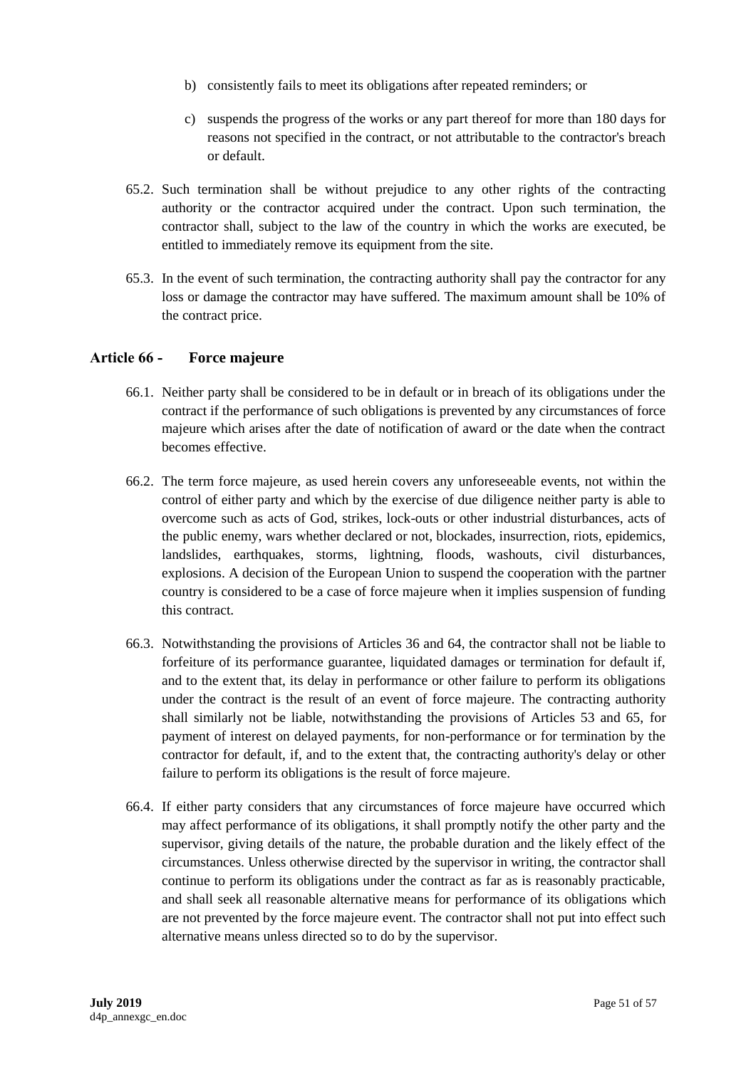- b) consistently fails to meet its obligations after repeated reminders; or
- c) suspends the progress of the works or any part thereof for more than 180 days for reasons not specified in the contract, or not attributable to the contractor's breach or default.
- 65.2. Such termination shall be without prejudice to any other rights of the contracting authority or the contractor acquired under the contract. Upon such termination, the contractor shall, subject to the law of the country in which the works are executed, be entitled to immediately remove its equipment from the site.
- 65.3. In the event of such termination, the contracting authority shall pay the contractor for any loss or damage the contractor may have suffered. The maximum amount shall be 10% of the contract price.

### <span id="page-50-0"></span>**Article 66 - Force majeure**

- 66.1. Neither party shall be considered to be in default or in breach of its obligations under the contract if the performance of such obligations is prevented by any circumstances of force majeure which arises after the date of notification of award or the date when the contract becomes effective.
- 66.2. The term force majeure, as used herein covers any unforeseeable events, not within the control of either party and which by the exercise of due diligence neither party is able to overcome such as acts of God, strikes, lock-outs or other industrial disturbances, acts of the public enemy, wars whether declared or not, blockades, insurrection, riots, epidemics, landslides, earthquakes, storms, lightning, floods, washouts, civil disturbances, explosions. A decision of the European Union to suspend the cooperation with the partner country is considered to be a case of force majeure when it implies suspension of funding this contract.
- 66.3. Notwithstanding the provisions of Articles 36 and 64, the contractor shall not be liable to forfeiture of its performance guarantee, liquidated damages or termination for default if, and to the extent that, its delay in performance or other failure to perform its obligations under the contract is the result of an event of force majeure. The contracting authority shall similarly not be liable, notwithstanding the provisions of Articles 53 and 65, for payment of interest on delayed payments, for non-performance or for termination by the contractor for default, if, and to the extent that, the contracting authority's delay or other failure to perform its obligations is the result of force majeure.
- 66.4. If either party considers that any circumstances of force majeure have occurred which may affect performance of its obligations, it shall promptly notify the other party and the supervisor, giving details of the nature, the probable duration and the likely effect of the circumstances. Unless otherwise directed by the supervisor in writing, the contractor shall continue to perform its obligations under the contract as far as is reasonably practicable, and shall seek all reasonable alternative means for performance of its obligations which are not prevented by the force majeure event. The contractor shall not put into effect such alternative means unless directed so to do by the supervisor.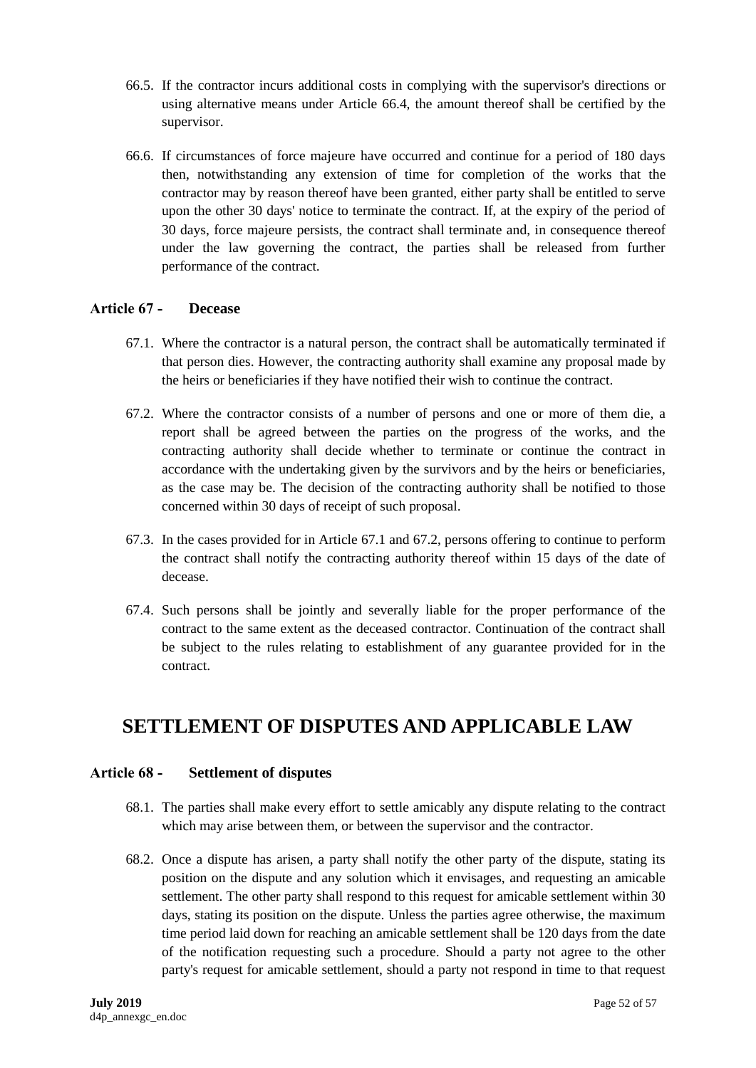- 66.5. If the contractor incurs additional costs in complying with the supervisor's directions or using alternative means under Article 66.4, the amount thereof shall be certified by the supervisor.
- 66.6. If circumstances of force majeure have occurred and continue for a period of 180 days then, notwithstanding any extension of time for completion of the works that the contractor may by reason thereof have been granted, either party shall be entitled to serve upon the other 30 days' notice to terminate the contract. If, at the expiry of the period of 30 days, force majeure persists, the contract shall terminate and, in consequence thereof under the law governing the contract, the parties shall be released from further performance of the contract.

### <span id="page-51-0"></span>**Article 67 - Decease**

- 67.1. Where the contractor is a natural person, the contract shall be automatically terminated if that person dies. However, the contracting authority shall examine any proposal made by the heirs or beneficiaries if they have notified their wish to continue the contract.
- 67.2. Where the contractor consists of a number of persons and one or more of them die, a report shall be agreed between the parties on the progress of the works, and the contracting authority shall decide whether to terminate or continue the contract in accordance with the undertaking given by the survivors and by the heirs or beneficiaries, as the case may be. The decision of the contracting authority shall be notified to those concerned within 30 days of receipt of such proposal.
- 67.3. In the cases provided for in Article 67.1 and 67.2, persons offering to continue to perform the contract shall notify the contracting authority thereof within 15 days of the date of decease.
- 67.4. Such persons shall be jointly and severally liable for the proper performance of the contract to the same extent as the deceased contractor. Continuation of the contract shall be subject to the rules relating to establishment of any guarantee provided for in the contract.

## <span id="page-51-1"></span>**SETTLEMENT OF DISPUTES AND APPLICABLE LAW**

### <span id="page-51-2"></span>**Article 68 - Settlement of disputes**

- 68.1. The parties shall make every effort to settle amicably any dispute relating to the contract which may arise between them, or between the supervisor and the contractor.
- 68.2. Once a dispute has arisen, a party shall notify the other party of the dispute, stating its position on the dispute and any solution which it envisages, and requesting an amicable settlement. The other party shall respond to this request for amicable settlement within 30 days, stating its position on the dispute. Unless the parties agree otherwise, the maximum time period laid down for reaching an amicable settlement shall be 120 days from the date of the notification requesting such a procedure. Should a party not agree to the other party's request for amicable settlement, should a party not respond in time to that request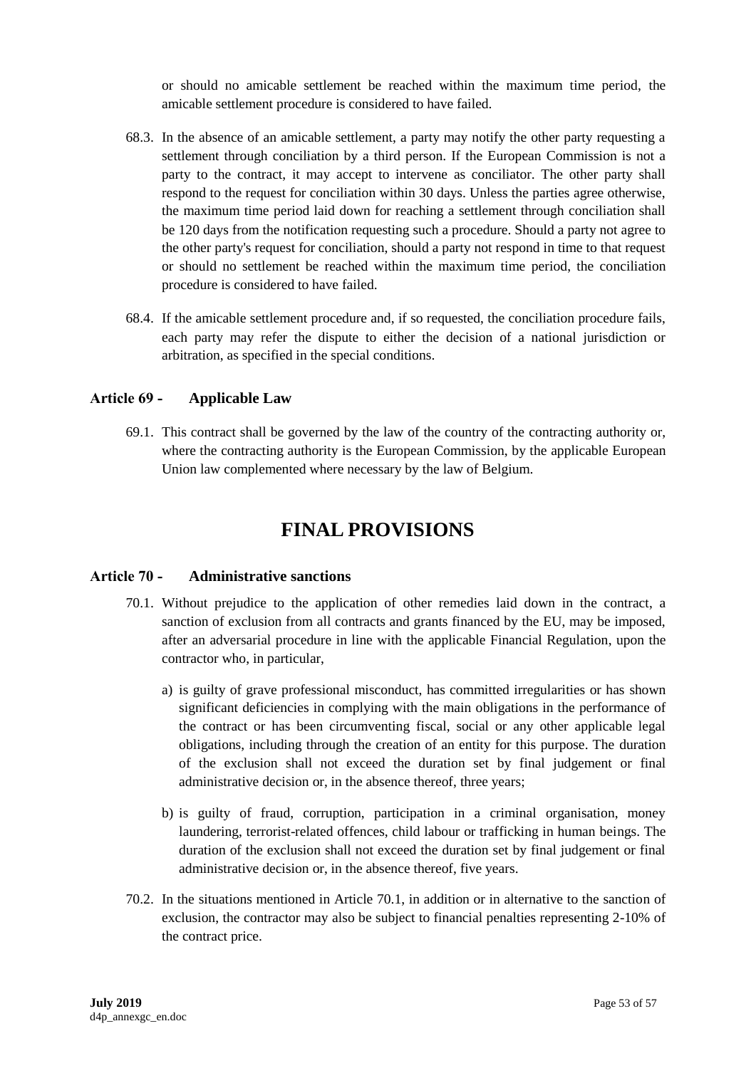or should no amicable settlement be reached within the maximum time period, the amicable settlement procedure is considered to have failed.

- 68.3. In the absence of an amicable settlement, a party may notify the other party requesting a settlement through conciliation by a third person. If the European Commission is not a party to the contract, it may accept to intervene as conciliator. The other party shall respond to the request for conciliation within 30 days. Unless the parties agree otherwise, the maximum time period laid down for reaching a settlement through conciliation shall be 120 days from the notification requesting such a procedure. Should a party not agree to the other party's request for conciliation, should a party not respond in time to that request or should no settlement be reached within the maximum time period, the conciliation procedure is considered to have failed.
- 68.4. If the amicable settlement procedure and, if so requested, the conciliation procedure fails, each party may refer the dispute to either the decision of a national jurisdiction or arbitration, as specified in the special conditions.

## <span id="page-52-0"></span>**Article 69 - Applicable Law**

<span id="page-52-1"></span>69.1. This contract shall be governed by the law of the country of the contracting authority or, where the contracting authority is the European Commission, by the applicable European Union law complemented where necessary by the law of Belgium.

# **FINAL PROVISIONS**

### <span id="page-52-2"></span>**Article 70 - Administrative sanctions**

- 70.1. Without prejudice to the application of other remedies laid down in the contract, a sanction of exclusion from all contracts and grants financed by the EU, may be imposed, after an adversarial procedure in line with the applicable Financial Regulation, upon the contractor who, in particular,
	- a) is guilty of grave professional misconduct, has committed irregularities or has shown significant deficiencies in complying with the main obligations in the performance of the contract or has been circumventing fiscal, social or any other applicable legal obligations, including through the creation of an entity for this purpose. The duration of the exclusion shall not exceed the duration set by final judgement or final administrative decision or, in the absence thereof, three years;
	- b) is guilty of fraud, corruption, participation in a criminal organisation, money laundering, terrorist-related offences, child labour or trafficking in human beings. The duration of the exclusion shall not exceed the duration set by final judgement or final administrative decision or, in the absence thereof, five years.
- 70.2. In the situations mentioned in Article 70.1, in addition or in alternative to the sanction of exclusion, the contractor may also be subject to financial penalties representing 2-10% of the contract price.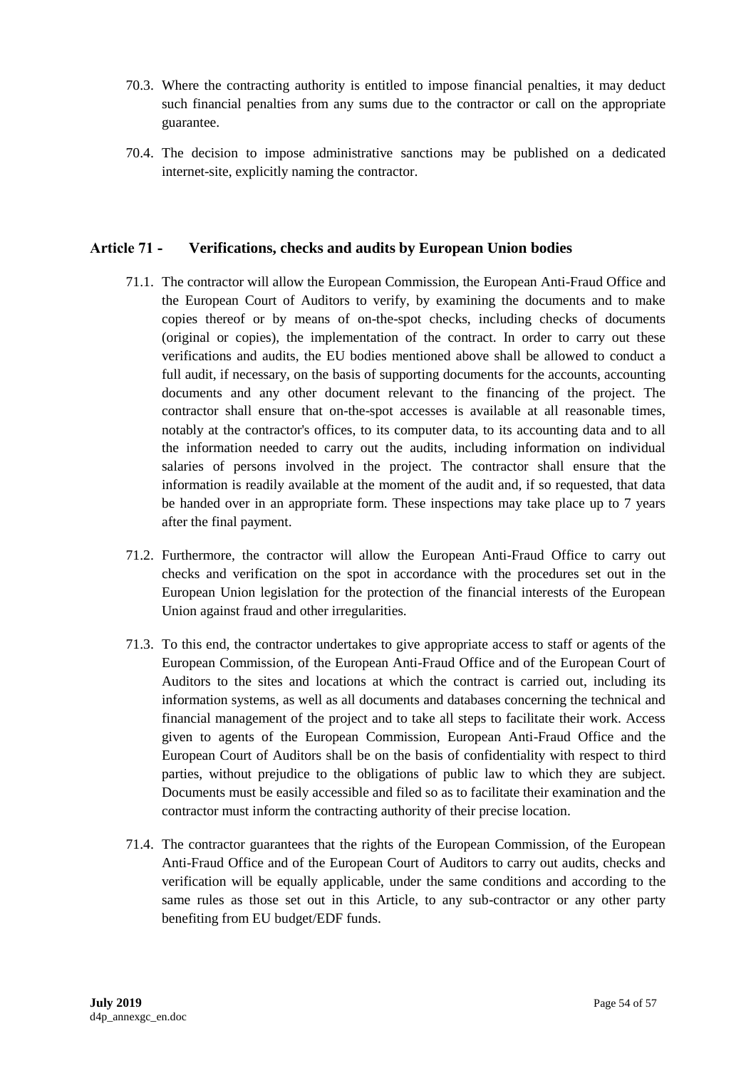- 70.3. Where the contracting authority is entitled to impose financial penalties, it may deduct such financial penalties from any sums due to the contractor or call on the appropriate guarantee.
- 70.4. The decision to impose administrative sanctions may be published on a dedicated internet-site, explicitly naming the contractor.

## <span id="page-53-0"></span>**Article 71 - Verifications, checks and audits by European Union bodies**

- 71.1. The contractor will allow the European Commission, the European Anti-Fraud Office and the European Court of Auditors to verify, by examining the documents and to make copies thereof or by means of on-the-spot checks, including checks of documents (original or copies), the implementation of the contract. In order to carry out these verifications and audits, the EU bodies mentioned above shall be allowed to conduct a full audit, if necessary, on the basis of supporting documents for the accounts, accounting documents and any other document relevant to the financing of the project. The contractor shall ensure that on-the-spot accesses is available at all reasonable times, notably at the contractor's offices, to its computer data, to its accounting data and to all the information needed to carry out the audits, including information on individual salaries of persons involved in the project. The contractor shall ensure that the information is readily available at the moment of the audit and, if so requested, that data be handed over in an appropriate form. These inspections may take place up to 7 years after the final payment.
- 71.2. Furthermore, the contractor will allow the European Anti-Fraud Office to carry out checks and verification on the spot in accordance with the procedures set out in the European Union legislation for the protection of the financial interests of the European Union against fraud and other irregularities.
- 71.3. To this end, the contractor undertakes to give appropriate access to staff or agents of the European Commission, of the European Anti-Fraud Office and of the European Court of Auditors to the sites and locations at which the contract is carried out, including its information systems, as well as all documents and databases concerning the technical and financial management of the project and to take all steps to facilitate their work. Access given to agents of the European Commission, European Anti-Fraud Office and the European Court of Auditors shall be on the basis of confidentiality with respect to third parties, without prejudice to the obligations of public law to which they are subject. Documents must be easily accessible and filed so as to facilitate their examination and the contractor must inform the contracting authority of their precise location.
- 71.4. The contractor guarantees that the rights of the European Commission, of the European Anti-Fraud Office and of the European Court of Auditors to carry out audits, checks and verification will be equally applicable, under the same conditions and according to the same rules as those set out in this Article, to any sub-contractor or any other party benefiting from EU budget/EDF funds.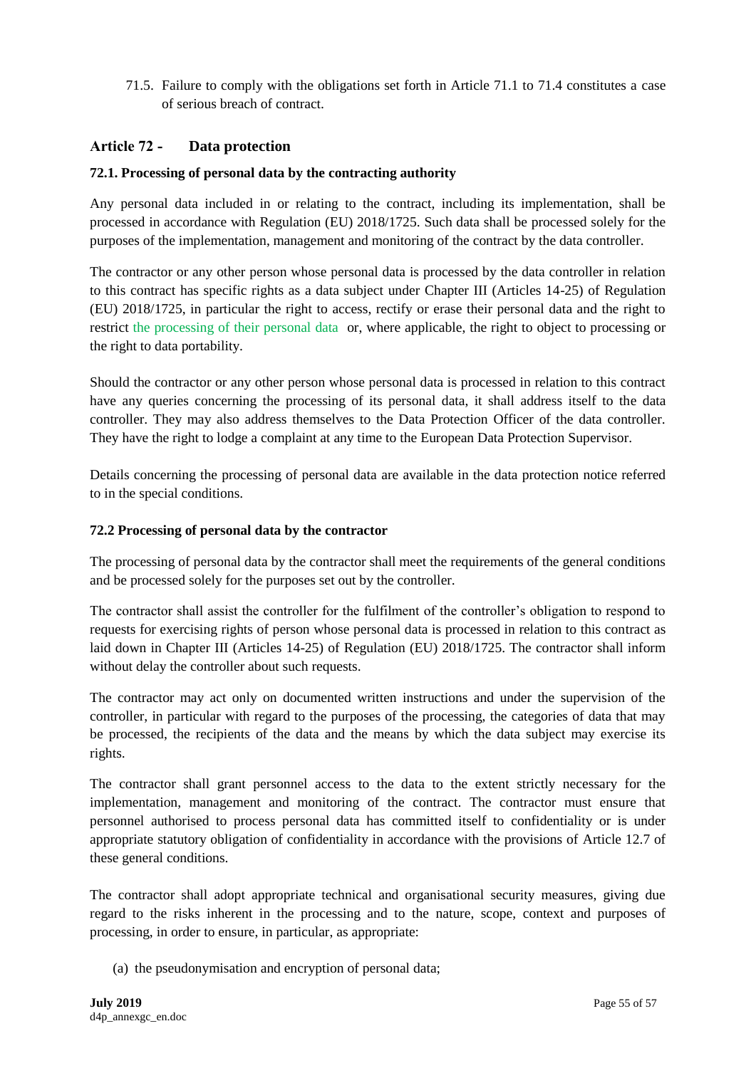71.5. Failure to comply with the obligations set forth in Article 71.1 to 71.4 constitutes a case of serious breach of contract.

## <span id="page-54-0"></span>**Article 72 - Data protection**

#### **72.1. Processing of personal data by the contracting authority**

Any personal data included in or relating to the contract, including its implementation, shall be processed in accordance with Regulation (EU) 2018/1725. Such data shall be processed solely for the purposes of the implementation, management and monitoring of the contract by the data controller.

The contractor or any other person whose personal data is processed by the data controller in relation to this contract has specific rights as a data subject under Chapter III (Articles 14-25) of Regulation (EU) 2018/1725, in particular the right to access, rectify or erase their personal data and the right to restrict the processing of their personal data or, where applicable, the right to object to processing or the right to data portability.

Should the contractor or any other person whose personal data is processed in relation to this contract have any queries concerning the processing of its personal data, it shall address itself to the data controller. They may also address themselves to the Data Protection Officer of the data controller. They have the right to lodge a complaint at any time to the European Data Protection Supervisor.

Details concerning the processing of personal data are available in the data protection notice referred to in the special conditions.

#### **72.2 Processing of personal data by the contractor**

The processing of personal data by the contractor shall meet the requirements of the general conditions and be processed solely for the purposes set out by the controller.

The contractor shall assist the controller for the fulfilment of the controller's obligation to respond to requests for exercising rights of person whose personal data is processed in relation to this contract as laid down in Chapter III (Articles 14-25) of Regulation (EU) 2018/1725. The contractor shall inform without delay the controller about such requests.

The contractor may act only on documented written instructions and under the supervision of the controller, in particular with regard to the purposes of the processing, the categories of data that may be processed, the recipients of the data and the means by which the data subject may exercise its rights.

The contractor shall grant personnel access to the data to the extent strictly necessary for the implementation, management and monitoring of the contract. The contractor must ensure that personnel authorised to process personal data has committed itself to confidentiality or is under appropriate statutory obligation of confidentiality in accordance with the provisions of Article 12.7 of these general conditions.

The contractor shall adopt appropriate technical and organisational security measures, giving due regard to the risks inherent in the processing and to the nature, scope, context and purposes of processing, in order to ensure, in particular, as appropriate:

(a) the pseudonymisation and encryption of personal data;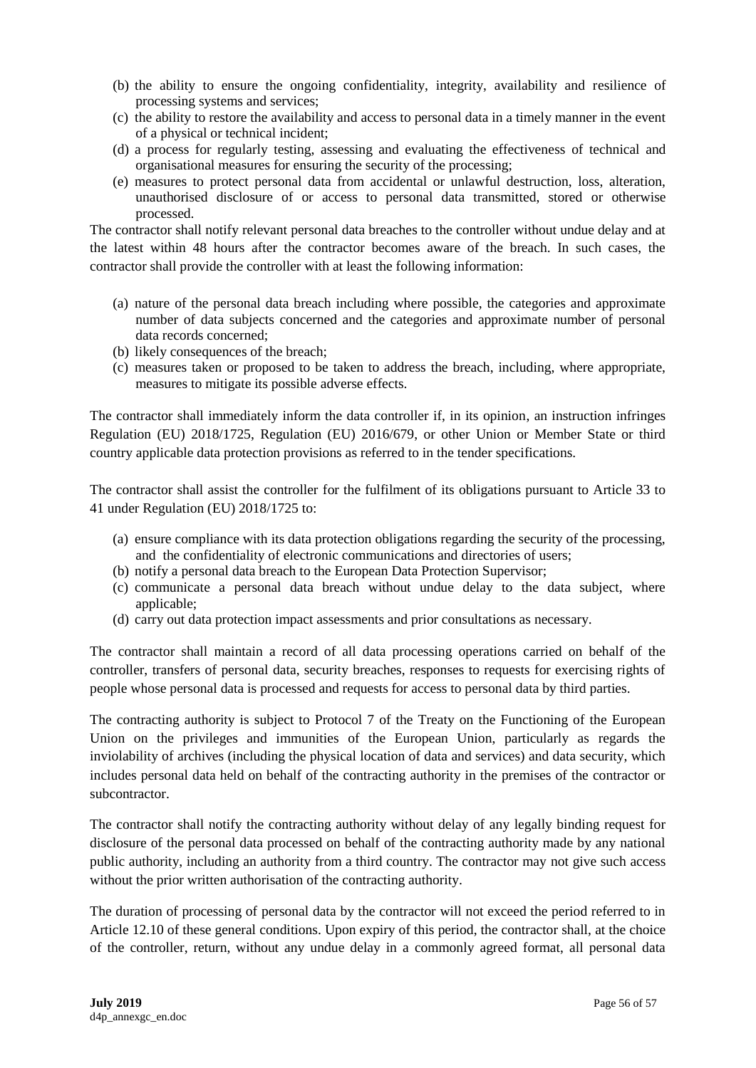- (b) the ability to ensure the ongoing confidentiality, integrity, availability and resilience of processing systems and services;
- (c) the ability to restore the availability and access to personal data in a timely manner in the event of a physical or technical incident;
- (d) a process for regularly testing, assessing and evaluating the effectiveness of technical and organisational measures for ensuring the security of the processing;
- (e) measures to protect personal data from accidental or unlawful destruction, loss, alteration, unauthorised disclosure of or access to personal data transmitted, stored or otherwise processed.

The contractor shall notify relevant personal data breaches to the controller without undue delay and at the latest within 48 hours after the contractor becomes aware of the breach. In such cases, the contractor shall provide the controller with at least the following information:

- (a) nature of the personal data breach including where possible, the categories and approximate number of data subjects concerned and the categories and approximate number of personal data records concerned;
- (b) likely consequences of the breach;
- (c) measures taken or proposed to be taken to address the breach, including, where appropriate, measures to mitigate its possible adverse effects.

The contractor shall immediately inform the data controller if, in its opinion, an instruction infringes Regulation (EU) 2018/1725, Regulation (EU) 2016/679, or other Union or Member State or third country applicable data protection provisions as referred to in the tender specifications.

The contractor shall assist the controller for the fulfilment of its obligations pursuant to Article 33 to 41 under Regulation (EU) 2018/1725 to:

- (a) ensure compliance with its data protection obligations regarding the security of the processing, and the confidentiality of electronic communications and directories of users;
- (b) notify a personal data breach to the European Data Protection Supervisor;
- (c) communicate a personal data breach without undue delay to the data subject, where applicable;
- (d) carry out data protection impact assessments and prior consultations as necessary.

The contractor shall maintain a record of all data processing operations carried on behalf of the controller, transfers of personal data, security breaches, responses to requests for exercising rights of people whose personal data is processed and requests for access to personal data by third parties.

The contracting authority is subject to Protocol 7 of the Treaty on the Functioning of the European Union on the privileges and immunities of the European Union, particularly as regards the inviolability of archives (including the physical location of data and services) and data security, which includes personal data held on behalf of the contracting authority in the premises of the contractor or subcontractor.

The contractor shall notify the contracting authority without delay of any legally binding request for disclosure of the personal data processed on behalf of the contracting authority made by any national public authority, including an authority from a third country. The contractor may not give such access without the prior written authorisation of the contracting authority.

The duration of processing of personal data by the contractor will not exceed the period referred to in Article 12.10 of these general conditions. Upon expiry of this period, the contractor shall, at the choice of the controller, return, without any undue delay in a commonly agreed format, all personal data